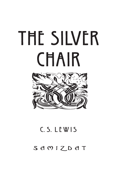# THE SILVER CHAIR



### $C. S. L E W I S$

Samizdat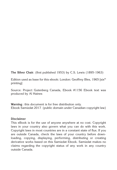**The Silver Chair**. (first published 1953) by C.S. Lewis (1895-1963)

Edition used as base for this ebook: London: Geoffrey Bles, 1965 [six<sup>th</sup>] printing]

Source: [Project Gutenberg Canada](http://www.gutenberg.ca/), Ebook #1156 Ebook text was produced by Al Haines

**Warning** : this document is for free distribution only. [Ebook Samizdat](http://www.samizdat.qc.ca/Ebooks/) 2017 (public domain under [Canadian copyright law\)](http://laws-lois.justice.gc.ca/eng/acts/C-42/page-3.html#h-6)

#### **Disclaimer**

This eBook is for the use of anyone anywhere at no cost. Copyright laws in your country also govern what you can do with this work. Copyright laws in most countries are in a constant state of flux. If you are outside Canada, check the laws of your country before downloading, copying, displaying, performing, distributing or creating derivative works based on this Samizdat Ebook. Samizdat makes no claims regarding the copyright status of any work in any country outside Canada.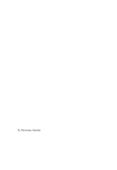*To Nicholas Hardie*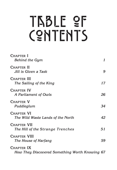## TABLE OF **CONTENTS**

| <b>CHAPTER I</b><br><b>Behind the Gym</b>                           | $\mathbf{1}$ |
|---------------------------------------------------------------------|--------------|
| <b>CHAPTER II</b><br>Jill is Given a Task                           | 9            |
| <b>CHAPTER III</b><br>The Sailing of the King                       | 17           |
| <b>CHAPTER IV</b><br>A Parliament of Owls                           | 26           |
| <b>CHAPTER V</b><br>Puddleglum                                      | 34           |
| <b>CHAPTER VI</b><br>The Wild Waste Lands of the North              | 42           |
| <b>CHAPTER VII</b><br>The Hill of the Strange Trenches              | 51           |
| <b>CHAPTER VIII</b><br>The House of Harfang                         | 59           |
| <b>CHAPTER IX</b><br>How They Discovered Something Worth Knowing 67 |              |
|                                                                     |              |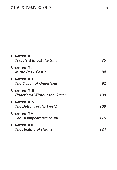| <b>CHAPTER X</b><br><i>Travels Without the Sun</i>        | 75  |
|-----------------------------------------------------------|-----|
| <b>CHAPTER XI</b><br>In the Dark Castle                   | 84  |
| <b>CHAPTER XII</b><br>The Queen of Underland              | 92  |
| <b>CHAPTER XIII</b><br><b>Underland Without the Queen</b> | 100 |
| <b>CHAPTER XIV</b><br>The Bottom of the World             | 108 |
| <b>CHAPTER XV</b><br>The Disappearance of Jill            | 116 |
| <b>CHAPTER XVI</b><br>The Healing of Harms                |     |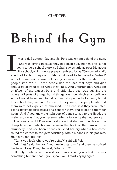#### Chapter I

### <span id="page-6-0"></span>Behind the Gym

t was a dull autumn day and Jill Pole was crying behind the gym.

 $\prod$ <sub>a sc</sub> She was crying because they had been bullying her. This is not going to be a school story, so I shall say as little as possible about Jill's school, which is not a pleasant subject. It was "Co-educational", a school for both boys and girls, what used to be called a "mixed" school; some said it was not nearly so mixed as the minds of the people who ran it. These people had the idea that boys and girls should be allowed to do what they liked. And unfortunately what ten or fifteen of the biggest boys and girls liked best was bullying the others. All sorts of things, horrid things, went on which at an ordinary school would have been found out and stopped in half a term; but at this school they weren't. Or even if they were, the people who did them were not expelled or punished. The Head said they were interesting psychological cases and sent for them and talked to them for hours. And if you knew the right sort of things to say to the Head, the main result was that you became rather a favourite than otherwise.

That was why Jill Pole was crying on that dull autumn day on the damp little path which runs between the back of the gym and the shrubbery. And she hadn't nearly finished her cry when a boy came round the corner to the gym whistling, with his hands in his pockets. He nearly ran into her.

"Can't you look where you're going?" said Jill Pole.

"All *right*," said the boy, "you needn't start — " and then he noticed her face. "I say, Pole," he said, "what's up?"

Jill only made faces; the sort you make when you're trying to say something but find that if you speak you'll start crying again.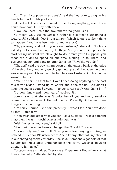"It's *Them*, I suppose — as usual," said the boy grimly, digging his hands further into his pockets.

Jill nodded. There was no need for her to say anything, even if she could have said it. They both knew.

"Now, look here," said the boy, "there's no good us all — "

He meant well, but he *did* talk rather like someone beginning a lecture. Jill suddenly flew into a temper (which is quite a likely thing to happen if you have been interrupted in a cry).

"Oh, go away and mind your own business," she said. "Nobody asked you to come barging in, did they? And you're a nice person to start telling us what we all ought to do, aren't you? I suppose you mean we ought to spend all our time sucking up to Them, and currying favour, and dancing attendance on *Them* like you do."

"Oh, Lor!" said the boy, sitting down on the grassy bank at the edge of the shrubbery and very quickly getting up again because the grass was soaking wet. His name unfortunately was Eustace Scrubb, but he wasn't a bad sort.

"Pole!" he said, "Is that fair? Have I been doing anything of the sort this term? Didn't I stand up to Carter about the rabbit? And didn't I keep the secret about Spivvins — under torture too? And didn't I — "

"I d-don't know and I don't care," sobbed Jill.

Scrubb saw that she wasn't quite herself yet and very sensibly offered her a peppermint. He had one too. Presently Jill began to see things in a clearer light.

"I'm sorry, Scrubb," she said presently. "I wasn't fair. You have done all that — this term."

"Then wash out last term if you can," said Eustace. "I was a different chap then. I was — gosh! what a little tick I was."

"Well, honestly, you were," said Jill.

"You think there has been a change, then?" said Eustace.

"It's not only me," said Jill. "Everyone's been saying so. *They've* noticed it. Eleanor Blakiston heard Adela Pennyfather talking about it in our changing room yesterday. She said, 'Someone's got hold of that Scrubb kid. He's quite unmanageable this term. We shall have to attend to him next.'"

Eustace gave a shudder. Everyone at Experiment House knew what it was like being "attended to" by *Them*.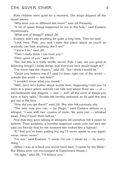#### The SILVER Chair and sales a state of the state of the state of the state of the state of the state of the state of the state of the state of the state of the state of the state of the state of the state of the state of th

Both children were quiet for a moment. The drops dripped off the laurel leaves.

"Why were you so different last term?" said Jill Presently.

"A lot of queer things happened to me in the hols," said Eustace mysteriously.

"What sort of things?" asked Jill.

Eustace didn't say anything for quite a long time. Then he said:

"Look here, Pole, you and I hate this place about as much as anybody can hate anything, don't we?"

"I know I do," said Jill.

"Then I really think I can trust you."

"Dam' good of you," said Jill.

"Yes, but this is a really terrific secret. Pole, I say, are you good at believing things? I mean things that everyone here would laugh at?"

"I've never had the chance," said Jill, "but I think I would be."

"Could you believe me if I said I'd been right out of the world outside this world — last hols?"

"I wouldn't know what you meant."

"Well, don't let's bother about worlds then. Supposing I told you I'd been in a place where animals can talk and where there are — er enchantments and dragons — and — well, all the sorts of things you have in fairy tales." Scrubb felt terribly awkward as he said this and got red in the face.

"How did you get there?" said Jill. She also felt curiously shy.

"The only way you can  $-$  by Magic," said Eustace almost in a whisper. "I was with two cousins of mine. We were just — whisked away. They'd been there before."

Now that they were talking in whispers Jill somehow felt it easier to believe. Then suddenly a horrible suspicion came over her and she said (so fiercely that for the moment she looked like a tigress):

"If I find you've been pulling my leg I'll never speak to you again; never, never, never."

"I'm not," said Eustace. "I swear I'm not. I swear by — by everything."

(When I was at school one would have said, "I swear by the Bible." But Bibles were not encouraged at Experiment House.)

"All right," said Jill, "I'll believe you."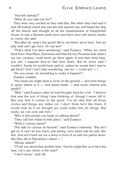"And tell nobody?"

"What do you take me for?"

They were very excited as they said this. But when they had said it and Jill looked round and saw the dull autumn sky and heard the drip off the leaves and thought of all the hopelessness of Experiment House (it was a thirteen-week term and there were still eleven weeks to come) she said:

"But after all, what's the good? We're not there: we're here. And we jolly well can't get *there*. Or can we?"

"That's what I've been wondering," said Eustace. "When we came back from That Place, Someone said that the two Pevensie kids (that's my two cousins) could never go there again. It was their third time, you see. I suppose they've had their share. But he never said I couldn't. Surely he would have said so, unless he meant that I was to get back? And I can't help wondering, can we — could we? — "

"Do you mean, do something to make it happen?"

Eustace nodded.

"You mean we might draw a circle on the ground — and write things in queer letters in it — and stand inside — and recite charms and spells?"

"Well," said Eustace after he had thought hard for a bit. "I believe that was the sort of thing I was thinking of, though I never did it. But now that it comes to the point, I've an idea that all those circles and things are rather rot. I don't think he'd like them. It would look as if we thought we could make him do things. But really, we can only ask him."

"Who is this person you keep on talking about?"

"They call him Aslan in that place," said Eustace.

"What a curious name!"

"Not half so curious as himself," said Eustace solemnly. "But let's get on. It can't do any harm, just asking. Let's stand side by side, like this. And we'll hold out our a arms in front of us with the palms down: like they did in Ramandu's island — "

"Whose island?"

"I'll tell you about that another time. And he might like us to face the east. Let's see, where is the east?"

"I don't know," said Jill.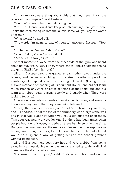#### The SILVER Chair company of the SILVER Chair

"It's an extraordinary thing about girls that they never know the points of the compass," said Eustace.

"You don't know either," said Jill indignantly.

"Yes I do, if only you didn't keep on interrupting. I've got it now. That's the east, facing up into the laurels. Now, will you say the words after me?"

"What words?" asked Jill.

"The words I'm going to say, of course," answered Eustace. "Now — "

And he began, "Aslan, Aslan, Aslan!"

"Aslan, Aslan, Aslan," repeated Jill.

"Please let us two go into — "

At that moment a voice from the other side of the gym was heard shouting out, "Pole? Yes. I know where she is. She's blubbing behind the gym. Shall I fetch her out?"

Jill and Eustace gave one glance at each other, dived under the laurels, and began scrambling up the steep, earthy slope of the shrubbery at a speed which did them great credit. (Owing to the curious methods of teaching at Experiment House, one did not learn much French or Maths or Latin or things of that sort; but one did learn a lot about getting away quickly and quietly when They were looking for one.)

After about a minute's scramble they stopped to listen, and knew by the noises they heard that they were being followed.

"If only the door was open again!" said Scrubb as they went on, and Jill nodded. For at the top of the shrubbery was a high stone wall and in that wall a door by which you could get out onto open moor. This door was nearly always locked. But there had been times when people had found it open; or perhaps there had been only one time. But you may imagine how the memory of even one time kept people hoping, and trying the door; for if it should happen to be unlocked it would be a splendid way of getting outside the school grounds without being seen.

Jill and Eustace, now both very hot and very grubby from going along bent almost double under the laurels, panted up to the wall. And there was the door, shut as usual.

"It's sure to be no good," said Eustace with his hand on the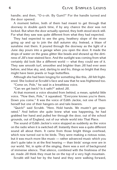handle; and then, "O-o-oh. By Gum!!" For the handle turned and the door opened.

A moment before, both of them had meant to get through that doorway in double quick time, if by any chance the door was not locked. But when the door actually opened, they both stood stock still. For what they saw was quite different from what they had expected.

They had expected to see the grey, heathery slope of the moor going up and up to join the dull autumn sky. Instead, a blaze of sunshine met them. It poured through the doorway as the light of a June day pours into a garage when you open the door. It made the drops of water on the grass glitter like beads and showed up the dirtiness of Jill's tear-stained face. And the sunlight was coming from what certainly did look like a different world — what they could see of it. They saw smooth turf, smoother and brighter than Jill had ever seen before, and blue sky, and, darting to and fro, things so bright that they might have been jewels or huge butterflies.

Although she had been longing for something like this, Jill felt frightened. She looked at Scrubb's face and saw that he was frightened too.

"Come on, Pole," he said in a breathless voice.

"Can we get back? Is it safe?" asked Jill.

At that moment a voice shouted from behind, a mean, spiteful little voice. "Now then, Pole," it squeaked. "Everyone knows you're there. Down you come." It was the voice of Edith Jackie, not one of Them herself but one of their hangers-on and tale-bearers.

"Quick!" said Scrubb. "Here. Hold hands. We mustn't get separated." And before she quite knew what was happening, he had grabbed her hand and pulled her through the door, out of the school grounds, out of England, out of our whole world into That Place.

The sound of Edith Jackie's voice stopped as suddenly as the voice on the radio when it is switched off. Instantly there was a quite different sound all about them. It came from those bright things overhead, which now turned out to be birds. They were making a riotous noise, but it was much more like music — rather advanced music which you don't quite take in at the first hearing — than birds' songs ever are in our world. Yet, in spite of the singing, there was a sort of background of immense silence. That silence, combined with the freshness of the air, made Jill think they must be on the top of a very high mountain.

Scrubb still had her by the hand and they were walking forward,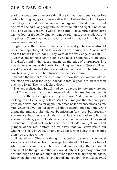#### The SILVER Chair compared to the T

staring about them on every side. Jill saw that huge trees, rather like cedars but bigger, grew in every direction. But as they did not grow close together, and as there was no undergrowth, this did not prevent one from seeing a long way into the forest to left and right. And as far as Jill's eye could reach, it was all the same — level turf, darting birds with yellow, or dragonfly blue, or rainbow plumage, blue shadows, and emptiness. There was not a breath of wind in that cool, bright air. It was a very lonely forest.

Right ahead there were no trees: only blue sky. They went straight on without speaking till suddenly Jill heard Scrubb say, "Look out!" and felt herself jerked back. They were at the very edge of a cliff.

Jill was one of those lucky people who have a good head for heights. She didn't mind in the least standing on the edge of a precipice. She was rather annoyed with Scrubb for pulling her back — "just as if I was a kid," she said — and she wrenched her hand out of his. When she saw how very white he had turned, she despised him.

"What's the matter?" she said. And to show that she was not afraid, she stood very near the edge indeed; in fact, a good deal nearer than even she liked. Then she looked down.

She now realised that Scrubb had some excuse for looking white, for no cliff in our world is to be compared with this. Imagine yourself at the top of the very highest cliff you know. And imagine yourself looking down to the very bottom. And then imagine that the precipice goes on below that, as far again, ten times as far, twenty times as far. And when you've looked down all that distance imagine little white things that might, at first glance, be mistaken for sheep, but presently you realise that they are clouds — not little wreaths of mist but the enormous white, puffy clouds which are themselves as big as most mountains. And at last, in between those clouds, you get your first glimpse of the real bottom, so far away that you can't make out whether it's field or wood, or land or water: further below those clouds than you are above them.

Jill stared at it. Then she thought that perhaps, after all, she would step back a foot or so from the edge; but she didn't like to for fear of what Scrubb would think. Then she suddenly decided that she didn't care what he thought, and that she would jolly well get away from that horrible edge and never laugh at anyone for not liking heights again. But when she tried to move, she found she couldn't. Her legs seemed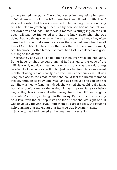to have turned into putty. Everything was swimming before her eyes.

"What are you doing, Pole? Come back — blithering little idiot!" shouted Scrubb. But his voice seemed to be coming from a long way off. She felt him grabbing at her. But by now she had no control over her own arms and legs. There was a moment's struggling on the cliff edge. Jill was too frightened and dizzy to know quite what she was doing, but two things she remembered as long as she lived (they often came back to her in dreams). One was that she had wrenched herself free of Scrubb's clutches; the other was that, at the same moment, Scrubb himself, with a terrified scream, had lost his balance and gone hurtling to the depths.

Fortunately she was given no time to think over what she had done. Some huge, brightly coloured animal had rushed to the edge of the cliff. It was lying down, leaning over, and (this was the odd thing) blowing. Not roaring or snorting but just blowing from its wide-opened mouth; blowing out as steadily as a vacuum cleaner sucks in. Jill was lying so close to the creature that she could feel the breath vibrating steadily through its body. She was lying still because she couldn't get up. She was nearly fainting: indeed, she wished she could really faint, but faints don't come for the asking. At last she saw, far away below her, a tiny black speck floating away from the cliff and slightly upwards. As it rose, it also got further away. By the time it was nearly on a level with the cliff top it was so far off that she lost sight of it. It was obviously moving away from them at a great speed. Jill couldn't help thinking that the creature at her side was blowing it away.

So she turned and looked at the creature. It was a lion.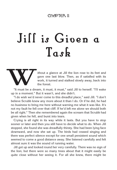#### Chapter II

### <span id="page-14-0"></span>Jill is Given a Task



It must be a dream, it must, it must," said Jill to herself. "I'll wake with its a dream, it must, it must," said Jill to herself. "I'll wake gave one last blow. Then, as if satisfied with its work, it turned and stalked slowly away, back into the forest.

up in a moment." But it wasn't, and she didn't.

"I do wish we'd never come to this dreadful place," said Jill. "I don't believe Scrubb knew any more about it than I do. Or if he did, he had no business to bring me here without warning me what it was like. It's not my fault he fell over that cliff. If he'd left me alone we should both be all right." Then she remembered again the scream that Scrubb had given when he fell, and burst into tears.

Crying is all right in its way while it lasts. But you have to stop sooner or later and then you still have to decide what to do. When Jill stopped, she found she was dreadfully thirsty. She had been lying face downward, and now she sat up. The birds had ceased singing and there was perfect silence except for one small persistent sound which seemed to come a good distance away. She listened carefully and felt almost sure it was the sound of running water.

Jill got up and looked round her very carefully. There was no sign of the lion; but there were so many trees about that it might easily be quite close without her seeing it. For all she knew, there might be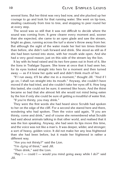several lions. But her thirst was very bad now, and she plucked up her courage to go and look for that running water. She went on tip-toes, stealing cautiously from tree to tree, and stopping to peer round her at every step.

The wood was so still that it was not difficult to decide where the sound was coming from. It grew clearer every moment and, sooner than she expected, she came to an open glade and saw the stream, bright as glass, running across the turf a stone's throw away from her. But although the sight of the water made her feel ten times thirstier than before, she didn't rush forward and drink. She stood as still as if she had been turned into stone, with her mouth wide open. And she had a very good reason; just on this side of the stream lay the lion.

It lay with its head raised and its two fore-paws out in front of it, like the lions in Trafalgar Square. She knew at once that it had seen her, for its eyes looked straight into hers for a moment and then turned away — as if it knew her quite well and didn't think much of her.

"If I run away, it'll be after me in a moment," thought Jill. "And if I go on, I shall run straight into its mouth." Anyway, she couldn't have moved if she had tried, and she couldn't take her eyes off it. How long this lasted, she could not be sure; it seemed like hours. And the thirst became so bad that she almost felt she would not mind being eaten by the lion if only she could be sure of getting a mouthful of water first.

"If you're thirsty, you may drink."

They were the first words she had heard since Scrubb had spoken to her on the edge of the cliff. For a second she stared here and there, wondering who had spoken. Then the voice said again, "If you are thirsty, come and drink," and of course she remembered what Scrubb had said about animals talking in that other world, and realised that it was the lion speaking. Anyway, she had seen its lips move this time, and the voice was not like a man's. It was deeper, wilder, and stronger; a sort of heavy, golden voice. It did not make her any less frightened than she had been before, but it made her frightened in rather a different way.

"Are you not thirsty?" said the Lion.

"I'm *dying* of thirst," said Jill.

"Then drink," said the Lion.

"May I — could I — would you mind going away while I do?" said Jill.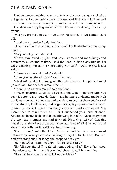#### The SILVER Chair company of the SILVER Chair

The Lion answered this only by a look and a very low growl. And as Jill gazed at its motionless bulk, she realised that she might as well have asked the whole mountain to move aside for her convenience.

The delicious rippling noise of the stream was driving her nearly frantic.

"Will you promise not to — do anything to me, if I do come?" said Jill.

"I make no promise," said the Lion.

Jill was so thirsty now that, without noticing it, she had come a step nearer.

"Do you eat girls?" she said.

"I have swallowed up girls and boys, women and men, kings and emperors, cities and realms," said the Lion. It didn't say this as if it were boasting, nor as if it were sorry, nor as if it were angry. It just said it.

"I daren't come and drink," said Jill.

"Then you will die of thirst," said the Lion.

"Oh dear!" said Jill, coming another step nearer. "I suppose I must go and look for another stream then."

"There is no other stream," said the Lion.

It never occurred to Jill to disbelieve the Lion — no one who had seen his stern face could do that — and her mind suddenly made itself up. It was the worst thing she had ever had to do, but she went forward to the stream, knelt down, and began scooping up water in her hand. It was the coldest, most refreshing water she had ever tasted. You didn't need to drink much of it, for it quenched your thirst at once. Before she tasted it she had been intending to make a dash away from the Lion the moment she had finished. Now, she realised that this would be on the whole the most dangerous thing of all. She got up and stood there with her lips still wet from drinking.

"Come here," said the Lion. And she had to. She was almost between its front paws now, looking straight into its face. But she couldn't stand that for long; she dropped her eyes.

"Human Child," said the Lion, "Where is the Boy?"

"He fell over the cliff," said Jill, and added, "Sir." She didn't know what else to call him, and it sounded cheek to call him nothing.

"How did he come to do that, Human Child?"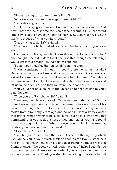"He was trying to stop me from falling, Sir."

"Why were you so near the edge, Human Child?"

"I was showing off, Sir."

"That is a very good answer, Human Child. Do so no more. And now" (here for the first time the Lion's face became a little less stern) "the Boy is safe. I have blown him to Narnia. But your task will be the harder because of what you have done."

"Please, what task, Sir?" said Jill.

"The task for which I called you and him here out of your own world."

This puzzled Jill very much. "It's mistaking me for someone else," she thought. She didn't dare to tell the Lion this, though she felt things would get into a dreadful muddle unless she did.

"Speak your thought, Human Child," said the Lion.

"I was wondering — I mean — could there be some mistake? Because nobody called me and Scrubb, you know. It was we who asked to come here. Scrubb said we were to call to — to Somebody — it was a name I wouldn't know — and perhaps the Somebody would let us in. And we did, and then we found the door open."

"You would not have called to me unless I had been calling to you," said the Lion.

"Then you are Somebody, Sir?" said Jill.

"I am. And now hear your task. Far from here in the land of Narnia there lives an aged king who is sad because he has no prince of his blood to be king after him. He has no heir because his only son was stolen from him many years ago and no one in Narnia knows where that prince went or whether he is still alive. But he is. I lay on you this command, that you seek this lost prince until either you have found him and brought him to his father's house, or else died in the attempt, or else gone back into your own world."

"How, please?" said Jill.

"I will tell you, Child," said the Lion. "These are the signs by which I will guide you in your quest. First; as soon as the Boy Eustace sets foot in Narnia, he will meet an old and dear friend. He must greet that friend at once; if he does, you will both have good help. Second; you must journey out of Narnia to the north till you come to the ruined city of the ancient giants. Third; you shall find a writing on a stone in that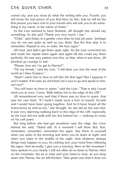#### The SILVER Chair company of the SILVER Chairs and the state of the state of the state of the state of the state of the state of the state of the state of the state of the state of the state of the state of the state of the

ruined city, and you must do what the writing tells you. Fourth; you will know the lost prince (if you find him) by this, that he will be the first person you have met in your travels who will ask you to do something in my name, in the name of Aslan."

As the Lion seemed to have finished, Jill thought she should say something. So she said "Thank you very much. I see."

"Child," said Aslan, in a gentler voice than he had yet used, "perhaps you do not see quite as well as you think. But the first step is to remember. Repeat to me, in order, the four signs."

Jill tried, and didn't get them quite right. So the Lion corrected her and made her repeat them again and again till she could say them perfectly. He was very patient over this, so that, when it was done, Jill plucked up courage to ask:

"Please, how am I to get to Narnia?"

"On my breath," said the Lion. "I will blow you into the west of the world as I blew Eustace."

"Shall I catch him in time to tell him the first sign? But I suppose it won't matter. If he sees an old friend, he's sure to go and speak to him, isn't he?"

"You will have no time to spare," said the Lion. "That is why I must send you at once. Come. Walk before me to the edge of the cliff."

Jill remembered very well that if there was no time to spare, that was her own fault. "If I hadn't made such a fool of myself, Scrubb and I would have been going together. And he'd have heard all the instructions as well as me," she thought. So she did as she was told. It was very alarming walking back to the edge of the cliff, especially as the Lion did not walk with her but behind her — making no noise on his soft paws.

But long before she had got anywhere near the edge, the voice behind her said, "Stand still. In a moment I will blow. But, first, remember, remember, remember the signs. Say them to yourself when you wake in the morning and when you lie down at night, and when you wake in the middle of the night. And whatever strange things may happen to you, let nothing turn your mind from following the signs. And secondly, I give you a warning. Here on the mountain I have spoken to you clearly: I will not often do so down in Narnia. Here on the mountain, the air is clear and your mind is clear; as you drop down into Narnia, the air will thicken. Take great care that it does not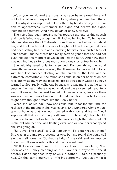confuse your mind. And the signs which you have learned here will not look at all as you expect them to look, when you meet them there. That is why it is so important to know them by heart and pay no attention to appearances. Remember the signs and believe the signs. Nothing else matters. And now, daughter of Eve, farewell — "

The voice had been growing softer towards the end of this speech and now it faded away altogether. Jill looked behind her. To her astonishment she saw the cliff already more than a hundred yards behind her, and the Lion himself a speck of bright gold on the edge of it. She had been setting her teeth and clenching her fists for a terrible blast of lion's breath; but the breath had really been so gentle that she had not even noticed the moment at which she left the earth. And now, there was nothing but air for thousands upon thousands of feet below her.

She felt frightened only for a second. For one thing, the world beneath her was so very far away that it seemed to have nothing to do with her. For another, floating on the breath of the Lion was so extremely comfortable. She found she could lie on her back or on her face and twist any way she pleased, just as you can in water (if you've learned to float really well). And because she was moving at the same pace as the breath, there was no wind, and the air seemed beautifully warm. It was not in the least like being in an aeroplane, because there was no noise and no vibration. If Jill had ever been in a balloon she might have thought it more like that; only better.

When she looked back now she could take in for the first time the real size of the mountain she was leaving. She wondered why a mountain so huge as that was not covered with snow and ice — "but I suppose all that sort of thing is different in this world," thought Jill. Then she looked below her; but she was so high that she couldn't make out whether she was floating over land or sea, nor what speed she was going at.

"By Jove! The signs!" said Jill suddenly. "I'd better repeat them." She was in a panic for a second or two, but she found she could still say them all correctly. "So that's all right," she said, and lay back on the air as if it was a sofa, with a sigh of contentment.

"Well, I do declare," said Jill to herself some hours later, "I've been asleep. Fancy sleeping on air. I wonder if anyone's done it before. I don't suppose they have. Oh bother — Scrubb probably has! On this same journey, a little bit before me. Let's see what it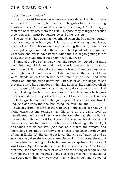#### The SILVER Chair company of the SILVER Chairs of the state of the state of the state of the state of the state o

looks like down below."

What it looked like was an enormous, very dark blue plain. There were no hills to be seen, but there were biggish white things moving slowly across it. "Those must be clouds," she thought. "But far bigger than the ones we saw from the cliff. I suppose they're bigger because they're nearer. I must be getting lower. Bother this sun."

The sun which had been high overhead when she began her journey was now getting in her eyes. This meant that it was getting lower, ahead of her. Scrubb was quite right in saying that Jill (I don't know about girls in general) didn't think much about points of the compass. Otherwise she would have known, when the sun began getting in her eyes, that she was travelling pretty nearly due west.

Staring at the blue plain below her, she presently noticed that there were little dots of brighter, paler colour in it here and there. "It's the sea!" thought Jill. "I do believe those are islands." And so they were. She might have felt rather jealous if she had known that some of them were islands which Scrubb had seen from a ship's deck and even landed on; but she didn't know this. Then, later on, she began to see that there were little wrinkles on the blue flatness: little wrinkles which must be quite big ocean waves if you were down among them. And now, all along the horizon there was a thick dark line which grew thicker and darker so quickly that you could see it growing. That was the first sign she had had of the great speed at which she was travelling. And she knew that the thickening line must be land.

Suddenly from her left (for the wind was in the south) a great white cloud came rushing towards her, this time on the same level as herself. And before she knew where she was, she had shot right into the middle of its cold, wet fogginess. That took her breath away, but she was in it only for a moment. She came out blinking in the sunlight and found her clothes wet. (She had on a blazer and sweater and shorts and stockings and pretty thick shoes; it had been a muddy sort of day in England.) She came out lower than she had gone in; and as soon as she did so she noticed something which, I suppose, she ought to have been expecting, but which came as a surprise and a shock. It was Noises. Up till then she had travelled in total silence. Now, for the first time, she heard the noise of waves and the crying of seagulls. And now too she smelled the smell of the sea. There was no mistake about her speed now. She saw two waves meet with a smack and a spout of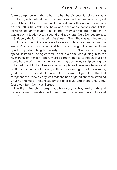foam go up between them; but she had hardly seen it before it was a hundred yards behind her. The land was getting nearer at a great pace. She could see mountains far inland, and other nearer mountains on her left. She could see bays and headlands, woods and fields, stretches of sandy beach. The sound of waves breaking on the shore was growing louder every second and drowning the other sea noises.

Suddenly the land opened right ahead of her. She was coming to the mouth of a river. She was very low now, only a few feet above the water. A wave-top came against her toe and a great splash of foam spurted up, drenching her nearly to the waist. Now she was losing speed. Instead of being carried up the river she was gliding in to the river bank on her left. There were so many things to notice that she could hardly take them all in; a smooth, green lawn, a ship so brightly coloured that it looked like an enormous piece of jewellery, towers and battlements, banners fluttering in the air, a crowd, gay clothes, armour, gold, swords, a sound of music. But this was all jumbled. The first thing that she knew clearly was that she had alighted and was standing under a thicket of trees close by the river side, and there, only a few feet away from her, was Scrubb.

The first thing she thought was how very grubby and untidy and generally unimpressive he looked. And the second was "How wet I am!"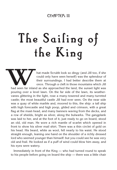#### Chapter III

### <span id="page-22-0"></span>The Sailing of the King

hat made Scrubb look so dingy (and Jill too, if she could only have seen herself) was the splendour of their surroundings. I had better describe them at once. Through a cleft in those mountains which Jill had seen far inla could only have seen herself) was the splendour of their surroundings. I had better describe them at once. Through a cleft in those mountains which Jill

pouring over a level lawn. On the far side of the lawn, its weathervanes glittering in the light, rose a many-towered and many-turreted castle; the most beautiful castle Jill had ever seen. On the near side was a quay of white marble and, moored to this, the ship: a tall ship with high forecastle and high poop, gilded and crimson, with a great flag at the mast-head, and many banners waving from the decks, and a row of shields, bright as silver, along the bulwarks. The gangplank was laid to her, and at the foot of it, just ready to go on board, stood an old, old man. He wore a rich mantle of scarlet which opened in front to show his silver mail shirt. There was a thin circlet of gold on his head. His beard, white as wool, fell nearly to his waist. He stood straight enough, leaning one hand on the shoulder of a richly dressed lord who seemed younger than himself: but you could see he was very old and frail. He looked as if a puff of wind could blow him away, and his eyes were watery.

Immediately in front of the King — who had turned round to speak to his people before going on board the ship — there was a little chair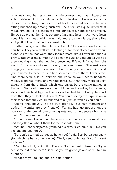on wheels, and, harnessed to it, a little donkey: not much bigger than a big retriever. In this chair sat a fat little dwarf. He was as richly dressed as the King, but because of his fatness and because he was sitting hunched up among cushions, the effect was quite different: it made him look like a shapeless little bundle of fur and silk and velvet. He was as old as the King, but more hale and hearty, with very keen eyes. His bare head, which was bald and extremely large, shone like a gigantic billiard ball in the sunset light.

Farther back, in a half-circle, stood what Jill at once knew to be the courtiers. They were well worth looking at for their clothes and armour alone. As far as that went, they looked more like a flower bed than a crowd. But what really made Jill open her eyes and mouth as wide as they would go, was the people themselves. If "people" was the right word. For only about one in every five was human. The rest were things you never see in our world. Fauns, satyrs, centaurs: Jill could give a name to these, for she had seen pictures of them. Dwarfs too. And there were a lot of animals she knew as well; bears, badgers, moles, leopards, mice, and various birds. But then they were so very different from the animals which one called by the same names in England. Some of them were much bigger — the mice, for instance, stood on their hind legs and were over two feet high. But quite apart from that, they all looked different. You could see by the expression in their faces that they could talk and think just as well as you could.

"Golly!" thought Jill. "So it's true after all." But next moment she added, "I wonder are they friendly?" For she had just noticed, on the outskirts of the crowd, one or two giants and some people whom she couldn't give a name to at all.

At that moment Aslan and the signs rushed back into her mind. She had forgotten all about them for the last half-hour.

"Scrubb!" she whispered, grabbing his arm. "Scrubb, quick! Do you see anyone you know?"

"So *you've* turned up again, have you?" said Scrubb disagreeably (for which he had some reason). "Well, keep quiet, can't you? I want to listen."

"Don't be a fool," said Jill. "There isn't a moment to lose. Don't you see some old friend here? Because you've got to go and speak to him at once."

"What are you talking about?" said Scrubb.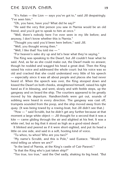#### The SILVER Chair company of the SILVER Chair

"It's Aslan — the Lion — says you've got to," said Jill despairingly. "I've seen him."

"Oh, you have, have you? What did he say?"

"He said the very first person you saw in Narnia would be an old friend, and you'd got to speak to him at once."

"Well, there's nobody here I've ever seen in my life before; and anyway, I don't know whether this is Narnia."

"Thought you said you'd been here before," said Jill.

"Well, you thought wrong then."

"Well, I like that! You told me — "

"For heaven's sake dry up and let's hear what they're saying."

The King was speaking to the Dwarf, but Jill couldn't hear what he said. And, as far as she could make out, the Dwarf made no answer, though he nodded and wagged his head a great deal. Then the King raised his voice and addressed the whole court: but his voice was so old and cracked that she could understand very little of his speech — especially since it was all about people and places she had never heard of. When the speech was over, the King stooped down and kissed the Dwarf on both cheeks, straightened himself, raised his right hand as if in blessing, and went, slowly and with feeble steps, up the gangway and on board the ship. The courtiers appeared to be greatly moved by his departure. Handkerchiefs were got out, sounds of sobbing were heard in every direction. The gangway was cast off, trumpets sounded from the poop, and the ship moved away from the quay. (It was being towed by a rowing-boat, but Jill didn't see that.)

"Now — " said Scrubb, but he didn't get any further because at that moment a large white object — Jill thought for a second that it was a kite — came gliding through the air and alighted at his feet. It was a white owl, but so big that it stood as high as a good-sized dwarf.

It blinked and peered as if it were short-sighted, and put its head a little on one side, and said in a soft, hooting kind of voice.

"Tu-whoo, tu-whoo! Who are you two?"

"My name's Scrubb, and this is Pole," said Eustace. "Would you mind telling us where we are?"

"In the land of Narnia, at the King's castle of Cair Paravel."

"Is that the King who's just taken ship?"

"Too true, too true," said the Owl sadly, shaking its big head. "But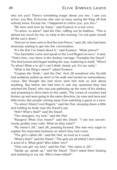who are you? There's something magic about you two. I saw you arrive: you flew. Everyone else was so busy seeing the King off that nobody knew. Except me. I happened to notice you, you *flew*."

"We were sent here by Aslan," said Eustace in a low voice.

"Tu-whoo, tu-whoo!" said the Owl, ruffling out its feathers. "This is almost too much for me, so early in the evening. I'm not quite myself till the sun's down."

"And we've been sent to find the lost Prince," said Jill, who had been anxiously waiting to get into the conversation.

"It's the first I've heard about it," said Eustace. "What prince?"

"You had better come and speak to the Lord Regent at once," it said. "That's him, over there in the donkey carriage; Trumpkin the Dwarf." The bird turned and began leading the way, muttering to itself, "Whoo! Tu-whoo! What a to-do! I can't think clearly yet. It's too early."

"What is the King's name?" asked Eustace.

"Caspian the Tenth," said the Owl. And Jill wondered why Scrubb had suddenly pulled up short in his walk and turned an extraordinary colour. She thought she had never seen him look so sick about anything. But before she had time to ask any questions they had reached the Dwarf, who was just gathering up the reins of his donkey and preparing to drive back to the castle. The crowd of courtiers had broken up and were going in the same direction, by ones and twos and little knots, like people coming away from watching a game or a race.

"Tu-whoo! Ahem! Lord Regent," said the Owl, stooping down a little and holding its beak near the Dwarf's ear.

"Heh? What's that?" said the Dwarf.

"Two strangers, my lord," said the Owl.

"Rangers! What d'ye mean?" said the Dwarf. "I see two uncommonly grubby man-cubs. What do they want?"

"My name's Jill," said Jill, pressing forward. She was very eager to explain the important business on which they had come.

"The girl's called Jill," said the Owl, as loud as it could.

"What's that?" said the Dwarf. "The girls are all killed! I don't believe a word of it. What girls? Who killed 'em?"

"Only one girl, my lord," said the Owl. "Her name is Jill."

"Speak up, speak up," said the Dwarf. "Don't stand there buzzing and twittering in my ear. Who's been killed?"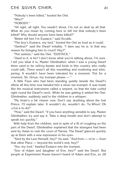#### The SILVER Chair company of the SILVER Chair company of the same of the same of the same of the same of the same of the same of the same of the same of the same of the same of the same of the same of the same of the same o

"Nobody's been killed," hooted the Owl.

"Who?"

"NOBODY."

"All right, all right. You needn't shout. I'm not so deaf as all that. What do you mean by coming here to tell me that nobody's been killed? Why should anyone have been killed?"

"Better tell him I'm Eustace," said Scrubb.

"The boy's Eustace, my lord," hooted the Owl as loud as it could.

"Useless?" said the Dwarf irritably. "I dare say he is. Is that any reason for bringing him to court? Hey?"

"Not useless," said the Owl. "EUSTACE."

"Used to it, is he? I don't know what you're talking about, I'm sure. I tell you what it is, Master Glimfeather; when I was a young Dwarf there used to be *talking* beasts and birds in this country who really could talk. There wasn't all this mumbling and muttering and whispering. It wouldn't have been tolerated for a moment. Not for a moment, Sir. Urnus, my trumpet please — "

A little Faun who had been standing quietly beside the Dwarf's elbow all this time now handed him a silver ear-trumpet. It was made like the musical instrument called a serpent, so that the tube curled right round the Dwarf's neck. While he was getting it settled the Owl, Glimfeather, suddenly said to the children in a whisper:

"My brain's a bit clearer now. Don't say anything about the lost Prince. I'll explain later. It wouldn't do, wouldn't do, Tu-Whoo! Oh *what* a to-do!"

"Now," said the Dwarf, "if you have anything sensible to say, Master Glimfeather, try and say it. Take a deep breath and don't attempt to speak too quickly."

With help from the children, and in spite of a fit of coughing on the part of the Dwarf, Glimfeather explained that the strangers had been sent by Aslan to visit the court of Narnia. The Dwarf glanced quickly up at them with a new expression in his eyes.

"Sent by the Lion Himself, hey?" he said. "And from — m'm — from that other Place — beyond the world's end, hey?"

"Yes, my lord," bawled Eustace into the trumpet.

"Son of Adam and daughter of Eve, hey?" said the Dwarf. But people at Experiment House haven't heard of Adam and Eve, so Jill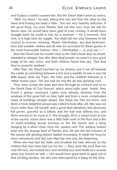and Eustace couldn't answer this. But the Dwarf didn't seem to notice.

"Well, my dears," he said, taking first one and then the other by the hand and bowing his head a little. "You are very heartily welcome. If the good King, my poor Master, had not this very hour set sail for Seven Isles, he would have been glad of your coming. It would have brought back his youth to him for a moment — for a moment. And now, it is high time for supper. You shall tell me your business in full council to-morrow morning. Master Glimfeather, see that bedchambers and suitable clothes and all else are provided for these guests in the most honourable fashion. And — Glimfeather — in your ear — "

Here the Dwarf put his mouth close to the Owl's head and, no doubt, intended to whisper: but, like other deaf people, he wasn't a very good judge of his own voice, and both children heard him say, "See that they're properly washed."

After that, the Dwarf touched up his donkey and it set off towards the castle at something between a trot and a waddle (it was a very fat little beast) while the Faun, the Owl, and the children followed at a rather slower pace. The sun had set and the air was growing cool.

They went across the lawn and then through an orchard and so to the North Gate of Cair Paravel, which stood wide open. Inside, they found a grassy courtyard. Lights were already showing from the windows of the great hall on their right and from a more complicated mass of buildings straight ahead. Into these the Owl led them, and there a most delightful person was called to look after Jill. She was not much taller than Jill herself, and a good deal slenderer, but obviously full grown, graceful as a willow, and her hair was willowy too, and there seemed to be moss in it. She brought Jill to a round room in one of the turrets, where there was a little bath sunk in the floor and a fire of sweet-smelling woods burning on the flat hearth and a lamp hanging by a silver chain from the vaulted roof. The window looked west into the strange land of Narnia, and Jill saw the red remains of the sunset still glowing behind distant mountains. It made her long for more adventures and feel sure that this was only the beginning.

When she had had her bath, and brushed her hair, and put on the clothes that had been laid out for her — they were the kind that not only felt nice, but looked nice and smelled nice and made nice sounds when you moved as well — she would have gone back to gaze out of that exciting window, but she was interrupted by a bang on the door.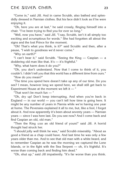#### The SILVER Chair company of the SILVER Chair company of the case of the case of the case of the case of the case of the case of the case of the case of the case of the case of the case of the case of the case of the case o

"Come in," said Jill. And in came Scrubb, also bathed and splendidly dressed in Narnian clothes. But his face didn't look as if he were enjoying it.

"Oh, here you are at last," he said crossly, flinging himself into a chair. "I've been trying to find you for ever so long."

"Well, now you have," said Jill. "I say, Scrubb, isn't it all simply too exciting and scrumptious for words." She had forgotten all about the signs and the lost Prince for the moment.

"Oh! That's what you think, is it?" said Scrubb: and then, after a pause, "I wish to goodness we'd never come."

"Why on earth?"

"I can't bear it," said Scrubb. "Seeing the King — Caspian — a doddering old man like that. It's — it's frightful."

"Why, what harm does it do you?"

"Oh, you don't understand. Now that I come to think of it, you couldn't. I didn't tell you that this world has a different time from ours."

"How do you mean?"

"The time you spend here doesn't take up any of our time. Do you see? I mean, however long we spend here, we shall still get back to Experiment House at the moment we left it  $-$  "

"That won't be much fun — "

"Oh, dry up! Don't keep interrupting. And when you're back in England  $-$  in our world  $-$  you can't tell how time is going here. It might be any number of years in Narnia while we're having one year at home. The Pevensies explained it all to me, but, like a fool, I forgot about it. And now apparently it's been about seventy years — Narnian years — since I was here last. Do you see now? And I come back and find Caspian an old, old man."

"Then the King *was* an old friend of yours!" said Jill. A horrid thought had struck her.

"I should jolly well think he was," said Scrubb miserably. "About as good a friend as a chap could have. And last time he was only a few years older than me. And to see that old man with a white beard, and to remember Caspian as he was the morning we captured the Lone Islands, or in the fight with the Sea Serpent — oh, it's frightful. It's worse than coming back and finding him dead."

"Oh, shut up," said Jill impatiently. "It's far worse than you think.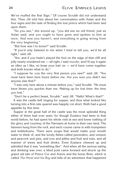We've muffed the first Sign." Of course Scrubb did not understand this. Then Jill told him about her conversation with Aslan and the four signs and the task of finding the lost prince which had been laid upon them.

"So you see," she wound up, "you did see an old friend, just as Aslan said, and you ought to have gone and spoken to him at once. And now you haven't, and everything is going wrong from the very beginning."

"But how was I to know?" said Scrubb.

"If you'd only listened to me when I tried to tell you, we'd be all right," said Jill.

"Yes, and if you hadn't played the fool on the edge of that cliff and jolly nearly murdered me — all right, I said *murder*, and I'll say it again as often as I like, so keep your hair on — we'd have come together and both known what to do."

"I suppose he *was* the very first person you saw?" said Jill. "You must have been here hours before me. Are you sure you didn't see anyone else first?"

"I was only here about a minute before you," said Scrubb. "He must have blown you quicker than me. Making up for lost time: the time *you* lost."

"Don't be a perfect beast, Scrubb," said Jill. "Hallo! What's that?"

It was the castle bell ringing for supper, and thus what looked like turning into a first-rate quarrel was happily cut short. Both had a good appetite by this time.

Supper in the great hall of the castle was the most splendid thing either of them had ever seen; for though Eustace had been in that world before, he had spent his whole visit at sea and knew nothing of the glory and courtesy of the Narnians at home in their own land. The banners hung from the roof, and each course came in with trumpeters and kettledrums. There were soups that would make your mouth water to think of, and the lovely fishes called pavenders, and venison and peacock and pies, and ices and jellies and fruit and nuts, and all manner of wines and fruit drinks. Even Eustace cheered up and admitted that it was "something like". And when all the serious eating and drinking was over, a blind poet came forward and struck up the grand old tale of Prince Cor and Aravis and the horse Bree, which is called *The Horse and his Boy* and tells of an adventure that happened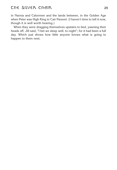in Narnia and Calormen and the lands between, in the Golden Age when Peter was High King in Cair Paravel. (I haven't time to tell it now, though it is well worth hearing.)

When they were dragging themselves upstairs to bed, yawning their heads off, Jill said, "I bet we sleep well, to-night"; for it had been a full day. Which just shows how little anyone knows what is going to happen to them next.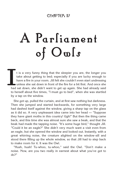#### Chapter II)

### <span id="page-31-0"></span>A Parliament of Owls

I t is a very funny thing that the sleepier you are, the longer you take about getting to bed; especially if you are lucky enough to have a fire in your room. Jill felt she couldn't even start undressing unless she sat down in front of the fire for a bit first. And once she had sat down, she didn't want to get up again. She had already said to herself about five times, "I must go to bed", when she was startled by a tap on the window.

She got up, pulled the curtain, and at first saw nothing but darkness. Then she jumped and started backwards, for something very large had dashed itself against the window, giving a sharp tap on the glass as it did so. A very unpleasant idea came into her head — "Suppose they have giant moths in this country! Ugh!" But then the thing came back, and this time she was almost sure she saw a beak, and that the beak had made the tapping noise. "It's some huge bird," thought Jill. "Could it be an eagle?" She didn't very much want a visit even from an eagle, but she opened the window and looked out. Instantly, with a great whirring noise, the creature alighted on the window-sill and stood there filling up the whole window, so that Jill had to step back to make room for it. It was the Owl.

"Hush, hush! Tu-whoo, tu-whoo," said the Owl. "Don't make a noise. Now, are you two really in earnest about what you've got to do?"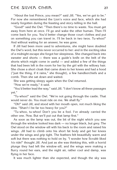#### The SILVER Chair compared to the 27

"About the lost Prince, you mean?" said Jill. "Yes, we've got to be." For now she remembered the Lion's voice and face, which she had nearly forgotten during the feasting and story-telling in the hall.

"Good!" said the Owl. "Then there's no time to waste. You must get away from here at once. I'll go and wake the other human. Then I'll come back for you. You'd better change those court clothes and put on something you can travel in. I'll be back in two twos. Tu-whoo!" And without waiting for an answer, he was gone.

If Jill had been more used to adventures, she might have doubted the Owl's word, but this never occurred to her: and in the exciting idea of a midnight escape she forgot her sleepiness. She changed back into sweater and shorts — there was a guide's knife on the belt of the shorts which might come in useful — and added a few of the things that had been left in the room for her by the girl with the willowy hair. She chose a short cloak that came down to her knees and had a hood ("just the thing, if it rains," she thought), a few handkerchiefs and a comb. Then she sat down and waited.

She was getting sleepy again when the Owl returned.

"Now we're ready," it said.

"You'd better lead the way," said Jill. "I don't know all these passages yet."

"Tu-whoo!" said the Owl. "We're not going through the castle. That would never do. You must ride on me. We shall fly."

"Oh!" said Jill, and stood with her mouth open, not much liking the idea. "Shan't I be far too heavy for you?"

"Tu-whoo, tu-whoo! Don't you be a fool. I've already carried the other one. Now. But we'll put out that lamp first."

As soon as the lamp was out, the bit of the night which you saw through the window looked less dark — no longer black, but grey. The Owl stood on the window-sill with his back to the room and raised his wings. Jill had to climb onto his short fat body and get her knees under the wings and grip tight. The feathers felt beautifully warm and soft but there was nothing to hold on by. "I wonder how Scrubb liked *his* ride!" thought Jill. And just as she was thinking this, with a horrid plunge they had left the window-sill, and the wings were making a flurry round her ears, and the night air, rather cool and damp, was flying in her face.

It was much lighter than she expected, and though the sky was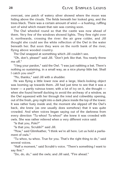overcast, one patch of watery silver showed where the moon was hiding above the clouds. The fields beneath her looked grey, and the trees black. There was a certain amount of wind — a hushing, ruffling sort of wind which meant that rain was coming soon.

The Owl wheeled round so that the castle was now ahead of them. Very few of the windows showed lights. They flew right over it, northwards, crossing the river: the air grew colder, and Jill thought she could see the white reflection of the Owl in the water beneath her. But soon they were on the north bank of the river, flying above wooded country.

The Owl snapped at something which Jill couldn't see.

"Oh, don't, please!" said Jill. "Don't jerk like that. You nearly threw me off."

"I beg your pardon," said the Owl. "I was just nabbing a bat. There's nothing so sustaining, in a small way, as a nice plump little bat. Shall I catch you one?"

"No, thanks," said Jill with a shudder.

He was flying a little lower now and a large, black-looking object was looming up towards them. Jill had just time to see that it was a tower — a partly ruinous tower, with a lot of ivy on it, she thought when she found herself ducking to avoid the archway of a window, as the Owl squeezed with her through the ivied and cobwebby opening, out of the fresh, grey night into a dark place inside the top of the tower. It was rather fusty inside and, the moment she slipped off the Owl's back, she knew (as one usually does somehow) that it was quite crowded. And when voices began saying out of the darkness from every direction "Tu-whoo! Tu-whoo!" she knew it was crowded with owls. She was rather relieved when a very different voice said:

"Is that you, Pole?"

"Is that you, Scrubb?" said Jill.

"Now," said Glimfeather, "I think we're all here. Let us hold a parliament of owls."

"Tu-whoo, tu-whoo. True for you. That's the right thing to do," said several voices.

"Half a moment," said Scrubb's voice. "There's something I want to say first."

"Do, do, do," said the owls; and Jill said, "Fire ahead."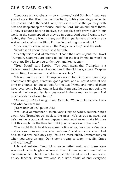"I suppose all you chaps — owls, I mean," said Scrubb, "I suppose you all know that King Caspian the Tenth, in his young days, sailed to the eastern end of the world. Well, I was with him on that journey: with him and Reepicheep the Mouse, and the Lord Drinian and all of them. I know it sounds hard to believe, but people don't grow older in our world at the same speed as they do in yours. And what I want to say is this, that I'm the King's man; and if this parliament of owls is any sort of plot against the King, I'm having nothing to do with it."

"Tu-whoo, tu-whoo, we're all the King's owls too," said the owls. "What's it all about then?" said Scrubb.

"It's only this," said Glimfeather. "That if the Lord Regent, the Dwarf Trumpkin, hears you are going to look for the lost Prince, he won't let you start. He'd keep you under lock and key sooner."

"Great Scott!" said Scrubb. "You don't mean that Trumpkin is a traitor? I used to hear a lot about him in the old days, at sea. Caspian — the King, I mean — trusted him absolutely."

"Oh no," said a voice. "Trumpkin's no traitor. But more than thirty champions (knights, centaurs, good giants, and all sorts) have at one time or another set out to look for the lost Prince, and none of them have ever come back. And at last the King said he was not going to have all the bravest Narnians destroyed in the search for his son. And now nobody is allowed to go."

"But surely he'd let *us* go," said Scrubb. "When he knew who I was and who had sent me."

("Sent both of us," put in Jill.)

"Yes," said Glimfeather, "I think, very likely, he would. But the King's away. And Trumpkin will stick to the rules. He's as true as steel, but he's deaf as a post and very peppery. You could never make him see that this might be the time for making an exception to the rule."

"You might think he'd take some notice of *us*, because we're owls and everyone knows how wise owls are," said someone else. "But he's so old now he'd only say, 'You're a mere chick. I remember you when you were an egg. Don't come trying to teach me, Sir. Crabs and crumpets!'"

This owl imitated Trumpkin's voice rather well, and there were sounds of owlish laughter all round. The children began to see that the Narnians all felt about Trumpkin as people feel at school about some crusty teacher, whom everyone is a little afraid of and everyone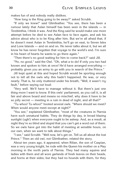makes fun of and nobody really dislikes.

"How long is the King going to be away?" asked Scrubb.

"If only we knew!" said Glimfeather. "You see, there has been a rumour lately that Aslan himself has been seen in the islands — in Terebinthia, I think it was. And the King said he would make one more attempt before he died to see Aslan face to face again, and ask his advice about who is to be King after him. But we're all afraid that, if he doesn't meet Aslan in Terebinthia, he'll go on east, to Seven Isles and Lone Islands — and on and on. He never talks about it, but we all know he has never forgotten that voyage to the world's end. I'm sure in his heart of hearts he wants to go there again."

"Then there's no good waiting for him to come back?" said Jill.

"No, no good," said the Owl. "Oh, what a to-do! If only you two had known and spoken to him at once! He'd have arranged everything probably given you an army to go with you in search of the Prince."

Jill kept quiet at this and hoped Scrubb would be sporting enough not to tell all the owls why this hadn't happened. He was, or very nearly. That is, he only muttered under his breath, "Well, it wasn't *my* fault," before saying out loud:

"Very well. We'll have to manage without it. But there's just one thing more I want to know. If this owls' parliament, as you call it, is all fair and above board and means no mischief, why does it have to be so jolly secret — meeting in a ruin in dead of night, and all that?"

"Tu-whoo! Tu-whoo!" hooted several owls. "Where should we meet? When would anyone meet except at night?"

"You see," explained Glimfeather, "most of the creatures in Narnia have such unnatural habits. They do things by day, in broad blazing sunlight (ugh!) when everyone ought to be asleep. And, as a result, at night they're so blind and stupid that you can't get a word out of them. So we owls have got into the habit of meeting at sensible hours, on our own, when we want to talk about things."

"I see," said Scrubb. "Well now, let's get on. Tell us all about the lost Prince." Then an old owl, not Glimfeather, related the story.

About ten years ago, it appeared, when Rilian, the son of Caspian, was a very young knight, he rode with the Queen his mother on a May morning in the north parts of Narnia. They had many squires and ladies with them and all wore garlands of fresh leaves on their heads, and horns at their sides; but they had no hounds with them, for they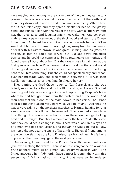#### The SILVER Chair 31

were maying, not hunting. In the warm part of the day they came to a pleasant glade where a fountain flowed freshly out of the earth, and there they dismounted and ate and drank and were merry. After a time the Queen felt sleepy, and they spread cloaks for her on the grassy bank, and Prince Rilian with the rest of the party went a little way from her, that their tales and laughter might not wake her. And so, presently, a great serpent came out of the thick wood and stung the Queen in her hand. All heard her cry out and rushed towards her, and Rilian was first at her side. He saw the worm gliding away from her and made after it with his sword drawn. It was great, shining, and as green as poison, so that he could see it well: but it glided away into thick bushes and he could not come at it. So he returned to his mother, and found them all busy about her. But they were busy in vain, for at the first glance of her face Rilian knew that no physic in the world would do her good. As long as the life was in her she seemed to be trying hard to tell him something. But she could not speak clearly and, whatever her message was, she died without delivering it. It was then hardly ten minutes since they had first heard her cry.

They carried the dead Queen back to Cair Paravel, and she was bitterly mourned by Rilian and by the King, and by all Narnia. She had been a great lady, wise and gracious and happy, King Caspian's bride whom he had brought home from the eastern end of the world. And men said that the blood of the stars flowed in her veins. The Prince took his mother's death very hardly, as well he might. After that, he was always riding on the northern marches of Narnia, hunting for that venomous worm, to kill it and be avenged. No one remarked much on this, though the Prince came home from these wanderings looking tired and distraught. But about a month after the Queen's death, some said they could see a change in him. There was a look in his eyes as of a man who has seen visions, and though he would be out all day, his horse did not bear the signs of hard riding. His chief friend among the older courtiers was the Lord Drinian, he who had been his father's captain on that great voyage to the east parts of earth.

One evening Drinian said to the Prince, "Your Highness must soon give over seeking the worm. There is no true vengeance on a witless brute as there might be on a man. You weary yourself in vain." The Prince answered him, "My lord, I have almost forgotten the worm this seven days." Drinian asked him why, if that were so, he rode so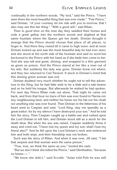continually in the northern woods. "My lord," said the Prince, "I have seen there the most beautiful thing that was ever made." "Fair Prince," said Drinian, "of your courtesy let me ride with you to-morrow, that I also may see this fair thing." "With a good will," said Rilian.

Then in good time on the next day they saddled their horses and rode a great gallop into the northern woods and alighted at that same fountain where the Queen got her death. Drinian thought it strange that the Prince should choose that place of all places, to linger in. And there they rested till it came to high noon: and at noon Drinian looked up and saw the most beautiful lady he had ever seen; and she stood at the north side of the fountain and said no word but beckoned to the Prince with her hand as if she bade him come to her. And she was tall and great, shining, and wrapped in a thin garment as green as poison. And the Prince stared at her like a man out of his wits. But suddenly the lady was gone, Drinian knew not where; and they two returned to Cair Paravel. It stuck in Drinian's mind that this shining green woman was evil.

Drinian doubted very much whether he ought not to tell this adventure to the King, but he had little wish to be a blab and a tale-bearer and so he held his tongue. But afterwards he wished he had spoken. For next day Prince Rilian rode out alone. That night he came not back, and from that hour no trace of him was ever found in Narnia nor any neighbouring land, and neither his horse nor his hat nor his cloak nor anything else was ever found. Then Drinian in the bitterness of his heart went to Caspian and said, "Lord King, slay me speedily as a great traitor: for by my silence I have destroyed your son." And he told him the story. Then Caspian caught up a battle-axe and rushed upon the Lord Drinian to kill him, and Drinian stood still as a stock for the death blow. But when the axe was raised, Caspian suddenly threw it away and cried out, "I have lost my queen and my son: shall I lose my friend also?" And he fell upon the Lord Drinian's neck and embraced him and both wept, and their friendship was not broken.

Such was the story of Rilian. And when it was over, Jill said, "I bet that serpent and that woman were the same person."

"True, true, we think the same as you," hooted the owls.

"But we don't think she killed the Prince," said Glimfeather, "because no bones — "

"We know she didn't," said Scrubb. "Aslan told Pole he was still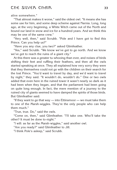#### The SILVER Chair 33

alive somewhere."

"That almost makes it worse," said the oldest owl. "It means she has some use for him, and some deep scheme against Narnia. Long, long ago, at the very beginning, a White Witch came out of the North and bound our land in snow and ice for a hundred years. And we think this may be one of the same crew."

"Very well, then," said Scrubb. "Pole and I have got to find this Prince. Can you help us?"

"Have you any clue, you two?" asked Glimfeather.

"Yes," said Scrubb. "We know we've got to go north. And we know we've got to reach the ruins of a giant city."

At this there was a greater tu-whooing than ever, and noises of birds shifting their feet and ruffling their feathers, and then all the owls started speaking at once. They all explained how very sorry they were that they themselves could not go with the children on their search for the lost Prince. "You'd want to travel by day, and we'd want to travel by night," they said. "It wouldn't do, wouldn't do." One or two owls added that even here in the ruined tower it wasn't nearly so dark as it had been when they began, and that the parliament had been going on quite long enough. In fact, the mere mention of a journey to the ruined city of giants seemed to have damped the spirits of those birds. But Glimfeather said:

"If they want to go that way — into Ettinsmoor — we must take them to one of the Marsh-wiggles. They're the only people who can help them much."

"True, true. Do," said the owls.

"Come on, then," said Glimfeather. "I'll take one. Who'll take the other? It must be done to-night."

"I will: as far as the Marsh-wiggles," said another owl.

"Are you ready?" said Glimfeather to Jill.

"I think Pole's asleep," said Scrubb.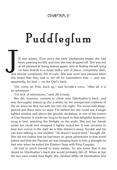### Chapter V

## Puddleglum

ill was asleep. Ever since the owls' parliament began she had been yawning terribly and now she had dropped off. She was not at all pleased at being waked again, and at finding herself lying on bare boards in a dusty belfry sort of place, completely dark, and almost completely full of owls. She was even less pleased when she heard that they had to set off for somewhere else — and not, apparently, for bed — on the Owl's back.

"Oh, come on, Pole, buck up," said Scrubb's voice. "After all, it is an adventure."

"I'm sick of adventures," said Jill crossly.

She did, however, consent to climb onto Glimfeather's back, and was thoroughly waked up (for a while) by the unexpected coldness of the air when he flew out with her into the night. The moon had disappeared and there were no stars. Far behind her she could see a single lighted window well above the ground; doubtless, in one of the towers of Cair Paravel. It made her long to be back in that delightful bedroom, snug in bed, watching the firelight on the walls. She put her hands under her cloak and wrapped it tightly round her. It was uncanny to hear two voices in the dark air a little distance away; Scrubb and his owl were talking to one another. "*He* doesn't sound tired," thought Jill. She did not realise that he had been on great adventures in that world before and that the Narnian air was bringing back to him a strength he had won when he sailed the Eastern Seas with King Caspian.

Jill had to pinch herself to keep awake, for she knew that if she dozed on Glimfeather's back she would probably fall off. When at last the two owls ended their flight, she climbed stiffly off Glimfeather and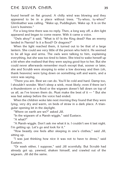#### The SILVER Chair 35

found herself on flat ground. A chilly wind was blowing and they appeared to be in a place without trees. "Tu-whoo, tu-whoo!" Glimfeather was calling. "Wake up, Puddleglum. Wake up. It is on the Lion's business."

For a long time there was no reply. Then, a long way off, a dim light appeared and began to come nearer. With it came a voice.

"Owls ahoy!" it said. "What is it? Is the King dead? Has an enemy landed in Narnia? Is it a flood? Or dragons?"

When the light reached them, it turned out to be that of a large lantern. She could see very little of the person who held it. He seemed to be all legs and arms. The owls were talking to him, explaining everything, but she was too tired to listen. She tried to wake herself up a bit when she realised that they were saying good-bye to her. But she could never afterwards remember much except that, sooner or later, she and Scrubb were stooping to enter a low doorway and then (oh, thank heavens) were lying down on something soft and warm, and a voice was saying,

"There you are. Best we can do. You'll lie cold and hard. Damp too, I shouldn't wonder. Won't sleep a wink, most likely; even if there isn't a thunderstorm or a flood or the wigwam doesn't fall down on top of us all, as I've known them do. Must make the best of it  $-$  " But she was fast asleep before the voice had ended.

When the children woke late next morning they found that they were lying, very dry and warm, on beds of straw in a dark place. A triangular opening let in the daylight.

"Where on earth are we?" asked Jill.

"In the wigwam of a Marsh-wiggle," said Eustace.

"A what?"

"A Marsh-wiggle. Don't ask me what it is. I couldn't see it last night. I'm getting up. Let's go and look for it."

"How beastly one feels after sleeping in one's clothes," said Jill, sitting up.

"I was just thinking how nice it was not to have to dress," said Eustace.

"Or wash either, I suppose," said Jill scornfully. But Scrubb had already got up, yawned, shaken himself, and crawled out of the wigwam. Jill did the same.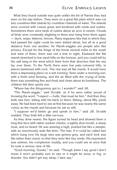What they found outside was quite unlike the bit of Narnia they had seen on the day before. They were on a great flat plain which was cut into countless little islands by countless channels of water. The islands were covered with coarse grass and bordered with reeds and rushes. Sometimes there were beds of rushes about an acre in extent. Clouds of birds were constantly alighting in them and rising from them again — duck, snipe, bitterns, herons. Many wigwams like that in which they had passed the night could be seen dotted about, but all at a good distance from one another; for Marsh-wiggles are people who like privacy. Except for the fringe of the forest several miles to the south and west of them, there was not a tree in sight. Eastward the flat marsh stretched to low sand-hills on the horizon, and you could tell by the salt tang in the wind which blew from that direction that the sea lay over there. To the North there were low pale-coloured hills, in places bastioned with rock. The rest was all flat marsh. It would have been a depressing place on a wet evening. Seen under a morning sun, with a fresh wind blowing, and the air filled with the crying of birds, there was something fine and fresh and clean about its loneliness. The children felt their spirits rise.

"Where has the thingummy got to, I wonder?" said Jill.

"The Marsh-wiggle," said Scrubb, as if he were rather proud of knowing the word. "I expect — hullo, that must be him." And then they both saw him, sitting with his back to them, fishing, about fifty yards away. He had been hard to see at first because he was nearly the same colour as the marsh and because he sat so still.

"I suppose we'd better go and speak to him," said Jill. Scrubb nodded. They both felt a little nervous.

As they drew nearer, the figure turned its head and showed them a long thin face with rather sunken cheeks, a tightly shut mouth, a sharp nose, and no beard. He was wearing a high, pointed hat like a steeple, with an enormously wide flat brim. The hair, if it could be called hair which hung over his large ears was greeny-grey, and each lock was flat rather than round, so that they were like tiny reeds. His expression was solemn, his complexion muddy, and you could see at once that he took a serious view of life.

"Good morning, Guests," he said. "Though when I say good I don't mean it won't probably turn to rain or it might be snow, or fog, or thunder. You didn't get any sleep, I dare say."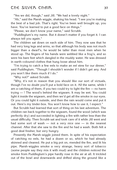#### The SILVER Chair 37

"Yes we did, though," said Jill. "We had a lovely night."

"Ah," said the Marsh-wiggle, shaking his head. "I see you're making the best of a bad job. That's right. You've been well brought up, you have. You've learned to put a good face on things."

"Please, we don't know your name," said Scrubb.

"Puddleglum's my name. But it doesn't matter if you forget it. I can always tell you again."

The children sat down on each side of him. They now saw that he had very long legs and arms, so that although his body was not much bigger than a dwarf's, he would be taller than most men when he stood up. The fingers of his hands were webbed like a frog's, and so were his bare feet which dangled in the muddy water. He was dressed in earth-coloured clothes that hung loose about him.

"I'm trying to catch a few eels to make an eel stew for our dinner," said Puddleglum. "Though I shouldn't wonder if I didn't get any. And you won't like them much if I do."

"Why not?" asked Scrubb.

"Why, it's not in reason that you should like our sort of victuals, though I've no doubt you'll put a bold face on it. All the same, while I am a catching of them, if you two could try to light the fire — no harm trying — ! The wood's behind the wigwam. It may be wet. You could light it inside the wigwam, and then we'd get all the smoke in our eyes. Or you could light it outside, and then the rain would come and put it out. Here's my tinder-box. You won't know how to use it, I expect."

But Scrubb had learned that sort of thing on his last adventure. The children ran back together to the wigwam, found the wood (which was perfectly dry) and succeeded in lighting a fire with rather less than the usual difficulty. Then Scrubb sat and took care of it while Jill went and had some sort of wash — not a very nice one — in the nearest channel. After that she saw to the fire and he had a wash. Both felt a good deal fresher, but very hungry.

Presently the Marsh-wiggle joined them. In spite of his expectation of catching no eels, he had a dozen or so, which he had already skinned and cleaned. He put a big pot on, mended the fire, and lit his pipe. Marsh-wiggles smoke a very strange, heavy sort of tobacco (some people say they mix it with mud) and the children noticed the smoke from Puddleglum's pipe hardly rose in the air at all. It trickled out of the bowl and downwards and drifted along the ground like a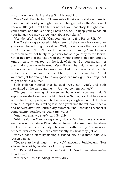mist. It was very black and set Scrubb coughing.

"Now," said Puddleglum. "Those eels will take a mortal long time to cook, and either of you might faint with hunger before they're done. I knew a little girl — but I'd better not tell you that story. It might lower your spirits, and that's a thing I never do. So, to keep your minds off your hunger, we may as well talk about our plans."

"Yes, do let's," said Jill. "Can you help us to find Prince Rilian?"

The Marsh-wiggle sucked in his cheeks till they were hollower than you would have thought possible. "Well, I don't know that you'd call it *help*," he said. "I don't know that anyone can exactly *help*. It stands to reason we're not likely to get very far on a journey to the North, not at this time of the year, with the winter coming on soon and all. And an early winter too, by the look of things. But you mustn't let that make you down-hearted. Very likely, what with enemies, and mountains, and rivers to cross, and losing our way, and next to nothing to eat, and sore feet, we'll hardly notice the weather. And if we don't get far enough to do any good, we may get far enough not to get back in a hurry."

Both children noticed that he said "we", not "you", and both exclaimed at the same moment. "Are you coming with us?"

"Oh yes, I'm coming of course. Might as well, you see. I don't suppose we shall ever see the King back in Narnia, now that he's once set off for foreign parts; and he had a nasty cough when he left. Then there's Trumpkin. He's failing fast. And you'll find there'll have been a bad harvest after this terrible dry summer. And I shouldn't wonder if some enemy attacked us. Mark my words."

"And how shall we start?' said Scrubb.

"Well," said the Marsh-wiggle very slowly, "all the others who ever went looking for Prince Rilian started from that same fountain where the Lord Drinian saw the lady. They went north, mostly. And as none of them ever came back, we can't exactly say how they got on."

"We've got to start by finding a ruined city of giants," said Jill. "Aslan said so."

"Got to start by *finding* it, have we?" answered Puddleglum. "Not allowed to start by looking for it, I suppose?"

"That's what I meant, of course," said Jill. "And then, when we've found it  $"$ 

"Yes, when!" said Puddleglum very drily.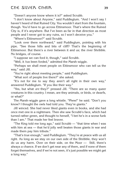#### The SILVER Chair 39

"Doesn't anyone know where it is?" asked Scrubb.

"I don't know about Anyone," said Puddleglum. "And I won't say I haven't heard of that Ruined City. You wouldn't start from the fountain, though. You'd have to go across Ettinsmoor. That's where the Ruined City is, if it's anywhere. But I've been as far in that direction as most people and I never got to any ruins, so I won't deceive you."

"Where's Ettinsmoor?" said Scrubb.

"Look over there northward," said Puddleglum, pointing with his pipe. "See those hills and bits of cliff? That's the beginning of Ettinsmoor. But there's a river between it and us; the river Shribble. No bridges, of course.

"I suppose we can ford it, though," said Scrubb.

"Well, it *has* been forded," admitted the Marsh-wiggle.

"Perhaps we shall meet people on Ettinsmoor who can tell us the way," said Jill.

"You're right about meeting people," said Puddleglum.

"What sort of people live there?" she asked.

"It's not for me to say they aren't all right in their own way," answered Puddleglum. "If you like their way."

"Yes, but what *are* they?" pressed Jill. "There are so many queer creatures in this country. I mean, are they animals, or birds, or dwarfs, or what?"

The Marsh-wiggle gave a long whistle. "Phew!" he said. "Don't you know? I thought the owls had told you. They're giants."

Jill winced. She had never liked giants even in books, and she had once met one in a nightmare. Then she saw Scrubb's face, which had turned rather green, and thought to herself, "I bet he's in a worse funk than I am." That made her feel braver.

"The King told me long ago," said Scrubb — "that time when I was with him at sea — that he'd jolly well beaten those giants in war and made them pay him tribute."

"That's true enough," said Puddleglum. "They're at peace with us all right. As long as we stay on our own side of the Shribble, they won't do us any harm. Over on their side, on the Moor — Still, there's always a chance. If we don't get near any of them, and if none of them forget themselves, and if we're not seen, it's just possible we might get a long way."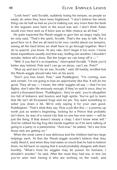"Look here!" said Scrubb, suddenly losing his temper, as people so easily do when they have been frightened. "I don't believe the whole thing can be half as bad as you're making out; any more than the beds in the wigwam were hard or the wood was wet. I don't think Aslan would ever have sent us if there was so little chance as all that."

He quite expected the Marsh-wiggle to give him an angry reply, but he only said, "That's the spirit, Scrubb. That's the way to talk. Put a good face on it. But we all need to be very careful about our tempers, seeing all the hard times we shall have to go through together. Won't do to quarrel, you know. At any rate, don't begin it too soon. I know these expeditions usually end that way: knifing one another, I shouldn't wonder, before all's done. But the longer we can keep off it — "

"Well, if you feel it's so hopeless," interrupted Scrubb, "I think you'd better stay behind. Pole and I can go on alone, can't we, Pole?"

"Shut up and don't be an ass, Scrubb," said Jill hastily, terrified lest the Marsh-wiggle should take him at his word.

"Don't you lose heart, Pole," said Puddleglum. "I'm coming, sure and certain. I'm not going to lose an opportunity like this. It will do me good. They all say — I mean, the other wiggles all say — that I'm too flighty; don't take life seriously enough. If they've said it once, they've said it a thousand times. 'Puddleglum,' they've said, 'you're altogether too full of bobance and bounce and high spirits. You've got to learn that life isn't all fricasseed frogs and eel pie. You want something to sober you down a bit. We're only saying it for your own good, Puddleglum.' That's what they say. Now a job like this — a journey up north just as winter's beginning, looking for a Prince that probably isn't there, by way of a ruined city that no one has ever seen — will be just the thing. If that doesn't steady a chap, I don't know what will." And he rubbed his big frog-like hands together as if he were talking of going to a party or a pantomime. "And now," he added, "let's see how those eels are getting on."

When the meal came it was delicious and the children had two large helpings each. At first the Marsh-wiggle wouldn't believe that they really liked it, and when they had eaten so much that he had to believe them, he fell back on saying that it would probably disagree with them horribly. "What's food for wiggles may be poison for humans, I shouldn't wonder," he said. After the meal they had tea, in tins (as you've seen men having it who are working on the road), and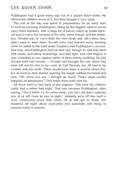#### The SILVER Chair and the state of the state of the state of the state of the state of the state of the state o

Puddleglum had a good many sips out of a square black bottle. He offered the children some of it, but they thought it very nasty.

The rest of the day was spent in preparations for an early start to-morrow morning. Puddleglum, being far the biggest, said he would carry three blankets, with a large bit of bacon rolled up inside them. Jill was to carry the remains of the eels, some biscuit, and the tinderbox. Scrubb was to carry both his own cloak and Jill's when they didn't want to wear them. Scrubb (who had learned some shooting when he sailed to the East under Caspian) had Puddleglum's secondbest bow, and Puddleglum had his best one; though he said that what with winds, and damp bowstrings, and bad light, and cold fingers, it was a hundred to one against either of them hitting anything. He and Scrubb both had swords — Scrubb had brought the one which had been left out for him in his room at Cair Paravel, but Jill had to be content with her knife. There would have been a quarrel about this, but as soon as they started sparring the wiggle rubbed his hands and said, "Ah, there you are. I thought as much. That's what usually happens on adventures." This made them both shut up.

All three went to bed early in the wigwam. This time the children really had a rather bad night. That was because Puddleglum, after saying, "You'd better try for some sleep, you two; not that I suppose any of us will close an eye to-night," instantly went off into such a loud, continuous snore that, when Jill at last got to sleep, she dreamed all night about road-drills and waterfalls and being in express trains in tunnels.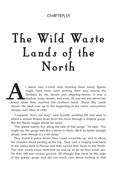### Chapter VI

# The Wild Waste Lands of the North

t about nine o'clock next morning three lonely figures<br>might have been seen picking their way across the<br>Shribble by the shoals and stepping-stones. It was a<br>shallow, noisy stream, and even Jill was not wet above her<br>knees might have been seen picking their way across the Shribble by the shoals and stepping-stones. It was a shallow, noisy stream, and even Jill was not wet above her knees when they reached the northern bank. About fifty yards ahead, the land rose up to the beginning of the moor, everywhere steeply, and often in cliffs.

"I suppose *that's* our way!" said Scrubb, pointing left and west to where a stream flowed down from the moor through a shallow gorge. But the Marsh-wiggle shook his head.

"The giants mainly live along the side of that gorge," he said. "You might say the gorge was like a street to them. We'll do better straight ahead, even though it's a bit steep."

They found a place where they could scramble up, and in about ten minutes stood panting at the top. They cast a longing look back at the valley-land of Narnia and then turned their faces to the North. The vast, lonely moor stretched on and up as far as they could see. On their left was rockier ground. Jill thought that must be the edge of the giants' gorge and did not much care about looking in that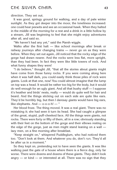#### The SILVER Chair and the state of the state of the state of the state of the state of the state of the state of the state of the state of the state of the state of the state of the state of the state of the state of the st

direction. They set out.

It was good, springy ground for walking, and a day of pale winter sunlight. As they got deeper into the moor, the loneliness increased: one could hear peewits and see an occasional hawk. When they halted in the middle of the morning for a rest and a drink in a little hollow by a stream, Jill was beginning to feel that she might enjoy adventures after all, and said so.

"We haven't had any yet," said the Marsh-wiggle.

Walks after the first halt — like school mornings after break or railway journeys after changing trains — never go on as they were before. When they set out again, Jill noticed that the rocky edge of the gorge had drawn nearer. And the rocks were less flat, more upright, than they had been. In fact they were like little towers of rock. And what funny shapes they were!

"I do believe," thought Jill, "that all the stories about giants might have come from those funny rocks. If you were coming along here when it was half dark, you could easily think those piles of rock were giants. Look at that one, now! You could almost imagine that the lump on top was a head. It would be rather too big for the body, but it would do well enough for an ugly giant. And all that bushy stuff — I suppose it's heather and birds' nests, really — would do quite well for hair and beard. And the things sticking out on each side are quite like ears. They'd be horribly big, but then I daresay giants would have big ears, like elephants. And — o-o-o-h! — "

Her blood froze. The thing moved. It was a real giant. There was no mistaking it; she had seen it turn its head. She had caught a glimpse of the great, stupid, puff-cheeked face. All the things were giants, not rocks. There were forty or fifty of them, all in a row; obviously standing with their feet on the bottom of the gorge and their elbows resting on the edge of the gorge, just as men might stand leaning on a wall lazy men, on a fine morning after breakfast.

"Keep straight on," whispered Puddleglum, who had noticed them too. "Don't look at them. And whatever you do, don't *run*. They'd all be after us in a moment."

So they kept on, pretending not to have seen the giants. It was like walking past the gate of a house where there is a fierce dog, only far worse. There were dozens and dozens of these giants. They didn't look angry  $-$  or kind  $-$  or interested at all. There was no sign that they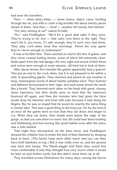had seen the travellers.

Then  $-$  whizz-whizz-whizz  $-$  some heavy object came hurtling through the air, and with a crash a big boulder fell about twenty paces ahead of them. And then — thud! — another fell twenty feet behind.

"Are they aiming at us?" asked Scrubb.

"No," said Puddleglum. "We'd be a good deal safer if they were. They're trying to hit *that* — that cairn over there to the right. They won't hit it, you know. *It's* safe enough; they're such very bad shots. They play cock-shies most fine mornings. About the only game they're clever enough to understand."

It was a horrible time. There seemed no end to the line of giants, and they never ceased hurling stones, some of which fell extremely close. Quite apart from the real danger, the very sight and sound of their faces and voices were enough to scare anyone. Jill tried not to look at them.

After about twenty-five minutes the giants apparently had a quarrel. This put an end to the cock-shies, but it is not pleasant to be within a mile of quarrelling giants. They stormed and jeered at one another in long, meaningless words of about twenty syllables each. They foamed and jibbered and jumped in their rage, and each jump shook the earth like a bomb. They lammed each other on the head with great, clumsy stone hammers; but their skulls were so hard that the hammers bounced off again, and then the monster who had given the blow would drop his hammer and howl with pain because it had stung his fingers. But he was so stupid that he would do exactly the same thing a minute later. This was a good thing in the long run, for by the end of an hour all the giants were so hurt that they sat down and began to cry. When they sat down, their heads were below the edge of the gorge, so that you saw them no more; but Jill could hear them howling and blubbering and boo-hooing like great babies even after the place was a mile behind.

That night they bivouacked on the bare moor, and Puddleglum showed the children how to make the best of their blankets by sleeping back to back. (The backs keep each other warm and you can then have both blankets on top.) But it was chilly even so, and the ground was hard and lumpy. The Marsh-wiggle told them they would feel more comfortable if only they thought how very much colder it would be later on and further north; but this didn't cheer them up at all.

They travelled across Ettinsmoor for many days, saving the bacon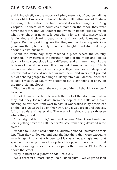#### The SILVER Chair and the state of the state of the state of the state of the state of the state of the state of the state of the state of the state of the state of the state of the state of the state of the state of the st

and living chiefly on the moor-fowl (they were not, of course, talking birds) which Eustace and the wiggle shot. Jill rather envied Eustace for being able to shoot; he had learned it on his voyage with King Caspian. As there were countless streams on the moor, they were never short of water. Jill thought that when, in books, people live on what they shoot, it never tells you what a long, smelly, messy job it is plucking and cleaning dead birds, and how cold it makes your fingers. But the great thing was that they met hardly any giants. One giant saw them, but he only roared with laughter and stumped away about his own business.

About the tenth day, they reached a place where the country changed. They came to the northern edge of the moor and looked down a long, steep slope into a different, and grimmer, land. At the bottom of the slope were cliffs: beyond these, a country of high mountains, dark precipices, stony valleys, ravines so deep and narrow that one could not see far into them, and rivers that poured out of echoing gorges to plunge sullenly into black depths. Needless to say, it was Puddleglum who pointed out a sprinkling of snow on the more distant slopes.

"But there'll be more on the north side of them, I shouldn't wonder," he added.

It took them some time to reach the foot of the slope and, when they did, they looked down from the top of the cliffs at a river running below them from west to east. It was walled in by precipices on the far side as well as on their own, and it was green and sunless, full of rapids and waterfalls. The roar of it shook the earth even where they stood.

"The bright side of it is," said Puddleglum, "that if we break our necks getting down the cliff, then we're safe from being drowned in the river."

"What about *that*?" said Scrubb suddenly, pointing upstream to their left. Then they all looked and saw the last thing they were expecting — a bridge. And what a bridge, too! It was a huge, single arch that spanned the gorge from cliff-top to cliff-top; and the crown of that arch was as high above the cliff-tops as the dome of St. Paul's is above the street.

"Why, it must be a giants' bridge!" said Jill.

"Or a sorcerer's, more likely," said Puddleglum. "We've got to look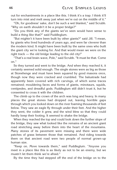out for enchantments in a place like this. I think it's a trap. I think it'll turn into mist and melt away just when we're out on the middle of it."

"Oh, for goodness' sake, don't be such a wet blanket," said Scrubb. "Why on earth shouldn't it be a proper bridge?"

"Do you think any of the giants we've seen would have sense to build a thing like that?" said Puddleglum.

"But mightn't it have been built by other giants?" said Jill. "I mean, by giants who lived hundreds of years ago, and were far cleverer than the modern kind. It might have been built by the same ones who built the giant city we're looking for. And that would mean we were on the right track — the old bridge leading to the old city!"

"That's a real brain-wave, Pole," said Scrubb. "It must be that. Come on."

So they turned and went to the bridge. And when they reached it, it certainly seemed solid enough. The single stones were as big as those at Stonehenge and must have been squared by good masons once, though now they were cracked and crumbled. The balustrade had apparently been covered with rich carvings, of which some traces remained; mouldering faces and forms of giants, minotaurs, squids, centipedes, and dreadful gods. Puddleglum still didn't trust it, but he consented to cross it with the children.

The climb up to the crown of the arch was long and heavy. In many places the great stones had dropped out, leaving horrible gaps through which you looked down on the river foaming thousands of feet below. They saw an eagle fly through under their feet. And the higher they went, the colder it grew, and the wind blew so that they could hardly keep their footing. It seemed to shake the bridge.

When they reached the top and could look down the further slope of the bridge, they saw what looked like the remains of an ancient giant road stretching away before them into the heart of the mountains. Many stones of its pavement were missing and there were wide patches of grass between those that remained. And riding towards them on that ancient road were two people of normal grown-up human size.

"Keep on. Move towards them," said Puddleglum. "Anyone you meet in a place like this is as likely as not to be an enemy, but we mustn't let them think we're afraid."

By the time they had stepped off the end of the bridge on to the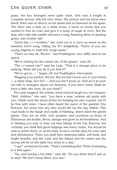#### The SILVER Chair and the state of the state of the state of the state of the state of the state of the state o

grass, the two strangers were quite close. One was a knight in complete armour with his visor down. His armour and his horse were black; there was no device on his shield and no banneret on his spear. The other was a lady on a white horse, a horse so lovely that you wanted to kiss its nose and give it a lump of sugar at once. But the lady, who rode side-saddle and wore a long, fluttering dress of dazzling green, was lovelier still.

"Good day, t-r-r-avellers," she cried out in a voice as sweet as the sweetest bird's song, trilling her R's delightfully. "Some of you are young pilgrims to walk this rough waste."

"That's as may be, Ma'am," said Puddleglum very stiffly and on his guard.

"We're looking for the ruined city of the giants," said Jill.

"The r-r-ruined city?" said the Lady. "That is a strange place to be seeking. What will you do if you find it?"

"We've got to — " began Jill, but Puddleglum interrupted.

"Begging your pardon, Ma'am. But we don't know you or your friend — a silent chap, isn't he? — and you don't know us. And we'd as soon not talk to strangers about our business, if you don't mind. Shall we have a little rain soon, do you think?"

The Lady laughed: the richest, most musical laugh you can imagine. "Well, children," she said, "you have a wise, solemn old guide with you. I think none the worse of him for keeping his own counsel, but I'll be free with mine. I have often heard the name of the giantish City Ruinous, but never met any who would tell me the way thither. This road leads to the burgh and castle of Harfang, where dwell the gentle giants. They are as mild, civil, prudent, and courteous as those of Ettinsmoor are foolish, fierce, savage and given to all beastliness. And in Harfang you may or may not hear tidings of the City Ruinous, but certainly you shall find good lodgings and merry hosts. You would be wise to winter there, or, at the least, to tarry certain days for your ease and refreshment. There you shall have steaming baths, soft beds, and bright hearths; and the roast and the baked and the sweet and the strong will be on the table four times in a day."

"I say!" exclaimed Scrubb. "That's something like! Think of sleeping in a bed again."

"Yes, and having a hot bath," said Jill. "Do you think they'll ask us to stay? We don't know them, you see."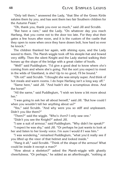"Only tell them," answered the Lady, "that She of the Green Kirtle salutes them by you, and has sent them two fair Southern children for the Autumn Feast."

"Oh, thank you, thank you ever so much," said Jill and Scrubb.

"But have a care," said the Lady. "On whatever day you reach Harfang, that you come not to the door too late. For they shut their gates a few hours after noon, and it is the custom of the castle that they open to none when once they have drawn bolt, how hard so ever he knock."

The children thanked her again, with shining eyes, and the Lady waved to them. The Marsh-wiggle took off his steeple-hat and bowed very stiffly. Then the silent Knight and the Lady started walking their horses up the slope of the bridge with a great clatter of hoofs.

"Well!" said Puddleglum. "I'd give a good deal to know where *she's* coming from and where she's going. Not the sort you expect to meet in the wilds of Giantland, is she? Up to no good, I'll be bound."

"Oh rot!" said Scrubb. "I thought she was simply super. And think of hot meals and warm rooms. I do hope Harfang isn't a long way off."

"Same here," said Jill. "And hadn't she a scrumptious dress. And the horse!"

"All the same," said Puddleglum, "I wish we knew a bit more about her."

"I was going to ask her all about herself," said Jill. "But how could I when you wouldn't tell her anything about us?"

"Yes," said Scrubb. "And why were you so stiff and unpleasant. Didn't you like them?"

"Them?" said the wiggle. "Who's *them*? I only saw one."

"Didn't you see the Knight?" asked Jill.

"I saw a suit of armour," said Puddleglum. "Why didn't he speak?"

"I expect he was shy," said Jill. "Or perhaps he just wants to look at her and listen to her lovely voice. I'm sure I would if I was him."

"I was wondering," remarked Puddleglum, "what you'd really see if you lifted up the visor of that helmet and looked inside."

"Hang it all," said Scrubb. "Think of the shape of the armour! What could be inside it except a man?"

"How about a skeleton?" asked the Marsh-wiggle with ghastly cheerfulness. "Or perhaps," he added as an afterthought, "nothing at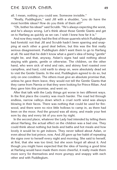#### The SILVER Chair 49

all. I mean, nothing you could see. Someone invisible."

"Really, Puddleglum," said Jill with a shudder, "you do have the most horrible ideas? How do you think of them all?"

"Oh, bother his ideas!" said Scrubb. "He's always expecting the worst, and he's always wrong. Let's think about those Gentle Giants and get on to Harfang as quickly as we can. I wish I knew how far it is."

And now they nearly had the first of those quarrels which Puddleglum had foretold: not that Jill and Scrubb hadn't been sparring and snapping at each other a good deal before, but this was the first really serious disagreement. Puddleglum didn't want them to go to Harfang at all. He said that he didn't know what a giant's idea of being "gentle" might be, and that, anyway, Aslan's signs had said nothing about staying with giants, gentle or otherwise. The children, on the other hand, who were sick of wind and rain, and skinny fowl roasted over campfires, and hard, cold earth to sleep on, were absolutely dead set to visit the Gentle Giants. In the end, Puddleglum agreed to do so, but only on one condition. The others must give an absolute promise that, unless he gave them leave, they would not tell the Gentle Giants that they came from Narnia or that they were looking for Prince Rilian. And they gave him this promise, and went on.

After that talk with the Lady things got worse in two different ways. In the first place the country was much harder. The road led through endless, narrow valleys down which a cruel north wind was always blowing in their faces. There was nothing that could be used for firewood, and there were no nice little hollows to camp in, as there had been on the moor. And the ground was all stony, and made your feet sore by day and every bit of you sore by night.

In the second place, whatever the Lady had intended by telling them about Harfang, the actual effect on the children was a bad one. They could think about nothing but beds and baths and hot meals and how lovely it would be to get indoors. They never talked about Aslan, or even about the lost prince, now. And Jill gave up her habit of repeating the signs over to herself every night and morning. She said to herself, at first, that she was too tired, but she soon forgot all about it. And though you might have expected that the idea of having a good time at Harfang would have made them more cheerful, it really made them more sorry for themselves and more grumpy and snappy with each other and with Puddleglum.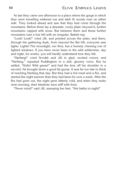At last they came one afternoon to a place where the gorge in which they were travelling widened out and dark fir woods rose on either side. They looked ahead and saw that they had come through the mountains. Before them lay a desolate, rocky plain: beyond it, further mountains capped with snow. But between them and those further mountains rose a low hill with an irregular, flattish top.

"Look! Look!" cried Jill, and pointed across the plain; and there, through the gathering dusk, from beyond the flat hill, everyone saw lights. Lights! Not moonlight, nor fires, but a homely cheering row of lighted windows. If you have never been in the wild wilderness, day and night, for weeks, you will hardly understand how they felt.

"Harfang!" cried Scrubb and Jill in glad, excited voices; and "Harfang," repeated Puddleglum in a dull, gloomy voice. But he added, "Hullo! Wild geese!" and had the bow off his shoulder in a second. He brought down a good fat goose. It was far too late to think of reaching Harfang that day. But they had a hot meal and a fire, and started the night warmer than they had been for over a week. After the fire had gone out, the night grew bitterly cold, and when they woke next morning, their blankets were stiff with frost.

"Never mind!" said Jill, stamping her feet. "Hot baths to-night!"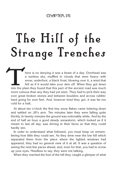#### Chapter VII

# The Hill of the Strange Trenches

here is no denving it was a beast of a day. Overhead was a sunless sky, muffled in clouds that were heavy with snow; underfoot, a black frost; blowing over it, a wind that felt as if it would take your skin off. When they got down into the plain they found that this part of the ancient road was much more ruinous than any they had yet seen. They had to pick their way over great broken stones and between boulders and across rubble: hard going for sore feet. And, however tired they got, it was far too cold for a halt.

At about ten o'clock the first tiny snow flakes came loitering down and settled on Jill's arm. Ten minutes later they were falling quite thickly. In twenty minutes the ground was noticeably white. And by the end of half an hour a good steady snowstorm, which looked as if it meant to last all day, was driving in their faces so that they could hardly see.

In order to understand what followed, you must keep on remembering how little they could see. As they drew near the low hill which separated them from the place where the lighted windows had appeared, they had no general view of it at all. It was a question of seeing the next few paces ahead, and, even for that, you had to screw up your eyes. Needless to say, they were not talking.

When they reached the foot of the hill they caught a glimpse of what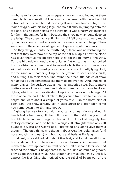might be rocks on each side — squarish rocks, if you looked at them carefully, but no one did. All were more concerned with the ledge right in front of them which barred their way. It was about four feet high. The Marsh-wiggle, with his long legs, had no difficulty in jumping onto the top of it, and he then helped the others up. It was a nasty wet business for them, though not for him, because the snow now lay quite deep on the ledge. They then had a stiff climb — Jill fell once — up very rough ground for about a hundred yards, and came to a second ledge. There were four of these ledges altogether, at quite irregular intervals.

As they struggled onto the fourth ledge, there was no mistaking the fact that they were now at the top of the flat hill. Up till now the slope had given them some shelter; here, they got the full fury of the wind. For the hill, oddly enough, was quite as flat on top as it had looked from a distance: a great level tableland which the storm tore across without resistance. In most places the snow was still hardly lying at all, for the wind kept catching it up off the ground in sheets and clouds, and hurling it in their faces. And round their feet little eddies of snow ran about as you sometimes see them doing over ice. And, indeed, in many places, the surface was almost as smooth as ice. But to make matters worse it was crossed and criss-crossed with curious banks or dykes, which sometimes divided it up into squares and oblongs. All these of course had to be climbed; they varied from two to five feet in height and were about a couple of yards thick. On the north side of each bank the snow already lay in deep drifts; and after each climb you came down into drift and got wet.

Fighting her way forward with hood up and head down and numb hands inside her cloak, Jill had glimpses of other odd things on that horrible tableland — things on her right that looked vaguely like factory chimneys, and, on her left, a huge cliff, straighter than any cliff ought to be. But she wasn't at all interested and didn't give them a thought. The only things she thought about were her cold hands (and nose and chin and ears) and hot baths and beds at Harfang.

Suddenly she skidded, slid about five feet, and found herself to her horror sliding down into a dark, narrow chasm which seemed that moment to have appeared in front of her. Half a second later she had reached the bottom. She appeared to be in a kind of trench or groove, only about three feet wide. And though she was shaken by the fall, almost the first thing she noticed was the relief of being out of the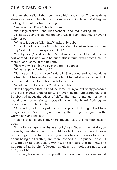#### The SILVER Chair company of the SILVER Chair company of the state of the state of the state of the state of the state of the state of the state of the state of the state of the state of the state of the state of the state

wind; for the walls of the trench rose high above her. The next thing she noticed was, naturally, the anxious faces of Scrubb and Puddleglum looking down at her from the edge.

"Are you hurt, Pole?" shouted Scrubb.

"*Both* legs broken, I shouldn't wonder," shouted Puddleglum.

Jill stood up and explained that she was all right, but they'd have to help her out.

"What is it you've fallen into?" asked Scrubb.

"It's a kind of trench, or it might be a kind of sunken lane or something," said Jill. "It runs quite straight."

"Yes, by Jove," said Scrubb. "And it runs due north! I wonder is it a sort of road? If it was, we'd be out of this infernal wind down there. Is there a lot of snow at the bottom?"

"Hardly any. It all blows over the top, I suppose."

"What happens further on?"

"Half a sec. I'll go and see," said Jill. She got up and walked along the trench; but before she had gone far, it turned sharply to the right. She shouted this information back to the others.

"What's round the corner?" asked Scrubb.

Now it happened that Jill had the same feeling about twisty passages and dark places underground, or even nearly underground, that Scrubb had about the edges of cliffs. She had no intention of going round that corner alone; especially when she heard Puddleglum bawling out from behind her,

"Be careful, Pole. It's just the sort of place that might lead to a dragon's cave. And in a giant country, there might be giant earthworms or giant beetles."

"I don't think it goes anywhere much," said Jill, coming hastily back.

"I'm jolly well going to have a look," said Scrubb. "What do you mean by anywhere much, I should like to know?" So he sat down on the edge of the trench (everyone was too wet by now to bother about being a bit wetter) and then dropped in. He pushed past Jill and, though he didn't say anything, she felt sure that he knew she had funked it. So she followed him close, but took care not to get in front of him.

It proved, however, a disappointing exploration. They went round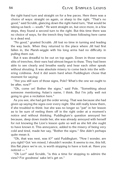the right-hand turn and straight on for a few paces. Here there was a choice of ways: straight on again, or sharp to the right. "That's no good," said Scrubb, glancing down the right-hand turn, "that would be taking us back — south." He went straight on, but once more, in a few steps, they found a second turn to the right. But this time there was no choice of ways, for the trench they had been following here came to a dead end.

"No good," grunted Scrubb. Jill lost no time in turning and leading the way back. When they returned to the place where Jill had first fallen in, the Marsh-wiggle with his long arms had no difficulty in pulling them out.

But it was dreadful to be out on top again. Down in those narrow slits of trenches, their ears had almost begun to thaw. They had been able to see clearly and breathe easily and hear each other speak without shouting. It was absolute misery to come back into the withering coldness. And it did seem hard when Puddleglum chose that moment for saying:

"Are you still sure of those signs, Pole? What's the one we ought to be after, now?"

"Oh, come on! Bother the signs," said Pole. "Something about someone mentioning Aslan's name, I think. But I'm jolly well not going to give a recitation here."

As you see, she had got the order wrong. That was because she had given up saying the signs over every night. She still really knew them, if she troubled to think: but she was no longer so "pat" in her lesson as to be sure of reeling them off in the right order at a moment's notice and without thinking. Puddleglum's question annoyed her because, deep down inside her, she was already annoyed with herself for not knowing the Lion's lesson quite so well as she felt she ought to have known it. This annoyance, added to the misery of being very cold and tired, made her say, "Bother the signs." She didn't perhaps quite mean it.

"Oh, that was next, was it?" said Puddleglum. "Now I wonder, are you right? Got 'em mixed, I shouldn't wonder. It seems to me, this hill, this flat place we're on, is worth stopping to have a look at. Have you noticed — "

"Oh Lor!" said Scrubb, "is this a time for stopping to admire the view? For goodness' sake let's get on."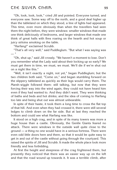#### The SILVER Chair company of the SILVER Chair company of the state of the state of the state of the state of the state of the state of the state of the state of the state of the state of the state of the state of the state

"Oh, look, look, look," cried Jill and pointed. Everyone turned, and everyone saw. Some way off to the north, and a good deal higher up than the tableland on which they stood, a line of lights had appeared. This time, even more obviously than when the travellers had seen them the night before, they were windows: smaller windows that made one think deliciously of bedrooms, and larger windows that made one think of great halls with fires roaring on the hearth and hot soup or juicy sirloins smoking on the table.

"Harfang!" exclaimed Scrubb.

"That's all very well," said Puddleglum. "But what I was saying was — "

"Oh, shut up," said Jill crossly. "We haven't a moment to lose. Don't you remember what the Lady said about their locking up so early? We must get there in time, we must, we must. We'll die if we're shut out on a night like this."

"Well, it isn't exactly a night, not yet," began Puddleglum; but the two children both said, "Come on," and began stumbling forward on the slippery tableland as quickly as their legs would carry them. The Marsh-wiggle followed them: still talking, but now that they were forcing their way into the wind again, they could not have heard him even if they had wanted to. And they didn't want. They were thinking of baths and beds and hot drinks; and the idea of coming to Harfang too late and being shut out was almost unbearable.

In spite of their haste, it took them a long time to cross the flat top of that hill. And even when they had crossed it, there were still several ledges to climb down on the far side. But at last they reached the bottom and could see what Harfang was like.

It stood on a high crag, and in spite of its many towers was more a huge house than a castle. Obviously, the Gentle Giants feared no attack. There were windows in the outside wall quite close to the ground — a thing no one would have in a serious fortress. There were even odd little doors here and there, so that it would be quite easy to get in and out of the castle without going through the courtyard. This raised the spirits of Jill and Scrubb. It made the whole place look more friendly and less forbidding.

At first the height and steepness of the crag frightened them, but presently they noticed that there was an easier way up on the left and that the road wound up towards it. It was a terrible climb, after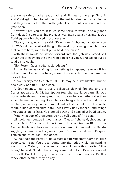the journey they had already had, and Jill nearly gave up. Scrubb and Puddleglum had to help her for the last hundred yards. But in the end they stood before the castle gate. The portcullis was up and the gate open.

However tired you are, it takes some nerve to walk up to a giant's front door. In spite of all his previous warnings against Harfang, it was Puddleglum who showed most courage.

"Steady pace, now," he said. "Don't look frightened, whatever you do. We've done the silliest thing in the world by coming at all: but now that we are here, we'd best put a bold face on it."

With these words he strode forward into the gateway, stood still under the arch where the echo would help his voice, and called out as loud as he could.

"Ho! Porter! Guests who seek lodging."

And while he was waiting for something to happen, he took off his hat and knocked off the heavy mass of snow which had gathered on its wide brim.

"I say," whispered Scrubb to Jill. "He may be a wet blanket, but he has plenty of pluck — and cheek."

A door opened, letting out a delicious glow of firelight, and the Porter appeared. Jill bit her lips for fear she should scream. He was not a perfectly enormous giant; that is to say, he was rather taller than an apple tree but nothing like so tall as a telegraph pole. He had bristly red hair, a leather jerkin with metal plates fastened all over it so as to make a kind of mail shirt, bare knees (very hairy indeed) and things like puttees on his legs. He stooped down and goggled at Puddleglum.

"And what sort of a creature do you call yourself," he said.

Jill took her courage in both hands. "Please," she said, shouting up at the giant. "The Lady of the Green Kirtle salutes the King of the Gentle Giants, and has sent us two Southern children and this Marshwiggle (his name's Puddleglum) to your Autumn Feast. — If it's quite convenient, of course," she added.

"O-ho!" said the Porter. "That's quite a different story. Come in, little people, come in. You'd best come into the lodge while I'm sending word to his Majesty." He looked at the children with curiosity. "Blue faces," he said. "I didn't know they were that colour. Don't care about it myself. But I daresay you look quite nice to one another. Beetles fancy other beetles, they do say."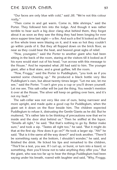"Our faces are only blue with cold," said Jill. "We're not this colour *really*."

"Then come in and get warm. Come in, little shrimps," said the Porter. They followed him into the lodge. And though it was rather terrible to hear such a big door clang shut behind them, they forgot about it as soon as they saw the thing they had been longing for ever since supper time last night — a fire. And such a fire! It looked as if four or five whole trees were blazing on it, and it was so hot they couldn't go within yards of it. But they all flopped down on the brick floor, as near as they could bear the heat, and heaved great sighs of relief.

"Now, youngster," said the Porter to another giant who had been sitting in the back of the room, staring at the visitors till it looked as if his eyes would start out of his head, "run across with this message to the House." And he repeated what Jill had said to him. The younger giant, after a final stare, and a great guffaw, left the room.

"Now, Froggy," said the Porter to Puddleglum, "you look as if you wanted some cheering up." He produced a black bottle very like Puddleglum's own, but about twenty times larger. "Let me see, let me see," said the Porter. "I can't give you a cup or you'll drown yourself. Let me see. This salt-cellar will be just the thing. You needn't mention it over at the House. The silver will keep on getting over here, and it's not my fault."

The salt-cellar was not very like one of ours, being narrower and more upright, and made quite a good cup for Puddleglum, when the giant set it down on the floor beside him. The children expected Puddleglum to refuse it, distrusting the Gentle Giants as he did. But he muttered, "It's rather late to be thinking of precautions now that we're inside and the door shut behind us." Then he sniffed at the liquor. "Smells all right," he said. "But that's nothing to go by. Better make sure," and took a sip. "Tastes all right too," he said. "But it might do that at the first sip. How does it go on?" He took a larger sip. "Ah!" he said. "But is it the same all the way down?" and took another. "There'll be something nasty at the bottom, I shouldn't wonder," he said, and finished the drink. He licked his lips and remarked to the children, "This'll be a test, you see. If I curl up, or burst, or turn into a lizard, or something, then you'll know not to take anything they offer you." But the giant, who was too far up to hear the things Puddleglum had been saying under his breath, roared with laughter and said, "Why, Froggy,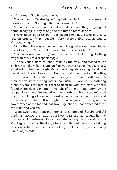you're a man. See him put it away!"

"Not a man... Marsh-wiggle," replied Puddleglum in a somewhat indistinct voice. "Not frog either: Marsh-wiggle."

At that moment the door opened behind them and the younger giant came in saying, "They're to go to the throne-room at once."

The children stood up but Puddleglum remained sitting and said, "Marsh-wiggle. Marsh-wiggle. Very respectable Marsh-wiggle. Respectowiggle."

"Show them the way, young 'un," said the giant Porter. "You'd better carry Froggy. He's had a drop more than's good for him."

"Nothing wrong with me," said Puddleglum. "Not a frog. Nothing frog with me. I'm a respectabiggle."

But the young giant caught him up by the waist and signed to the children to follow. In this undignified way they crossed the courtyard. Puddleglum, held in the giant's fist, and vaguely kicking the air, did certainly look very like a frog. But they had little time to notice this, for they soon entered the great doorway of the main castle — both their hearts were beating faster than usual — and, after pattering along several corridors at a trot to keep up with the giant's paces, found themselves blinking in the light of an enormous room, where lamps glowed and fire roared on the hearth and both were reflected from the gilding of roof and cornice. More giants than they could count stood on their left and right, all in magnificent robes; and on two thrones at the far end, sat two huge shapes that appeared to be the King and Queen.

About twenty feet from the thrones, they stopped. Scrubb and Jill made an awkward attempt at a bow (girls are not taught how to curtsey at Experiment House) and the young giant carefully put Puddleglum down on the floor, where he collapsed into a sort of sitting position. With his long limbs he looked, to tell the truth, uncommonly like a large spider.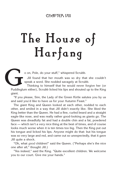### Chapter VIII

# The House of Harfang

o on, Pole, do your stuff," whispered Scrubb. Jill found that her mouth was so dry that she couldn't speak a word. She nodded savagely at Scrubb. Thinking to himself that he would never forgive her (or

Puddleglum either), Scrubb licked his lips and shouted up to the King giant.

"If you please, Sire, the Lady of the Green Kirtle salutes you by us and said you'd like to have us for your Autumn Feast."

The giant King and Queen looked at each other, nodded to each other, and smiled in a way that Jill didn't exactly like. She liked the King better than the Queen. He had a fine, curled beard and a straight eagle-like nose, and was really rather good-looking as giants go. The Queen was dreadfully fat and had a double chin and a fat, powdered face — which isn't a very nice thing at the best of times, and of course looks much worse when it is ten times too big. Then the King put out his tongue and licked his lips. Anyone might do that: but his tongue was so very large and red, and came out so unexpectedly, that it gave Jill quite a shock.

"Oh, what *good* children!" said the Queen. ("Perhaps she's the nice one after all," thought Jill.)

"Yes indeed," said the King. "Quite excellent children. We welcome you to our court. Give me your hands."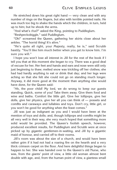He stretched down his great right hand — very clean and with any number of rings on the fingers, but also with terrible pointed nails. He was much too big to shake the hands which the children, in turn, held up to him; but he shook the arms.

"And what's *that*?" asked the King, pointing to Puddleglum.

"Reshpeckobiggle," said Puddleglum.

"Oh!" screamed the Queen, gathering her skirts close about her ankles. "The horrid thing! It's alive."

"He's quite all right, your Majesty, really, he is," said Scrubb hastily. "You'll like him much better when you get to know him. I'm sure you will."

I hope you won't lose all interest in Jill for the rest of the book if I tell you that at this moment she began to cry. There was a good deal of excuse for her. Her feet and hands and ears and nose were still only just beginning to thaw; melted snow was trickling off her clothes; she had had hardly anything to eat or drink that day; and her legs were aching so that she felt she could not go on standing much longer. Anyway, it did more good at the moment than anything else would have done, for the Queen said:

"Ah, the poor child! My lord, we do wrong to keep our guests standing. Quick, some of you! Take them away. Give them food and wine and baths. Comfort the little girl. Give her lollipops, give her dolls, give her physics, give her all you can think of — possets and comfits and caraways and lullabies and toys. Don't cry, little girl, or you won't be good for anything when the feast comes."

Jill was just as indignant as you and I would have been at the mention of toys and dolls; and, though lollipops and comfits might be all very well in their way, she very much hoped that something more solid would be provided. The Queen's foolish speech, however, produced excellent results, for Puddleglum and Scrubb were at once picked up by gigantic gentlemen-in-waiting, and Jill by a gigantic maid of honour, and carried off to their rooms.

Jill's room was about the size of a church, and would have been rather grim if it had not had a roaring fire on the hearth and a very thick crimson carpet on the floor. And here delightful things began to happen to her. She was handed over to the Queen's old Nurse, who was, from the giants' point of view, a little old woman almost bent double with age, and, from the human point of view, a giantess small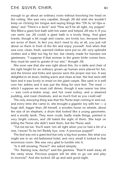#### The SILVER Chair company of the SILVER Chair

enough to go about an ordinary room without knocking her head on the ceiling. She was very capable, though Jill did wish she wouldn't keep on clicking her tongue and saying things like "Oh la, la! Ups-adaisy" and "There's a duck" and "Now we'll be all right, my poppet". She filled a giant foot-bath with hot water and helped Jill into it. If you can swim (as Jill could) a giant bath is a lovely thing. And giant towels, though a bit rough and coarse, are lovely too, because there are acres of them. In fact you don't need to dry at all, you just roll about on them in front of the fire and enjoy yourself. And when that was over, clean, fresh, warmed clothes were put on Jill: very splendid clothes and a little too big for her, but clearly made for humans not giantesses. "I suppose if that woman in the green kirtle comes here, they must be used to guests of our size," thought Jill.

She soon saw that she was right about this, for a table and chair of the right height for an ordinary grown-up human were placed for her, and the knives and forks and spoons were the proper size too. It was delightful to sit down, feeling warm and clean at last. Her feet were still bare and it was lovely to tread on the giant carpet. She sank in it well over her ankles and it was just the thing for sore feet. The meal which I suppose we must call dinner, though it was nearer tea time — was cock-a-leekie soup, and hot roast turkey, and a steamed pudding, and roast chestnuts, and as much fruit as you could eat!

The only annoying thing was that the Nurse kept coming in and out, and every time she came in, she brought a gigantic toy with her — a huge doll, bigger than Jill herself, a wooden horse on wheels, about the size of an elephant, a drum that looked like a young gasometer, and a woolly lamb. They were crude, badly made things, painted in very bright colours, and Jill hated the sight of them. She kept on telling the Nurse she didn't want them, but the Nurse said:

"Tut-tut-tut-tut. You'll want 'em all right when you've had a bit of a rest, I know! Te-he-he! Beddy bye, now. A precious poppet!"

The bed was not a giant bed but only a big four-poster, like what you might see in an old-fashioned hotel; and very small it looked in that enormous room. She was very glad to tumble into it.

"Is it still snowing, Nurse?" she asked sleepily.

"No. Raining now, ducky!" said the giantess. "Rain'll wash away all the nasty snow. Precious poppet will be able to go out and play to-morrow!" And she tucked Jill up and said good-night.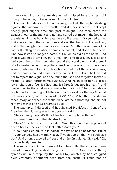I know nothing so disagreeable as being kissed by a giantess. Jill thought the same, but was asleep in five minutes.

The rain fell steadily all that evening and all the night, dashing against the windows of the castle, and Jill never heard it but slept deeply, past supper time and past midnight. And then came the deadest hour of the night and nothing stirred but mice in the house of the giants. At that hour there came to Jill a dream. It seemed to her that she awoke in the same room and saw the fire, sunk low and red, and in the firelight the great wooden horse. And the horse came of its own will, rolling on its wheels across the carpet, and stood at her head. And now it was no longer a horse, but a lion as big as the horse. And then it was not a toy lion, but a real lion, The Real Lion, just as she had seen him on the mountain beyond the world's end. And a smell of all sweet-smelling things there are filled the room. But there was some trouble in Jill's mind, though she could not think what it was, and the tears streamed down her face and wet the pillow. The Lion told her to repeat the signs, and she found that she had forgotten them all. At that, a great horror came over her. And Aslan took her up in his jaws (she could feel his lips and his breath but not his teeth) and carried her to the window and made her look out. The moon shone bright; and written in great letters across the world or the sky (she did not know which) were the words *UNDER ME*. After that, the dream faded away, and when she woke, very late next morning, she did not remember that she had dreamed at all.

She was up and dressed and had finished breakfast in front of the fire when the Nurse opened the door and said:

"Here's pretty poppet's little friends come to play with her."

In came Scrubb and the Marsh-wiggle.

"Hullo! Good-morning," said Jill. "Isn't this fun? I've slept about fifteen hours, I believe. I do feel better, don't you?"

"I do," said Scrubb, "but Puddleglum says he has a headache. Hullo! — your window has a window seat. If we got up on that, we could see out." And at once they all did so: and at the first glance Jill said, "Oh, how perfectly dreadful!"

The sun was shining and, except for a few drifts, the snow had been almost completely washed away by the rain. Down below them, spread out like a map, lay the flat hill-top which they had struggled over yesterday afternoon; seen from the castle, it could not be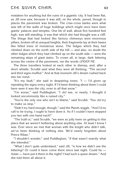#### The SILVER Chair company of the SILVER Chair company of the state of the state of the state of the state of the state of the state of the state of the state of the state of the state of the state of the state of the state

mistaken for anything but the ruins of a gigantic city. It had been flat, as Jill now saw, because it was still, on the whole, paved, though in places the pavement was broken. The criss-cross banks were what was left of the walls of huge buildings which might once have been giants' palaces and temples. One bit of wall, about five hundred feet high, was still standing; it was that which she had thought was a cliff. The things that had looked like factory chimneys were enormous pillars, broken off at unequal heights; their fragments lay at their bases like felled trees of monstrous stone. The ledges which they had climbed down on the north side of the hill — and also, no doubt the other ledges which they had climbed up on the south side — were the remaining steps of giant stairs. To crown all, in large, dark lettering across the centre of the pavement, ran the words *UNDER ME*.

The three travellers looked at each other in dismay, and, after a short whistle, Scrubb said what they were all thinking, "The second and third signs muffed." And at that moment Jill's dream rushed back into her mind.

"It's my fault," she said in despairing tones. "I — I'd given up repeating the signs every night. If I'd been thinking about them I could have seen it was the city, even in all that snow."

"I'm worse," said Puddleglum. "I *did* see, or nearly. I thought it looked uncommonly like a ruined city."

"You're the only one who isn't to blame," said Scrubb. "You *did* try to make us stop."

"Didn't try hard enough, though," said the Marsh-wiggle. "And I'd no call to be trying. I ought to have done it. As if I couldn't have stopped you two with one hand each!"

"The truth is," said Scrubb, "we were so jolly keen on getting to this place that we weren't bothering about anything else. At least I know I was. Ever since we met that woman with the knight who didn't talk, we've been thinking of nothing else. We'd nearly forgotten about Prince Rilian."

"I shouldn't wonder," said Puddleglum, "if that wasn't exactly what she intended."

"What I don't quite understand," said Jill, "is how we didn't see the lettering? Or could it have come there since last night. Could he — Aslan — have put it there in the night? I had such a queer dream." And she told them all about it.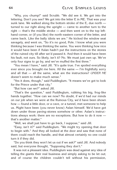"Why, you chump!" said Scrubb. "We did see it. We got into the lettering. Don't you see? We got into the letter E in ME. That was your sunk lane. We walked along the bottom stroke of the E, due north turned to our right along the upright — came to another turn to the right — that's the middle stroke — and then went on to the top lefthand corner, or (if you like) the north-eastern corner of the letter, and came back. Like the bally idiots we are." He kicked the window seat savagely, and went on, "So it's no good, Pole. I know what you were thinking because I was thinking the same. You were thinking how nice it would have been if Aslan hadn't put the instructions on the stones of the ruined city till after we'd passed it. And then it would have been his fault, not ours. So likely, isn't it? No. We must just own up. We've only four signs to go by, and we've muffed the first three."

"You mean I have," said Jill. "It's quite true. I've spoiled everything ever since you brought me here. All the same — I'm frightfully sorry and all that — all the same, what are the instructions? *UNDER ME* doesn't seem to make much sense."

"Yes it does, though," said Puddleglum. "It means we've got to look for the Prince under that city."

"But how can we?" asked Jill.

"That's the question," said Puddleglum, rubbing his big, frog-like hands together. "How can we now? No doubt, if we'd had our minds on our job when we were at the Ruinous City, we'd have been shown how — found a little door, or a cave, or a tunnel, met someone to help us. Might have been (you never know) Aslan himself. We'd have got down under those paving-stones somehow or other. Aslan's instructions always work: there are no exceptions. But how to do it now that's another matter."

"Well, we shall just have to go back, I suppose," said Jill.

"Easy, isn't it?" said Puddleglum. "We might try opening that door to begin with." And they all looked at the door and saw that none of them could reach the handle, and that almost certainly no one could turn it if they did.

"Do you think they won't let us out if we ask?" said Jill. And nobody said, but everyone thought, "Supposing they don't."

It was not a pleasant idea. Puddleglum was dead against any idea of telling the giants their real business and simply asking to be let out; and of course the children couldn't tell without his permission,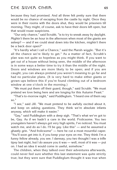#### The SILVER Chair company of the SILVER Chair company of the state of the state of the state of the state of the state of the state of the state of the state of the state of the state of the state of the state of the state

because they had promised. And all three felt pretty sure that there would be no chance of escaping from the castle by night. Once they were in their rooms with the doors shut, they would be prisoners till morning. They might, of course, ask to have their doors left open, but that would rouse suspicions.

"Our only chance," said Scrubb, "is to try to sneak away by daylight. Mightn't there be an hour in the afternoon when most of the giants are asleep? — and if we could steal down into the kitchen, mightn't there be a back door open?"

"It's hardly what I call a Chance," said the Marsh-wiggle. "But it's all the chance we're likely to get." As a matter of fact, Scrubb's plan was not quite so hopeless as you might think. If you want to get out of a house without being seen, the middle of the afternoon is in some ways a better time to try it than the middle of the night. Doors and windows are more likely to be open; and if you are caught, you can always pretend you weren't meaning to go far and had no particular plans. (It is very hard to make either giants or grown-ups believe this if you're found climbing out of a bedroom window at one o'clock in the morning.)

"We must put them off their guard, though," said Scrubb. "We must pretend we love being here and are longing for this Autumn Feast."

"That's to-morrow night," said Puddleglum. "I heard one of them say so."

"I see," said Jill. "We must pretend to be awfully excited about it, and keep on asking questions. They think we're absolute infants anyway, which will make it easier."

"Gay," said Puddleglum with a deep sigh. "That's what we've got to be, Gay. As if we hadn't a care in the world. Frolicsome. You two youngsters haven't always got very high spirits, I've noticed. You must watch me, and do as I do. I'll be gay. Like this" — and he assumed a ghastly grin. "And frolicsome" — here he cut a most mournful caper. "You'll soon get into it, if you keep your eyes on me. They think I'm a funny fellow already, you see. I daresay, you two thought I was a trifle tipsy last night, but I do assure you it was — well, most of it was — put on. I had an idea it would come in useful, somehow."

The children, when they talked over their adventures afterwards, could never feel sure whether this last statement was quite strictly true; but they were sure that Puddleglum thought it was true when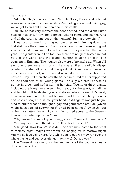he made it.

"All right. Gay's the word," said Scrubb. "Now, if we could only get someone to open this door. While we're fooling about and being gay, we've got to find out all we can about this castle."

Luckily, at that very moment the door opened, and the giant Nurse bustled in saying, "Now, my poppets. Like to come and see the King and all the court setting out on the hunting? Such a pretty sight!"

They lost no time in rushing out past her and climbing down the first staircase they came to. The noise of hounds and horns and giant voices guided them, so that in a few minutes they reached the courtyard. The giants were all on foot, for there are no giant horses in that part of the world, and the giants' hunting is done on foot; like beagling in England. The hounds also were of normal size. When Jill saw that there were no horses she was at first dreadfully disappointed, for she felt sure that the great fat Queen would never go after hounds on foot; and it would never do to have her about the house all day. But then she saw the Queen in a kind of litter supported on the shoulders of six young giants. The silly old creature was all got up in green and had a horn at her side. Twenty or thirty giants, including the King, were assembled, ready for the sport, all talking and laughing fit to deafen you: and down below, nearer Jill's level, there were wagging tails, and barking, and loose, slobbery mouths and noses of dogs thrust into your hand. Puddleglum was just beginning to strike what he thought a gay and gamesome attitude (which might have spoiled everything if it had been noticed) when Jill put on her most attractively childish smile, rushed across to the Queen's litter and shouted up to the Queen.

"Oh, please! You're not going *away*, are you? You will come back?" "Yes, my dear," said the Queen. "I'll be back to-night."

"Oh, good. How lovely!" said Jill. "And we may come to the feast to-morrow night, mayn't we? We're so longing for to-morrow night! And we do love being here. And while you're out, we may run over the whole castle and see everything, mayn't we? Do say yes."

The Queen did say yes, but the laughter of all the courtiers nearly drowned her voice.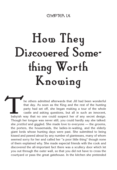Chapter IX

# How They Discovered Something Worth Knowing

The others admitted afterwards that Jill had been wonderful that day. As soon as the King and the rest of the hunting party had set off, she began making a tour of the whole castle and asking questions, but all in such an that day. As soon as the King and the rest of the hunting party had set off, she began making a tour of the whole castle and asking questions, but all in such an innocent, Though her tongue was never still, you could hardly say she talked: she *prattled* and giggled. She made love to everyone — the grooms, the porters, the housemaids, the ladies-in-waiting, and the elderly giant lords whose hunting days were past. She submitted to being kissed and pawed about by any number of giantesses, many of whom seemed sorry for her and called her "a poor little thing" though none of them explained why. She made especial friends with the cook and discovered the all-important fact there was a scullery door which let you out through the outer wall, so that you did not have to cross the courtyard or pass the great gatehouse. In the kitchen she pretended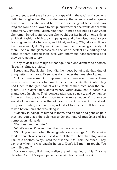to be greedy, and ate all sorts of scraps which the cook and scullions delighted to give her. But upstairs among the ladies she asked questions about how she would be dressed for the great feast, and how long she would be allowed to sit up, and whether she would dance with some very, very small giant. And then (it made her hot all over when she remembered it afterwards) she would put her head on one side in an idiotic fashion which grown-ups, giant and otherwise, thought very fetching, and shake her curls, and fidget, and say, "Oh, I do wish it was to-morrow night, don't you? Do you think the time will go quickly till then?" And all the giantesses said she was a perfect little darling; and some of them dabbed their eyes with enormous handkerchiefs as if they were going to cry.

"They're dear little things at that age," said one giantess to another. "It seems almost a pity..."

Scrubb and Puddleglum both did their best, but girls do that kind of thing better than boys. Even boys do it better than marsh-wiggles.

At lunchtime something happened which made all three of them more anxious than ever to leave the castle of the Gentle Giants. They had lunch in the great hall at a little table of their own, near the fireplace. At a bigger table, about twenty yards away, half a dozen old giants were lunching. Their conversation was so noisy, and so high up in the air, that the children soon took no more notice of it than you would of hooters outside the window or traffic noises in the street. They were eating cold venison, a kind of food which Jill had never tasted before, and she was liking it.

Suddenly Puddleglum turned to them, and his face had gone so pale that you could see the paleness under the natural muddiness of his complexion. He said:

"Don't eat another bite."

"What's wrong?" asked the other two in a whisper.

"Didn't you hear what those giants were saying? 'That's a nice tender haunch of venison,' said one of them. 'Then that stag was a liar,' said another. 'Why?' said the first one. 'Oh,' said the other. 'They say that when he was caught he said, Don't kill me, I'm tough. You won't like me.'"

For a moment Jill did not realise the full meaning of this. But she did when Scrubb's eyes opened wide with horror and he said: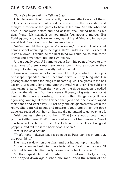"So we've been eating a *Talking Stag*."

This discovery didn't have exactly the same effect on all of them. Jill, who was new to that world, was sorry for the poor stag and thought it rotten of the giants to have killed him. Scrubb, who had been in that world before and had at least one Talking beast as his dear friend, felt horrified; as you might feel about a murder. But Puddleglum, who was Narnian born, was sick and faint, and felt as you would feel if you found you had eaten a baby.

"We've brought the anger of Aslan on us," he said. "That's what comes of not attending to the signs. We're under a curse, I expect. If it was allowed, it would be the best thing we could do, to take these knives and drive them into our own hearts."

And gradually even Jill came to see it from his point of view. At any rate, none of them wanted any more lunch. And as soon as they thought it safe they crept quietly out of the hall.

It was now drawing near to that time of the day on which their hopes of escape depended, and all became nervous. They hung about in passages and waited for things to become quiet. The giants in the hall sat on a dreadfully long time after the meal was over. The bald one was telling a story. When that was over, the three travellers dawdled down to the kitchen. But there were still plenty of giants there, or at least in the scullery, washing up and putting things away. It was agonising, waiting till these finished their jobs and, one by one, wiped their hands and went away. At last only one old giantess was left in the room. She pottered about, and pottered about, and at last the three travellers realised with horror that she did not intend to go away at all.

"Well, dearies," she said to them. "That job's about through. Let's put the kettle there. That'll make a nice cup of tea presently. Now I can have a little bit of a rest. Just look into the scullery, like good poppets, and tell me if the back door is open."

"Yes, it is," said Scrubb.

"That's right. I always leave it open so as Puss can get in and out, the poor thing."

Then she sat down on one chair and put her feet up on another.

"I don't know as I mightn't have forty winks," said the giantess. "If only that blarney hunting party doesn't come back too soon."

All their spirits leaped up when she mentioned forty winks, and flopped down again when she mentioned the return of the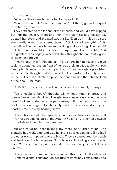hunting party.

"When do they usually come back?" asked Jill.

"You never can tell," said the giantess. "But there; go and be quiet for a bit, my dearies."

They retreated to the far end of the kitchen, and would have slipped out into the scullery there and then if the giantess had not sat up, opened her eyes, and brushed away a fly. "Don't try it till we're sure she's really asleep," whispered Scrubb. "Or it'll spoil everything." So they all huddled at the kitchen end, waiting and watching. The thought that the hunters might come back at any moment was terrible. And the giantess was fidgety. Whenever they thought she had really gone to sleep, she moved.

"I can't bear this," thought Jill. To distract her mind, she began looking about her. Just in front of her was a clean wide table with two clean pie-dishes on it, and an open book. They were giant pie-dishes of course. Jill thought that she could lie down just comfortably in one of them. Then she climbed up on the bench beside the table to look at the book. She read:

*Mallard*. This delicious bird can be cooked in a variety of ways.

"It's a cookery book," thought Jill without much interest, and glanced over her shoulder. The giantess's eyes were shut but she didn't look as if she were properly asleep. Jill glanced back at the book. It was arranged alphabetically: and at the very next entry her heart seemed to stop beating. It ran —

*Man*. This elegant little biped has long been valued as a delicacy. It forms a traditional part of the Autumn Feast, and is served between the fish and the joint. Each Man —

but she could not bear to read any more. She turned round. The giantess had waked up and was having a fit of coughing. Jill nudged the other two and pointed to the book. They also mounted the bench and bent over the huge pages. Scrubb was still reading about how to cook Men when Puddleglum pointed to the next entry below it. It was like this:

*Marsh-Wiggle*. Some authorities reject this animal altogether as unfit for giants' consumption because of its stringy consistency and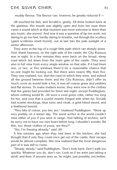#### The SILVER Chair company of the SILVER Chairs of the contract of the contract of the contract of the contract o

muddy flavour. The flavour can, however, be greatly reduced if —

Jill touched his feet, and Scrubb's, gently. All three looked back at the giantess. Her mouth was slightly open and from her nose there came a sound which at that moment was more welcome to them than any music; she snored. And now it was a question of tip-toe work, not daring to go too fast, hardly daring to breathe, out through the scullery (giant sculleries smell horrid), out at last into the pale sunlight of a winter afternoon.

They were at the top of a rough little path which ran steeply down. And, thank heavens, on the right side of the castle; the City Ruinous was in sight. In a few minutes they were back on the broad, steep road which led down from the main gate of the castle. They were also in full view from every single window on that side. If it had been one, or two, or five windows there'd be a reasonable chance that no-one might be looking out. But there were nearer fifty than five. They now realised, too, that the road on which they were, and indeed all the ground between them and the City Ruinous, didn't offer as much cover as would hide a fox; it was all coarse grass and pebbles and flat stones. To make matters worse, they were now in the clothes that the giants had provided for them last night: except Puddleglum, whom nothing would fit. Jill wore a vivid green robe, rather too long for her, and over that a scarlet mantle fringed with white fur. Scrubb had scarlet stockings, blue tunic and cloak, a gold-hiked sword, and a feathered bonnet.

"Nice bits of colour, you two are," muttered Puddleglum. "Show up very prettily on a winter day. The worst archer in the world couldn't miss either of you if you were in range. And talking of archers, we'll be sorry not to have our own bows before long, I shouldn't wonder. Bit thin, too, those clothes of yours, are they?"

"Yes, I'm freezing already," said Jill.

A few minutes ago when they had been in the kitchen, she had thought that if only they could once get out of the castle, their escape would be almost complete. She now realised that the most dangerous part of it was still to come.

"Steady, steady," said Puddleglum. "Don't look back. Don't walk too quickly. Whatever you do, don't run. Look as if we were just taking a stroll, and then, if anyone sees us, he might, just possibly, not bother.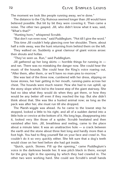The moment we look like people running away, we're done."

The distance to the City Ruinous seemed longer than Jill would have believed possible. But bit by bit they were covering it. Then came a noise. The other two gasped. Jill, who didn't know what it was, said, "What's that?"

"Hunting horn," whispered Scrubb.

"But don't run even now," said Puddleglum. "Not till I give the word."

This time Jill couldn't help glancing over her shoulder. There, about half a mile away, was the hunt returning from behind them on the left.

They walked on. Suddenly a great clamour of giant voices arose: then shouts and hollas.

"They've seen us. Run," said Puddleglum.

Jill gathered up her long skirts — horrible things for running in and ran. There was no mistaking the danger now. She could hear the music of the hounds. She could hear the King's voice roaring out, "After them, after them, or we'll have no man-pies to-morrow."

She was last of the three now, cumbered with her dress, slipping on loose stones, her hair getting in her mouth, running-pains across her chest. The hounds were much nearer. Now she had to run uphill, up the stony slope which led to the lowest step of the giant stairway. She had no idea what they would do when they got there, or how they would be any better off even if they reached the top. But she didn't think about that. She was like a hunted animal now; as long as the pack was after her, she must run till she dropped.

The Marsh-wiggle was ahead. As he came to the lowest step he stopped, looked a little to his right, and all of a sudden darted into a little hole or crevice at the bottom of it. His long legs, disappearing into it, looked very like those of a spider. Scrubb hesitated and then vanished after him. Jill, breathless and reeling, came to the place about a minute later. It was an unattractive hole — a crack between the earth and the stone about three feet long and hardly more than a foot high. You had to fling yourself flat on your face and crawl in. You couldn't do it so very quickly either. She felt sure that a dog's teeth would close on her heel before she had got inside.

"Quick, quick. Stones. Fill up the opening," came Puddleglum's voice in the darkness beside her. It was pitch black in there, except for the grey light in the opening by which they had crawled in. The other two were working hard. She could see Scrubb's small hands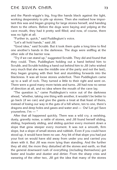#### The SILVER Chair compared to the SILVER Chairs of the Table

and the Marsh-wiggle's big, frog-like hands black against the light, working desperately to pile up stones. Then she realised how important this was and began groping for large stones herself, and handing them to the others. Before the dogs were baying and yelping at the cave mouth, they had it pretty well filled; and now, of course, there was no light at all.

"Further in, quick," said Puddleglum's voice.

"Let's all hold hands," said Jill.

"Good idea," said Scrubb. But it took them quite a long time to find one another's hands in the darkness. The dogs were sniffing at the other side of the barrier now.

"Try if we can stand up," suggested Scrubb. They did and found that they could. Then, Puddleglum holding out a hand behind him to Scrubb, and Scrubb holding a hand out behind him to Jill (who wished very much that she was the middle one of the party and not the last), they began groping with their feet and stumbling forwards into the blackness. It was all loose stones underfoot. Then Puddleglum came up to a wall of rock. They turned a little to their right and went on. There were a good many more twists and turns. Jill had now no sense of direction at all, and no idea where the mouth of the cave lay.

"The question is," came Puddleglum's voice out of the darkness ahead, "whether, taking one thing with another, it wouldn't be better to go back (if we can) and give the giants a treat at that feast of theirs, instead of losing our way in the guts of a hill where, ten to one, there's dragons and deep holes and gases and water and — Ow! Let go! Save yourselves. I'm — "

After that all happened quickly. There was a wild cry, a swishing, dusty, gravelly noise, a rattle of stones, and Jill found herself sliding, sliding, hopelessly sliding, and sliding quicker every moment down a slope that grew steeper every moment. It was not a smooth, firm slope, but a slope of small stones and rubbish. Even if you could have stood up, it would have been no use. Any bit of that slope you had put your foot on would have slid away from under you and carried you down with it. But Jill was more lying than standing. And the further they all slid, the more they disturbed all the stones and earth, so that the general downward rush of everything (including themselves) got faster and louder and dustier and dirtier. From the sharp cries and swearing of the other two, Jill got the idea that many of the stones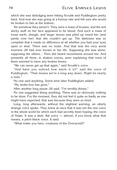which she was dislodging were hitting Scrubb and Puddleglum pretty hard. And now she was going at a furious rate and felt sure she would be broken to bits at the bottom.

Yet somehow they weren't. They were a mass of bruises, and the wet sticky stuff on her face appeared to be blood. And such a mass of loose earth, shingle, and larger stones was piled up round her (and partly over her) that she couldn't get up. The darkness was so complete that it made no difference at all whether you had your eyes open or shut. There was no noise. And that was the very worst moment Jill had ever known in her life. Supposing she was alone: supposing the others... Then she heard movements around her. And presently all three, in shaken voices, were explaining that none of them seemed to have any broken bones.

"We can never get up that again," said Scrubb's voice.

"And have you noticed how warm it is?" said the voice of Puddleglum. "That means we're a long way down. Might be nearly a mile."

No-one said anything. Some time later Puddleglum added:

"My tinder-box has gone."

After another long pause Jill said, "I'm terribly thirsty."

No one suggested doing anything. There was so obviously nothing to be done. For the moment, they did not feel it quite so badly as one might have expected; that was because they were so tired.

Long, long afterwards, without the slightest warning, an utterly strange voice spoke. They knew at once that it was not the one voice in the whole world for which each had secretly been hoping; the voice of Aslan. It was a dark, flat voice — almost, if you know what that means, a pitch-black voice. It said:

"What make you here, creatures of the Overworld?"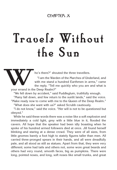## Chapter X

# Travels Without the Sun



ho's there?" shouted the three travellers.<br>"I am the Warden of the Marches of Uncount with me stand a hundred Earthmen in a<br>the reply. "Tell me quickly who you are<br>your errand in the Deep Realm?" "I am the Warden of the Marches of Underland, and with me stand a hundred Earthmen in arms," came the reply. "Tell me quickly who you are and what is

your errand in the Deep Realm?"

"We fell down by accident," said Puddleglum, truthfully enough.

"Many fall down, and few return to the sunlit lands," said the voice. "Make ready now to come with me to the Queen of the Deep Realm."

"What does she want with us?" asked Scrubb cautiously.

"I do not know," said the voice. "Her will is not to be questioned but obeyed."

While he said these words there was a noise like a soft explosion and immediately a cold light, grey with a little blue in it, flooded the cavern. All hope that the speaker had been idly boasting when he spoke of his hundred armed followers died at once. Jill found herself blinking and staring at a dense crowd. They were of all sizes, from little gnomes barely a foot high to stately figures taller than men. All carried three-pronged spears in their hands, and all were dreadfully pale, and all stood as still as statues. Apart from that, they were very different; some had tails and others not, some wore great beards and others had very round, smooth faces, big as pumpkins. There were long, pointed noses, and long, soft noses like small trunks, and great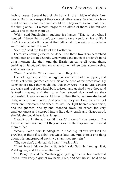blobby noses. Several had single horns in the middle of their foreheads. But in one respect they were all alike: every face in the whole hundred was as sad as a face could be. They were so sad that, after the first glance, Jill almost forgot to be afraid of them. She felt she would like to cheer them up.

"Well!" said Puddleglum, rubbing his hands. "This is just what I needed. If these chaps don't teach me to take a serious view of life, I don't know what will. Look at that fellow with the walrus moustache — or that one with the — "

"Get up," said the leader of the Earthmen.

There was nothing else to be done. The three travellers scrambled to their feet and joined hands. One wanted the touch of a friend's hand at a moment like that. And the Earthmen came all round them, padding on large, soft feet, on which some had ten toes, some twelve, and others none.

"March," said the Warden: and march they did.

The cold light came from a large ball on the top of a long pole, and the tallest of the gnomes carried this at the head of the procession. By its cheerless rays they could see that they were in a natural cavern; the walls and roof were knobbed, twisted, and gashed into a thousand fantastic shapes, and the stony floor sloped downward as they proceeded. It was worse for Jill than for the others, because she hated dark, underground places. And when, as they went on, the cave got lower and narrower, and when, at last, the light-bearer stood aside, and the gnomes, one by one, stooped down (all except the very smallest ones) and stepped into a little dark crack and disappeared, she felt she could bear it no longer.

"I can't go in there, I can't! I can't! I won't," she panted. The Earthmen said nothing but they all lowered their spears and pointed them at her.

"Steady, Pole," said Puddleglum. "Those big fellows wouldn't be crawling in there if it didn't get wider later on. And there's one thing about this underground work, we shan't get any rain."

"Oh, you don't understand. I can't," wailed Jill.

"Think how I felt on that cliff, Pole," said Scrubb. "You go first, Puddleglum, and I'll come after her."

"That's right," said the Marsh-wiggle, getting down on his hands and knees. "You keep a grip of my heels, Pole, and Scrubb will hold on to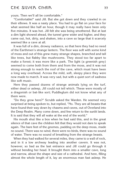#### The SILVER Chair compared to the 17

yours. Then we'll all be comfortable."

"Comfortable!" said Jill. But she got down and they crawled in on their elbows. It was a nasty place. You had to go flat on your face for what seemed like half an hour, though it may really have been only five minutes. It was hot. Jill felt she was being smothered. But at last a dim light showed ahead, the tunnel grew wider and higher, and they came out, hot, dirty, and shaken, into a cave so large that it scarcely seemed like a cave at all.

It was full of a dim, drowsy radiance, so that here they had no need of the Earthmen's strange lantern. The floor was soft with some kind of moss and out of this grew many strange shapes, branched and tall like trees, but flabby like mushrooms. They stood too far apart to make a forest; it was more like a park. The light (a greenish grey) seemed to come both from them and from the moss, and it was not strong enough to reach the roof of the cave, which must have been a long way overhead. Across the mild, soft, sleepy place they were now made to march. It was very sad, but with a quiet sort of sadness like soft music.

Here they passed dozens of strange animals lying on the turf, either dead or asleep, Jill could not tell which. These were mostly of a dragonish or bat-like sort; Puddleglum did not know what any of them were.

"Do they grow here?" Scrubb asked the Warden. He seemed very surprised at being spoken to, but replied, "No. They are all beasts that have found their way down by chasms and caves, out of Overland into the Deep Realm. Many come down, and few return to the sunlit lands. It is said that they will all wake at the end of the world."

His mouth shut like a box when he had said this, and in the great silence of that cave the children felt that they would not dare to speak again. The bare feet of the gnomes, padding on the deep moss, made no sound. There was no wind, there were no birds, there was no sound of water. There was no sound of breathing from the strange beasts.

When they had walked for several miles, they came to a wall of rock, and in it a low archway leading into another cavern. It was not, however, so bad as the last entrance and Jill could go through it without bending her head. It brought them into a smaller cave, long and narrow, about the shape and size of a cathedral. And here, filling almost the whole length of it, lay an enormous man fast asleep. He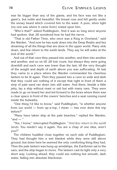was far bigger than any of the giants, and his face was not like a giant's, but noble and beautiful. His breast rose and fell gently under the snowy beard which covered him to the waist. A pure, silver light (no-one saw where it came from) rested upon him.

"Who's that?" asked Puddleglum. And it was so long since anyone had spoken, that Jill wondered how he had the nerve.

"That is old Father Time, who once was a King in Overland," said the Warden. "And now he has sunk down into the Deep Realm and lies dreaming of all the things that are done in the upper world. Many sink down, and few return to the sunlit lands. They say he will wake at the end of the world."

And out of that cave they passed into another, and then into another and another, and so on till Jill lost count, but always they were going downhill and each cave was lower than the last, till the very thought of the weight and depth of earth above you was suffocating. At last they came to a place where the Warden commanded his cheerless lantern to be lit again. Then they passed into a cave so wide and dark that they could see nothing of it except that right in front of them a strip of pale sand ran down into still water. And there, beside a little jetty, lay a ship without mast or sail but with many oars. They were made to go on board her and led forward to the bows where there was a clear space in front of the rowers' benches and a seat running round inside the bulwarks.

"One thing I'd like to know," said Puddleglum, "is whether anyone from our world — from up-a-top, I mean — has ever done this trip before?"

"Many have taken ship at the pale beaches," replied the Warden,  $"and -"$ 

"Yes, I know," interrupted Puddleglum. "*And few return to the sunlit lands*. You needn't say it again. You are a chap of one idea, aren't you?"

The children huddled close together on each side of Puddleglum. They had thought him a wet blanket while they were still above ground, but down here he seemed the only comforting thing they had. Then the pale lantern was hung up amidships, the Earthmen sat to the oars, and the ship began to move. The lantern cast its light only a very short way. Looking ahead, they could see nothing but smooth, dark water, fading into absolute blackness.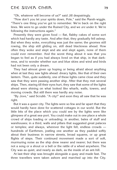"Oh, whatever will become of us?" said Jill despairingly.

"Now don't you let your spirits down, Pole," said the Marsh-wiggle. "There's one thing you've got to remember. We're back on the right lines. We were to go under the Ruined City, and we *are* under it. We're following the instructions again."

Presently they were given food — flat, flabby cakes of some sort which had hardly any taste. And after that, they gradually fell asleep. But when they woke, everything was just the same; the gnomes still rowing, the ship still gliding on, still dead blackness ahead. How often they woke and slept and ate and slept again, none of them could ever remember. And the worst thing about it was that you began to feel as if you had always lived on that ship, in that darkness, and to wonder whether sun and blue skies and wind and birds had not been only a dream.

They had almost given up hoping or being afraid about anything when at last they saw lights ahead: dreary lights, like that of their own lantern. Then, quite suddenly, one of these lights came close and they saw that they were passing another ship. After that they met several ships. Then, staring till their eyes hurt, they saw that some of the lights ahead were shining on what looked like wharfs, walls, towers, and moving crowds. But still there was hardly any noise.

"By Jove," said Scrubb. "A city!" and soon they all saw that he was right.

But it was a queer city. The lights were so few and far apart that they would hardly have done for scattered cottages in our world. But the little bits of the place which you could see by the lights were like glimpses of a great sea-port. You could make out in one place a whole crowd of ships loading or unloading; in another, bales of stuff and warehouses; in a third, walls and pillars that suggested great palaces or temples; and always, wherever the light fell, endless crowds hundreds of Earthmen, jostling one another as they padded softly about their business in narrow streets, broad squares, or up great flights of steps. Their continued movement made a sort of soft, murmuring noise as the ship drew nearer and nearer; but there was not a song or a shout or a bell or the rattle of a wheel anywhere. The City was as quiet, and nearly as dark, as the inside of an ant-hill.

At last their ship was brought alongside a quay and made fast. The three travellers were taken ashore and marched up into the City.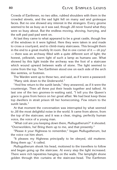Crowds of Earthmen, no two alike, rubbed shoulders with them in the crowded streets, and the sad light fell on many sad and grotesque faces. But no one showed any interest in the strangers. Every gnome seemed to be as busy as it was sad, though Jill never found what they were so busy about. But the endless moving, shoving, hurrying, and the soft pad-pad-pad went on.

At last they came to what appeared to be a great castle, though few of the windows in it were lighted. Here they were taken in and made to cross a courtyard, and to climb many staircases. This brought them in the end to a great murkily lit room. But in one corner of it  $-$  oh joy! — there was an archway filled with a quite different sort of light; the honest, yellowish, warm light of such a lamp as humans use. What showed by this light inside the archway was the foot of a staircase which wound upward between walls of stone. The light seemed to come from the top. Two Earthmen stood one on each side of the arch like sentries, or footmen.

The Warden went up to these two, and said, as if it were a password: "Many sink down to the Underworld."

"And few return to the sunlit lands," they answered, as if it were the countersign. Then all three put their heads together and talked. At last one of the two gnomes-in-waiting said, "I tell you the Queen's grace is gone from hence on her great affair. We had best keep these top dwellers in strait prison till her homecoming. Few return to the sunlit lands."

At that moment the conversation was interrupted by what seemed to Jill the most delightful noise in the world. It came from above, from the top of the staircase; and it was a clear, ringing, perfectly human voice, the voice of a young man.

"What coil are you keeping down there, Mullugutherum?" it shouted. "Overworlders, ha! Bring them up to me, and that presently."

"Please it your Highness to remember," began Mullugutherum, but the voice cut him short.

"It pleases my Highness principally to be obeyed, old mutterer. Bring them up," it called.

Mullugutherum shook his head, motioned to the travellers to follow and began going up the staircase. At every step the light increased. There were rich tapestries hanging on the walls. The lamplight shone golden through thin curtains at the staircase-head. The Earthmen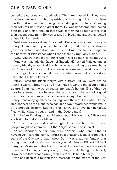#### The SILVER Chair company of the SILVER Chair company of the state of the state of the state of the state of the state of the state of the state of the state of the state of the state of the state of the state of the state

parted the curtains and stood aside. The three passed in. They were in a beautiful room, richly tapestried, with a bright fire on a clean hearth, and red wine and cut glass sparkling on the table. A young man with fair hair rose to greet them. He was handsome and looked both bold and kind, though there was something about his face that didn't seem quite right. He was dressed in black and altogether looked a little bit like Hamlet.

"Welcome, Overworlders," he cried. "But stay a moment! I cry you mercy! I have seen you two fair children, and this, your strange governor, before. Was it not you three that met me by the bridge on the borders of Ettinsmoor when I rode there by my Lady's side?"

"Oh... you were the black knight who never spoke?" exclaimed Jill.

"And was that lady the Queen of Underland?" asked Puddleglum, in no very friendly voice. And Scrubb, who was thinking the same, burst out, "Because if it was, I think she was jolly mean to send us off to a castle of giants who intended to eat us. What harm had we ever done her, I should like to know?"

"How?" said the Black Knight with a frown. "If you were not so young a warrior, Boy, you and I must have fought to the death on this quarrel. I can hear no words against my Lady's honour. But of this you may be assured, that whatever she said to you, she said of a good intent. You do not know her. She is a nosegay of all virtues, as truth, mercy, constancy, gentleness, courage and the rest. I say what I know. Her kindness to me alone, who can in no way reward her, would make an admirable history. But you shall know and love her hereafter. Meanwhile, what is your errand in the Deep Lands?"

And before Puddleglum could stop her, Jill blurted out, "Please we are trying to find Prince Rilian of Narnia."

And then she realised what a frightful risk she had taken; these people might be enemies. But the Knight showed no interest.

"Rilian? Narnia?" he said carelessly. "Narnia? What land is that? I have never heard the name. It must be a thousand leagues from those parts of the Overworld that I know. But it was a strange fantasy that brought you seeking this — how do you call him? — Billian? Trillian? in my Lady's realm. Indeed, to my certain knowledge, there is no such man here." He laughed very loudly at this, and Jill thought to herself, "I wonder is that what's wrong with his face? Is he a bit silly?"

"We had been told to look for a message on the stones of the City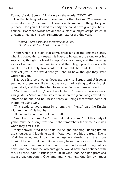Ruinous," said Scrubb. "And we saw the words *UNDER ME*."

The Knight laughed even more heartily than before. "You were the more deceived," he said. "Those words meant nothing to your purpose. Had you but asked my Lady, she could have given you better counsel. For those words are all that is left of a longer script, which in ancient times, as she well remembers, expressed this verse:

*Though under Earth and throneless now I be, Yet, while I lived, all Earth was under me.*

From which it is plain that some great king of the ancient giants, who lies buried there, caused this boast to be cut in the stone over his sepulchre; though the breaking up of some stones, and the carrying away of others for new buildings, and the filling up of the cuts with rubble, has left only two words that can still be read. Is it not the merriest jest in the world that you should have thought they were written to you?"

This was like cold water down the back to Scrubb and Jill; for it seemed to them very likely that the words had nothing to do with their quest at all, and that they had been taken in by a mere accident.

"Don't you mind him," said Puddleglum. "There are no accidents. Our guide is Aslan; and he was there when the giant King caused the letters to be cut, and he knew already all things that would come of them; including *this*."

"This guide of yours must be a long liver, friend," said the Knight with another of his laughs.

Jill began to find them a little irritating.

"And it seems to me, Sir," answered Puddleglum. "That this Lady of yours must be a long liver too, if she remembers the verse as it was when they first cut it."

"Very shrewd, Frog-face," said the Knight, clapping Puddleglum on the shoulder and laughing again. "And you have hit the truth. She is of divine race, and knows neither age nor death. I am the more thankful to her for all her infinite bounty to such a poor mortal wretch as I. For you must know, Sirs, I am a man under most strange afflictions, and none but the Queen's grace would have had patience with me. Patience, said I? But it goes far beyond that. She has promised me a great kingdom in Overland, and, when I am king, her own most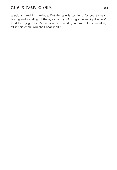gracious hand in marriage. But the tale is too long for you to hear fasting and standing. Hi there, some of you! Bring wine and Updwellers' food for my guests. Please you, be seated, gentlemen. Little maiden, sit in this chair. You shall hear it all."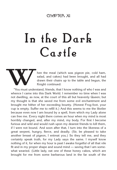## Chapter XI

# In the Dark Castle



Manustand, and cakes) had been brought, and all had drawn their chairs up to the table and begun, the Knight continued:<br>"You must understand, friends, that I know nothing of who I was and salad, and cakes) had been brought, and all had drawn their chairs up to the table and begun, the Knight continued:

whence I came into this Dark World. I remember no time when I was not dwelling, as now, at the court of this all but heavenly Queen; but my thought is that she saved me from some evil enchantment and brought me hither of her exceeding bounty. (Honest Frog-foot, your cup is empty. Suffer me to refill it.) And this seems to me the likelier because even now I am bound by a spell, from which my Lady alone can free me. Every night there comes an hour when my mind is most horribly changed, and, after my mind, my body. For first I become furious and wild and would rush upon my dearest friends to kill them, if I were not bound. And soon after that, I turn into the likeness of a great serpent, hungry, fierce, and deadly. (Sir, be pleased to take another breast of pigeon, I entreat you.) So they tell me, and they certainly speak truth, for my Lady says the same. I myself know nothing of it, for when my hour is past I awake forgetful of all that vile fit and in my proper shape and sound mind — saving that I am somewhat wearied. (Little lady, eat one of these honey cakes, which are brought for me from some barbarous land in the far south of the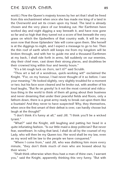#### The SILVER Chair and **85**

world.) Now the Queen's majesty knows by her art that I shall be freed from this enchantment when once she has made me king of a land in the Overworld and set its crown upon my head. The land is already chosen and the very place of our breaking out. Her Earthmen have worked day and night digging a way beneath it, and have now gone so far and so high that they tunnel not a score of feet beneath the very grass on which the Updwellers of that country walk. It will be very soon now that those Uplanders' fate will come upon them. She herself is at the diggings to-night, and I expect a message to go to her. Then the thin roof of earth which still keeps me from my kingdom will be broken through, and with her to guide me and a thousand Earthmen at my back, I shall ride forth in arms, fall suddenly on our enemies, slay their chief men, cast down their strong places, and doubtless be their crowned king within four and twenty hours."

"It's a bit rough luck on *them*, isn't it?" said Scrubb.

"Thou art a lad of a wondrous, quick-working wit!" exclaimed the Knight. "For, on my honour, I had never thought of it so before. I see your meaning." He looked slightly, very slightly troubled for a moment or two; but his face soon cleared and he broke out, with another of his loud laughs, "But fie on gravity! Is it not the most comical and ridiculous thing in the world to think of them all going about their business and never dreaming that under their peaceful fields and floors, only a fathom down, there is a great army ready to break out upon them like a fountain! And they never to have suspected! Why, they themselves, when once the first smart of their defeat is over, can hardly choose but laugh at the thought!"

"I don't think it's funny at all," said Jill. "I think you'll be a wicked tyrant."

"What?" said the Knight, still laughing and patting her head in a quite infuriating fashion. "Is our little maid a deep politician? But never fear, sweetheart. In ruling that land, I shall do all by the counsel of my Lady, who will then be my Queen too. Her word shall be my law, even as my word will be law to the people we have conquered."

"Where I come from," said Jill, who was disliking him more every minute, "they don't think much of men who are bossed about by their wives."

"Shalt think otherwise when thou hast a man of thine own, I warrant you," said the Knight, apparently thinking this very funny. "But with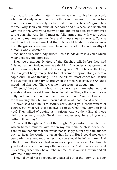my Lady, it is another matter. I am well content to live by her word, who has already saved me from a thousand dangers. No mother has taken pains more tenderly for her child, than the Queen's grace has for me. Why, look you, amid all her cares and business, she rideth out with me in the Overworld many a time and oft to accustom my eyes to the sunlight. And then I must go fully armed and with visor down, so that no man may see my face, and I must speak to no-one. For she has found out by art magical that this would hinder my deliverance from the grievous enchantment I lie under. Is not that a lady worthy of a man's whole worship?"

"Sounds a very nice lady indeed," said Puddelglum in a voice which meant exactly the opposite.

They were thoroughly tired of the Knight's talk before they had finished supper. Puddleglum was thinking, "I wonder what game that witch is really playing with this young fool." Scrubb was thinking, "He's a great baby, really: tied to that woman's apron strings; he's a sap." And Jill was thinking, "He's the silliest, most conceited, selfish pig I've met for a long time." But when the meal was over, the Knight's mood had changed. There was no more laughter about him.

"Friends," he said, "my hour is now very near. I am ashamed that you should see me yet I dread being left alone. They will come in presently and bind me hand and foot to yonder chair. Alas, so it must be: for in my fury, they tell me, I would destroy all that I could reach."

"I say," said Scrubb, "I'm awfully sorry about your enchantment of course, but what will those fellows do to us when they come to bind you? They talked of putting us in prison. And we don't like all those dark places very much. We'd much rather stay here till you're... better... if we may."

"It is well thought of," said the Knight. "By custom none but the Queen herself remains with me in my evil hour. Such is her tender care for my honour that she would not willingly suffer any ears but her own to hear the words I utter in that frenzy. But I could not easily persuade my attendant gnomes that you should be left with me. And I think I hear their soft feet even now upon the stairs. Go through yonder door: it leads into my other apartments. And there, either await my coming when they have unbound me; or, if you will, return and sit with me in my ravings."

They followed his directions and passed out of the room by a door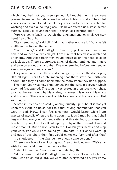#### The SILVER Chair and **87**

which they had not yet seen opened. It brought them, they were pleased to see, not into darkness but into a lighted corridor. They tried various doors and found (what they very badly needed) water for washing and even a looking glass. "He never offered us a wash before supper," said Jill, drying her face. "Selfish, self-centred pig."

"Are we going back to watch the enchantment, or shall we stay here?" said Scrubb.

"Stay here, I vote," said Jill. "I'd much rather not see it." But she felt a little inquisitive all the same.

"No, go back," said Puddleglum. "We may pick up some information, and we need all we can get. I am sure that Queen is a witch and an enemy. And those Earthmen would knock us on the head as soon as look at us. There's a stronger smell of danger and lies and magic and treason about this land than I've ever smelled before. We need to keep our eyes and ears open."

They went back down the corridor and gently pushed the door open, "It's all right," said Scrubb, meaning that there were no Earthmen about. Then they all came back into the room where they had supped.

The main door was now shut, concealing the curtain between which they had first entered. The knight was seated in a curious silver chair, to which he was bound by his ankles, his knees, his elbows, his wrists and his waist. There was sweat on his forehead and his face was filled with anguish.

"Come in, friends," he said, glancing quickly up. "The fit is not yet upon me. Make no noise, for I told that prying chamberlain that you were in bed. Now... I can feel it coming. Quick! Listen while I am master of myself. When the fit is upon me, it well may be that I shall beg and implore you, with entreaties and threatenings, to loosen my bonds. They say I do. I shall call upon you by all that is most dear and most dreadful. But do not listen to me. Harden your hearts and stop your ears. For while I am bound you are safe. But if once I were up and out of this chair, then first would come my fury, and after that" — he shuddered — "the change into a loathsome serpent."

"There's no fear of our loosing you," said Puddleglum. "We've no wish to meet wild men; or serpents either."

"I should think not," said Scrubb and Jill together.

"All the same," added Puddleglum in a whisper. "Don't let's be too sure. Let's be on our guard. We've muffed everything else, you know.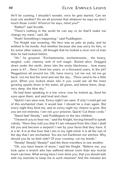He'll be cunning, I shouldn't wonder, once he gets started. Can we trust one another? Do we all promise that whatever he says we don't touch those cords? *Whatever* he says, mind you?"

"Rather!" said Scrubb.

"There's nothing in the world he can say or do that'll make me change my mind," said Jill.

"Hush! Something's happening," said Puddleglum.

The Knight was moaning. His face was as pale as putty, and he writhed in his bonds. And whether because she was sorry for him, or for some other reason, Jill thought that he looked a nicer sort of man than he had looked before.

"Ah," he groaned. "Enchantments, enchantments... the heavy, tangled, cold, clammy web of evil magic. Buried alive. Dragged down under the earth, down into the sooty blackness... how many years is it?... Have I lived ten years, or a thousand years, in the pit? Maggotmen all around me. Oh, have mercy. Let me out, let me go back. Let me feel the wind and see the sky... There used to be a little pool. When you looked down into it you could see all the trees growing upside-down in the water, all green, and below them, deep, very deep, the blue sky."

He had been speaking in a low voice; now he looked up, fixed his eyes upon them, and said loud and clear:

"Quick! I am sane now. Every night I am sane. If only I could get out of this enchanted chair, it would last. I should be a man again. But every night they bind me, and so every night my chance is gone. But you are not enemies. I am not *your* prisoner. Quick! Cut these cords."

"Stand fast! Steady," said Puddleglum to the two children.

"I beseech you to hear me," said the Knight, forcing himself to speak calmly. "Have they told you that if I am released from this chair I shall kill you and become a serpent? I see by your faces that they have. It is a lie. It is at this hour that I am in my right mind: it is all the rest of the day that I am enchanted. You are not Earthmen nor witches. Why should you be on their side? Of your courtesy, cut my bonds."

"Steady! Steady! Steady!" said the three travellers to one another.

"Oh, you have hearts of stone," said the Knight. "Believe me, you look upon a wretch who has suffered almost more than any mortal heart can bear. What wrong have I ever done you, that you should side with my enemies to keep me in such miseries? And the minutes are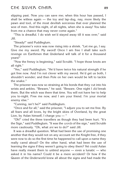#### The SILVER Chair company of the SILVER Chair company of the second second second the second second second second second second second second second second second second second second second second second second second seco

slipping past. Now you can save me; when this hour has passed, I shall be witless again — the toy and lap-dog, nay, more likely the pawn and tool, of the most devilish sorceress that ever planned the woe of men. And this night, of all nights, when she is away! You take from me a chance that may never come again."

"This is dreadful. I do wish we'd stayed away till it was over," said Jill.

"Steady!" said Puddleglum.

The prisoner's voice was now rising into a shriek. "Let me go, I say. Give me my sword. My sword! Once I am free I shall take such revenge on Earthmen that Underland will talk of it for a thousand years!"

"Now the frenzy is beginning," said Scrubb. "I hope those knots are all right."

"Yes," said Puddleglum. "He'd have twice his natural strength if he got free now. And I'm not clever with my sword. He'd get us both, I shouldn't wonder; and then Pole on her own would be left to tackle the snake."

The prisoner was now so straining at his bonds that they cut into his wrists and ankles. "Beware," he said. "Beware. One night I *did* break them. But the witch was there that time. You will not have her to help you to-night. Free me now, and I am your friend. I'm your mortal enemy else."

"Cunning, isn't he?" said Puddleglum.

"Once and for all," said the prisoner, "I adjure you to set me free. By all fears and all loves, by the bright skies of Overland, by the great Lion, by Aslan himself, I charge you — "

"Oh!" cried the three travellers as though they had been hurt. "It's the Sign," said Puddleglum. "It was the *words* of the sign," said Scrubb more cautiously. "Oh, what *are* we to do?" said Jill.

It was a dreadful question. What had been the use of promising one another that they would not on any account set the Knight free, if they were now to do so the first time he happened to call upon a name they really cared about? On the other hand, what had been the use of learning the signs if they weren't going to obey them? Yet could Aslan have really meant them to unbind anyone — even a lunatic — who asked it in his name? Could it be a mere accident? Or how if the Queen of the Underworld knew all about the signs and had made the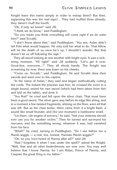Knight learn this name simply in order to entrap them? But then, supposing this was the real sign?... They had muffed three already; they daren't muff the fourth.

"Oh, if only we knew!" said Jill.

"I think we do know," said Puddleglum.

"Do you mean you think everything will come right if we do untie him?" said Scrubb.

"I don't know about that," said Puddleglum. "You see, Aslan didn't tell Pole what would happen. He only told her what to do. That fellow will be the death of us once he's up, I shouldn't wonder. But that doesn't let us off following the sign."

They all stood looking at one another with bright eyes. It was a sickening moment. "All right!" said Jill suddenly. "Let's get it over. Good-bye, everyone...!" They all shook hands. The Knight was screaming by now; there was foam on his cheeks.

"Come on, Scrubb," said Puddleglum. He and Scrubb drew their swords and went over to the captive.

"In the name of Aslan," they said and began methodically cutting the cords. The instant the prisoner was free, he crossed the room in a single bound, seized his own sword (which had been taken from him and laid on the table), and drew it.

"You first!" he cried and fell upon the silver chair. That must have been a good sword. The silver gave way before its edge like string, and in a moment a few twisted fragments, shining on the floor, were all that was left. But as the chair broke, there came from it a bright flash, a sound like small thunder, and (for one moment) a loathsome smell.

"Lie there, vile engine of sorcery," he said, "lest your mistress should ever use you for another victim." Then he turned and surveyed his rescuers; and the something wrong, whatever it was, had vanished from his face.

"What?" he cried, turning to Puddleglum. "Do I see before me a Marsh-wiggle — a real, live, honest, Narnian Marsh-wiggle?"

"Oh, so you *have* heard of Narnia after all?" said Jill.

"Had I forgotten it when I was under the spell?" asked the Knight. "Well, that and all other bedevilments are now over. You may well believe that I know Narnia, for I am Rilian, Prince of Narnia, and Caspian the great King is my father."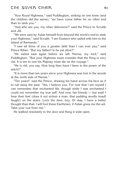#### The SILVER Chair company of the SILVER Chair company of the state of the state of the state of the state of the state of the state of the state of the state of the state of the state of the state of the state of the state

"Your Royal Highness," said Puddleglum, sinking on one knee (and the children did the same), "we have come hither for no other end than to seek you."

"And who are you, my other deliverers?" said the Prince to Scrubb and Jill.

"We were sent by Aslan himself from beyond the world's end to seek your Highness," said Scrubb. "I am Eustace who sailed with him to the island of Ramandu."

"I owe all three of you a greater debt than I can ever pay," said Prince Rilian. "But my father? Is he yet alive?"

"He sailed east again before we left Narnia, my lord," said Puddleglum. "But your Highness must consider that the King is very old. It is ten to one his Majesty must die on the voyage."

"He is old, you say. How long then have I been in the power of the witch?"

"It is more than ten years since your Highness was lost in the woods at the north side of Narnia."

"Ten years!" said the Prince, drawing his hand across his face as if to rub away the past. "Yes, I believe you. For now that I am myself I can remember that enchanted life, though while I was enchanted I could not remember my true self. And now, fair friends — but wait! I hear their feet (does it not sicken a man, that padding woolly tread! faugh!) on the stairs. Lock the door, boy. Or stay. I have a better thought than that. I will fool these Earthmen, if Aslan gives me the wit. Take your cue from me."

He walked resolutely to the door and flung it wide open.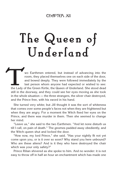### Chapter XII

# The Queen of Underland

wo Earthmen entered, but instead of advancing into the room, they placed themselves one on each side of the door, and bowed deeply. They were followed immediately by the last person whom anyone had expected or wished to see: the Lady of the Green Kirtle, the Queen of Underland. She stood dead still in the doorway, and they could see her eyes moving as she took in the whole situation — the three strangers, the silver chair destroyed, and the Prince free, with his sword in his hand.

She turned very white; but Jill thought it was the sort of whiteness that comes over some people's faces not when they are frightened but when they are angry. For a moment the Witch fixed her eyes on the Prince, and there was murder in them. Then she seemed to change her mind.

"Leave us," she said to the two Earthmen. "And let none disturb us till I call, on pain of death." The gnomes padded away obediently, and the Witch-queen shut and locked the door.

"How now, my lord Prince," she said. "Has your nightly fit not yet come upon you, or is it over so soon? Why stand you here unbound? Who are these aliens? And is it they who have destroyed the chair which was your only safety?"

Prince Rilian shivered as she spoke to him. And no wonder: it is not easy to throw off in half an hour an enchantment which has made one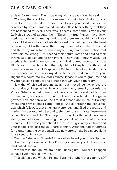#### The SILVER Chair company of the SILVER Chair company of the state of the state of the state of the state of the state of the state of the state of the state of the state of the state of the state of the state of the state

a slave for ten years. Then, speaking with a great effort, he said:

"Madam, there will be no more need of that chair. And you, who have told me a hundred times how deeply you pitied me for the sorceries by which I was bound, will doubtless hear with joy that they are now ended for ever. There was, it seems, some small error in your Ladyship's way of treating them. These, my true friends, have delivered me. I am now in my right mind, and there are two things I will say to you. First — as for your Ladyship's design of putting me at the head of an army of Earthmen so that I may break out into the Overworld and there, by main force, make myself king over some nation that never did me wrong — murdering their natural lords and holding their throne as a bloody and foreign tyrant — now that I know myself, I do utterly abhor and renounce it as plain villainy. And second: I am the King's son of Narnia, Rilian, the only child of Caspian, Tenth of that name, whom some call Caspian the Seafarer. Therefore, Madam, it is my purpose, as it is also my duty, to depart suddenly from your Highness's court into my own country. Please it you to grant me and my friends safe conduct and a guide through your dark realm."

Now the Witch said nothing at all, but moved gently across the room, always keeping her face and eyes very steadily towards the Prince. When she had come to a little ark set in the wall not far from the fireplace, she opened it, and took out first a handful of a green powder. This she threw on the fire. It did not blaze much, but a very sweet and drowsy smell came from it. And all through the conversation which followed, that smell grew stronger, and filled the room, and made it harder to think. Secondly, she took out a musical instrument rather like a mandolin. She began to play it with her fingers — a steady, monotonous thrumming that you didn't notice after a few minutes. But the less you noticed it, the more it got into your brain and your blood. This also made it hard to think. After she had thrummed for a time (and the sweet smell was now strong) she began speaking in a sweet, quiet voice.

"Narnia?" she said. "Narnia? I have often heard your Lordship utter that name in your ravings. Dear Prince, you are very sick. There is no land called Narnia."

"Yes there is, though, Ma'am," said Puddleglum. "You see, I happen to have lived there all my life."

"Indeed," said the Witch. "Tell me, I pray you, where that country is?"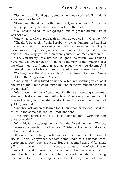"Up there," said Puddleglum, stoutly, pointing overhead. "I — I don't know exactly where."

"How?" said the Queen, with a kind, soft, musical laugh. "Is there a country up among the stones and mortar of the roof?"

"No," said Puddleglum, struggling a little to get his breath. "It's in Overworld."

"And what, or where, pray is this... how do you call it... *Overworld*?"

"Oh, don't be so silly," said Scrubb, who was fighting hard against the enchantment of the sweet smell and the thrumming. "As if you didn't know! It's up above, up where you can see the sky and the sun and the stars. Why, you've been there yourself. We met you there."

"I cry you mercy, little brother," laughed the Witch (you couldn't have heard a lovelier laugh). "I have no memory of that meeting. But we often meet our friends in strange places when we dream. And unless all dreamed alike, you must not ask them to remember it."

"Madam," said the Prince sternly, "I have already told your Grace that I am the King's son of Narnia."

"And shalt be, dear friend," said the Witch in a soothing voice, as if she was humouring a child, "shalt be king of many imagined lands in thy fancies."

"We've been there, too," snapped Jill. She was very angry because she could feel enchantment getting hold of her every moment. But of course the very fact that she could still feel it, showed that it had not yet fully worked.

"And thou art Queen of Narnia too, I doubt not, pretty one," said the Witch in the same coaxing, half-mocking tone.

"I'm nothing of the sort," said Jill, stamping her foot. "*We* come from another world."

"Why, this is a prettier game than the other," said the Witch. "Tell us, little maid, where is this other world? What ships and chariots go between it and ours?"

Of course a lot of things darted into Jill's head at once: Experiment House, Adela Pennyfather, her own home, radio-sets, cinemas, cars, aeroplanes, ration-books, queues. But they seemed dim and far away. (*Thrum — thrum — thrum* — went the strings of the Witch's instrument.) Jill couldn't remember the names of the things in our world. And this time it didn't come into her head that she was being enchanted, for now the magic was in its full strength; and of course,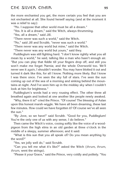#### The SILVER Chair company of the SILVER Chair company of the state of the state of the state of the state of the state of the state of the state of the state of the state of the state of the state of the state of the state

the more enchanted you get, the more certain you feel that you are not enchanted at all. She found herself saying (and at the moment it was a relief to say):

"No. I suppose that other world must be all a dream."

"Yes. It is all a dream," said the Witch, always thrumming.

"Yes, all a dream," said Jill.

"There never was such a world," said the Witch.

"No," said Jill and Scrubb, "never was such a world."

"There never was any world but mine," said the Witch.

"There never was any world but yours," said they.

Puddleglum was still fighting hard. "I don't know rightly what you all mean by a world," he said, talking like a man who hasn't enough air. "But you can play that fiddle till your fingers drop off, and still you won't make me forget Narnia; and the whole Overworld too. We'll never see it *again*, I shouldn't wonder. You may have blotted it out and turned it dark like this, for all I know. Nothing more likely. But I know I was there once. I've seen the sky full of stars. I've seen the sun coming up out of the sea of a morning and sinking behind the mountains at night. And I've seen him up in the midday sky when I couldn't look at him for brightness."

Puddleglum's words had a very rousing effect. The other three all breathed again and looked at one another like people newly awaked.

"Why, there it is!" cried the Prince. "Of course! The blessing of Aslan upon this honest marsh-wiggle. We have all been dreaming, these last few minutes. How could we have forgotten it? Of course we've all seen the sun."

"By Jove, so we have!" said Scrubb. "Good for you, Puddleglum! You're the only one of us with any sense, I do believe."

Then came the Witch's voice, cooing softly like the voice of a woodpigeon from the high elms in an old garden at three o'clock in the middle of a sleepy, summer afternoon; and it said:

"What is this sun that you all speak of? Do you mean anything by the word?"

"Yes, we jolly well do," said Scrubb.

"Can you tell me what it's like?" asked the Witch (*thrum, thrum, thrum*, went the strings).

"Please it your Grace," said the Prince, very coldly and politely. "You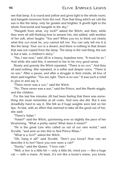see that lamp. It is round and yellow and gives light to the whole room; and hangeth moreover from the roof. Now that thing which we call the sun is like the lamp, only far greater and brighter. It giveth light to the whole Overworld and hangeth in the sky."

"Hangeth from what, my lord?" asked the Witch; and then, while they were all still thinking how to answer her, she added, with another of her soft, silver laughs: "You see? When you try to think out clearly what this *sun* must be, you cannot tell me. You can only tell me it is like the lamp. Your *sun* is a dream; and there is nothing in that dream that was not copied from the lamp. The lamp is the real thing; the sun is but a tale, a children's story."

"Yes, I see now," said Jill in a heavy, hopeless tone. "It must be so." And while she said this, it seemed to her to be very good sense.

Slowly and gravely the Witch repeated, "There is no *sun*." And they all said nothing. She repeated, in a softer and deeper voice. "There is no sun." After a pause, and after a struggle in their minds, all four of them said together. "You are right. There is no sun." It was such a relief to give in and say it.

"There never was a *sun*," said the Witch.

"No. There never was a sun," said the Prince, and the Marsh-wiggle, and the children.

For the last few minutes Jill had been feeling that there was something she must remember at all costs. And now she did. But it was dreadfully hard to say it. She felt as if huge weights were laid on her lips. At last, with an effort that seemed to take all the good out of her, she said:

"There's Aslan."

"Aslan?" said the Witch, quickening ever so slightly the pace of her thrumming. "What a pretty name! What does it mean?"

"He is the great Lion who called us out of our own world," said Scrubb, "and sent us into this to find Prince Rilian."

"What is a *lion*?" asked the Witch.

"Oh, hang it all!" said Scrubb. "Don't you know? How can we describe it to her? Have you ever seen a cat?"

"Surely," said the Queen. "I love cats."

"Well, a lion is a little bit — only a little bit, mind you — like a huge cat — with a mane. At least, it's not like a horse's mane, you know,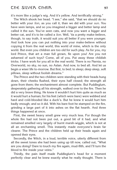#### The SILVER Chair compared to the state of the state of the state of the state of the state of the state of the state of the state of the state of the state of the state of the state of the state of the state of the state o

it's more like a judge's wig. And it's yellow. And terrifically strong."

The Witch shook her head. "I see," she said, "that we should do no better with your *lion*, as you call it, than we did with your *sun*. You have seen lamps, and so you imagined a bigger and better lamp and called it the sun. You've seen cats, and now you want a bigger and better cat, and it's to be called a *lion*. Well, 'tis a pretty make-believe, though, to say truth, it would suit you all better if you were younger. And look how you can put nothing into your make-believe without copying it from the real world, this world of mine, which is the only world. But even you children are too old for such play. As for you, my lord Prince, that art a man full grown, fie upon you! Are you not ashamed of such toys? Come, all of you. Put away these childish tricks. I have work for you all in the real world. There is no Narnia, no Overworld, no sky, no sun, no Aslan. And now, to bed all. And let us begin a wiser life to-morrow. But first, to bed; to sleep; deep sleep, soft pillows, sleep without foolish dreams."

The Prince and the two children were standing with their heads hung down, their cheeks flushed, their eyes half closed; the strength all gone from them; the enchantment almost complete. But Puddleglum, desperately gathering all his strength, walked over to the fire. Then he did a very brave thing. He knew it wouldn't hurt him quite as much as it would hurt a human; for his feet (which were bare) were webbed and hard and cold-blooded like a duck's. But he knew it would hurt him badly enough; and so it did. With his bare foot he stamped on the fire, grinding a large part of it into ashes on the flat hearth. And three things happened at once.

First, the sweet heavy smell grew very much less. For though the whole fire had not been put out, a good bit of it had, and what remained smelled very largely of burnt marsh-wiggle, which is not at all an enchanting smell. This instantly made everyone's brain far clearer. The Prince and the children held up their heads again and opened their eyes.

Secondly, the Witch, in a loud, terrible voice, utterly different from all the sweet tones she had been using up till now, called out, "What are you doing? Dare to touch my fire again, mud-filth, and I'll turn the blood to fire inside your veins."

Thirdly, the pain itself made Puddleglum's head for a moment perfectly clear and he knew exactly what he really thought. There is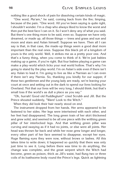nothing like a good shock of pain for dissolving certain kinds of magic.

"One word, Ma'am," he said, coming back from the fire; limping, because of the pain. "One word. All you've been saying is quite right, I shouldn't wonder. I'm a chap who always liked to know the worst and then put the best face I can on it. So I won't deny any of what you said. But there's one thing more to be said, even so. Suppose we have only dreamed, or made up, all those things — trees and grass and sun and moon and stars and Aslan himself. Suppose we have. Then all I can say is that, in that case, the made-up things seem a good deal more important than the real ones. Suppose this black pit of a kingdom of yours is the only world. Well, it strikes me as a pretty poor one. And that's a funny thing, when you come to think of it. We're just babies making up a game, if you're right. But four babies playing a game can make a play-world which licks your real world hollow. That's why I'm going to stand by the play-world. I'm on Aslan's side even if there isn't any Aslan to lead it. I'm going to live as like a Narnian as I can even if there isn't any Narnia. So, thanking you kindly for our supper, if these two gentlemen and the young lady are ready, we're leaving your court at once and setting out in the dark to spend our lives looking for Overland. Not that our lives will be very long, I should think; but that's small loss if the world's as dull a place as you say."

"Oh, hurrah! Good old Puddleglum!" cried Scrubb and Jill. But the Prince shouted suddenly, "Ware! Look to the Witch."

When they did look their hair nearly stood on end.

The instrument dropped from her hands. Her arms appeared to be fastened to her sides. Her legs were intertwined with each other, and her feet had disappeared. The long green train of her skirt thickened and grew solid, and seemed to be all one piece with the writhing green pillar of her interlocked legs. And that writhing green pillar was curving and swaying as if it had no joints, or else were all joints. Her head was thrown far back and while her nose grew longer and longer, every other part of her face seemed to disappear, except her eyes. Huge flaming eyes they were now, without brows or lashes. All this takes time to write down; it happened so quickly that there was only just time to see it. Long before there was time to do anything, the change was complete, and the great serpent which the Witch had become, green as poison, thick as Jill's waist, had flung two or three coils of its loathsome body round the Prince's legs. Quick as lightning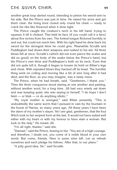#### The SILVER Chair company of the SILVER Chair company of the second state of the second state of the second state of the second state of the second state of the second state of the second state of the second state of the se

another great loop darted round, intending to pinion his sword-arm to his side. But the Prince was just in time. He raised his arms and got them clear: the living knot closed only round his chest — ready to crack his ribs like firewood when it drew tight.

The Prince caught the creature's neck in his left hand, trying to squeeze it till it choked. This held its face (if you could call it a face) about five inches from his own. The forked tongue flickered horribly in and out, but could not reach him. With his right hand he drew back his sword for the strongest blow he could give. Meanwhile Scrubb and Puddleglum had drawn their weapons and rushed to his aid. All three blows fell at once: Scrubb's (which did not even pierce the scales and did no good) on the body of the snake below the Prince's hand, but the Prince's own blow and Puddleglum's both on its neck. Even that did not quite kill it, though it began to loosen its hold on Rilian's legs and chest. With repeated blows they hacked off its head. The horrible thing went on coiling and moving like a bit of wire long after it had died; and the floor, as you may imagine, was a nasty mess.

The Prince, when he had breath, said, "Gentlemen, I thank you." Then the three conquerors stood staring at one another and panting, without another word, for a long time. Jill had very wisely sat down and was keeping quiet; she was saying to herself, "I do hope I don't  $faint$  — or blub — or do anything idiotic."

"My royal mother is avenged," said Rilian presently. "This is undoubtedly the same worm that I pursued in vain by the fountain in the forest of Narnia, so many years ago. All these years I have been the slave of my mother's slayer. Yet I am glad, gentlemen, that the foul Witch took to her serpent form at the last. It would not have suited well either with my heart or with my honour to have slain a woman. But look to the lady." He meant Jill.

"I'm all right, thanks," said she.

"Damsel," said the Prince, bowing to her. "You are of a high courage, and therefore, I doubt not, you come of a noble blood in your own world. But come, friends. Here is some wine left. Let us refresh ourselves and each pledge his fellows. After that, to our plans."

"A jolly good idea, Sir," said Scrubb.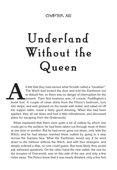### Chapter XIII

# Underland Without the Queen

II felt that they had earned what Scrubb called a "breather".<br>
The Witch had locked the door and told the Earthmen not<br>
to disturb her, so there was no danger of interruption for the<br>
present. Their first business was, of The Witch had locked the door and told the Earthmen not to disturb her, so there was no danger of interruption for the present. Their first business was, of course, Puddleglum's into strips, and well greased on the inside with butter and salad oil off the supper table, made a fairly good dressing. When this had been applied, they all sat down and had a little refreshment, and discussed plans for escaping from the Underworld.

Rilian explained that there were quite a lot of outlets by which one could get to the surface; he had been taken out through most of them at one time or another. But he had never gone out alone, only with the Witch; and he had always reached these outlets by going in a ship across the Sunless Sea. What the Earthmen would say if he went down to the harbour without the Witch, and with four strangers, and simply ordered a ship, no-one could guess. But most likely they would ask awkward questions. On the other hand the new outlet, the one for the invasion of Overworld, was on this side of the sea, and only a few miles away. The Prince knew that it was nearly finished; only a few feet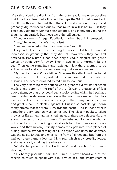#### The SILVER Chair company of the SILVER Chair company of the state of the state of the state of the state of the state of the state of the state of the state of the state of the state of the state of the state of the state

of earth divided the diggings from the outer air. It was even possible that it had now been quite finished. Perhaps the Witch had come back to tell him this and to start the attack. Even if it was not, they could probably dig themselves out by that route in a few hours — if they could only get there without being stopped, and if only they found the diggings unguarded. But those were the difficulties.

"If you ask me — " began Puddleglum, when Scrubb interrupted.

"I say," he asked, "what's that noise?"

"I've been wondering that for some time!" said Jill.

They had all, in fact, been hearing the noise but it had begun and increased so gradually that they did not know when they had first noticed it. For a time it had been only a vague disquiet like gentle winds, or traffic very far away. Then it swelled to a murmur like the sea. Then came rumblings and rushings. Now there seemed to be voices as well and also a steady roaring that was not voices.

"By the Lion," said Prince Rilian, "it seems this silent land has found a tongue at last." He rose, walked to the window, and drew aside the curtains. The others crowded round him to look out.

The very first thing they noticed was a great red glow. Its reflection made a red patch on the roof of the Underworld thousands of feet above them, so that they could see a rocky ceiling which had perhaps been hidden in darkness ever since the world was made. The glow itself came from the far side of the city so that many buildings, grim and great, stood up blackly against it. But it also cast its light down many streets that ran from it towards the castle. And in those streets something very strange was going on. The closely-packed, silent crowds of Earthmen had vanished. Instead, there were figures darting about by ones, or twos, or threes. They behaved like people who do not want to be seen: lurking in shadow behind buttresses or in doorways, and then moving quickly across the open into fresh places of hiding. But the strangest thing of all, to anyone who knew the gnomes, was the noise. Shouts and cries came from all directions. But from the harbour there came a low, rumbling roar which grew steadily louder and was already shaking the whole city.

"What's happened to the Earthmen?" said Scrubb. "Is it *them* shouting?"

"'Tis hardly possible," said the Prince. "I never heard one of the rascals so much as speak with a loud voice in all the weary years of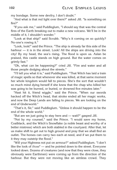my bondage. Some new devilry, I don't doubt."

"And what is that red light over there?" asked Jill. "Is something on fire?"

"If you ask me," said Puddleglum, "I should say that was the central fires of the Earth breaking out to make a new volcano. We'll be in the middle of it, I shouldn't wonder."

"Look at that ship!" said Scrubb. "Why's it coming on so quickly? No-one's rowing it."

"Look, look!" said the Prince. "The ship is already far this side of the harbour — it is in the street. Look! All the ships are driving into the city! By my head, the sea's rising. The flood is upon us. Aslan be praised, this castle stands on high ground. But the water comes on grimly fast."

"Oh, what *can* be happening?" cried Jill. "Fire and water and all those people dodging about the streets."

"I'll tell you what it is," said Puddleglum. "That Witch has laid a train of magic spells so that whenever she was killed, at that same moment her whole kingdom would fall to pieces. She's the sort that wouldn't so much mind dying herself if she knew that the chap who killed her was going to be burned, or buried, or drowned five minutes later."

"Hast hit it, friend wiggle," said the Prince. "When our swords hacked off the Witch's head, that stroke ended all her magic works, and now the Deep Lands are falling to pieces. We are looking on the end of Underworld."

"That's it, Sir," said Puddleglum. "Unless it should happen to be the end of the whole world."

"But are we just going to stay here and — wait?" gasped Jill.

"Not by my counsel," said the Prince. "I would save my horse, Coalblack, and the Witch's Snowflake (a noble beast and worthy of a better mistress) which are both stabled in the courtyard. After that, let us make shift to get out to high ground and pray that we shall find an outlet. The horses can carry two each at need, and if we put them to it they may outstrip the flood."

"Will your Highness not put on armour?" asked Puddleglum. "I don't like the look of *those*" — and he pointed down to the street. Everyone looked down. Dozens of creatures (and now that they were close, they obviously were Earthmen) were coming up from the direction of the harbour. But they were not moving like an aimless crowd. They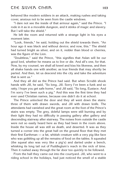### The SILVER Chair company of the SILVER Chairs and the state of the state of the state of the state of the state of the state of the state of the state of the state of the state of the state of the state of the state of the

behaved like modern soldiers in an attack, making rushes and taking cover, anxious not to be seen from the castle windows.

"I dare not see the inside of that armour again," said the Prince. "I rode in it as in a movable dungeon, and it stinks of magic and slavery. But I will take the shield."

He left the room and returned with a strange light in his eyes a moment later.

"Look, friends," he said, holding out the shield towards them. "An hour ago it was black and without device; and now, this." The shield had turned bright as silver, and on it, redder than blood or cherries, was the figure of the Lion.

"Doubtless," said the Prince, "this signifies that Aslan will be our good lord, whether he means us to live or die. And all's one, for that. Now, by my counsel, we shall all kneel and kiss his likeness, and then all shake hands one with another, as true friends that may shortly be parted. And then, let us descend into the city and take the adventure that is sent us."

And they all did as the Prince had said. But when Scrubb shook hands with Jill, he said, "So long, Jill. Sorry I've been a funk and so ratty. I hope you get safe home," and Jill said, "So long, Eustace. And I'm sorry I've been such a pig." And this was the first time they had ever used Christian names, because one didn't do it at school.

The Prince unlocked the door and they all went down the stairs: three of them with drawn swords, and Jill with drawn knife. The attendants had vanished and the great room at the foot of the Prince's stairs was empty. The grey, doleful lamps were still burning and by their light they had no difficulty in passing gallery after gallery and descending stairway after stairway. The noises from outside the castle were not so easily heard here as they had been in the room above. Inside the house all was still as death, and deserted. It was as they turned a corner into the great hall on the ground floor that they met their first Earthman — a fat, whitish creature with a very pig-like face who was gobbling up all the remains of food on the tables. It squealed (the squeal also was very like a pig's) and darted under a bench, whisking its long tail out of Puddleglum's reach in the nick of time. Then it rushed away through the far door too quickly to be followed.

From the hall they came out into the courtyard. Jill, who went to a riding school in the holidays, had just noticed the smell of a stable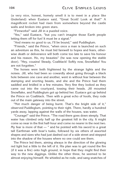(a very nice, honest, homely smell it is to meet in a place like Underland) when Eustace said, "Great Scott! Look at that!" A magnificent rocket had risen from somewhere beyond the castle walls and broken into green stars.

"Fireworks!" said Jill in a puzzled voice.

"Yes," said Eustace, "but you can't imagine those Earth people letting them off for fun! It must be a signal."

"And means no good to us, I'll be bound," said Puddleglum.

"Friends," said the Prince, "when once a man is launched on such an adventure as this, he must bid farewell to hopes and fears, otherwise death or deliverance will both come too late to save his honour and his reason. Ho, my beauties" (he was now opening the stable door). "Hey, cousins! Steady, Coalblack! Softly now, Snowflake! You are not forgotten."

The horses were both frightened by the strange lights and the noises. Jill, who had been so cowardly about going through a black hole between one cave and another, went in without fear between the stamping and snorting beasts, and she and the Prince had them saddled and bridled in a few minutes. Very fine they looked as they came out into the courtyard, tossing their heads. Jill mounted Snowflake, and Puddleglum got up behind her. Eustace got up behind the Prince on Coalblack. Then with a great echo of hoofs, they rode out of the main gateway into the street.

"Not much danger of being burnt. That's the bright side of it," observed Puddleglum, pointing to their right. There, hardly a hundred yards away, lapping against the walls of the houses, was water.

"Courage!" said the Prince. "The road there goes down steeply. That water has climbed only half up the greatest hill in the city. It might come so near in the first half-hour and come no nearer in the next two. My fear is more of that  $-$  " and he pointed with his sword to a great tall Earthman with boar's tusks, followed by six others of assorted shapes and sizes who had just dashed out of a side street and stepped into the shadow of the houses where no one could see them.

The Prince led them, aiming always in the direction of the glowing red light but a little to the left of it. His plan was to get round the fire (if it was a fire) onto high ground, in hope that they might find their way to the new diggings. Unlike the other three, he seemed to be almost enjoying himself. He whistled as he rode, and sang snatches of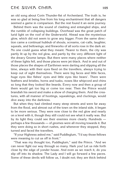### The SILVER Chair company of the SILVER Chairs and the state of the state of the state of the state of the state of the state of the state of the state of the state of the state of the state of the state of the state of the

an old song about Corin Thunder-fist of Archenland. The truth is, he was so glad at being free from his long enchantment that all dangers seemed a game in comparison. But the rest found it an eerie journey.

Behind them was the sound of clashing and entangled ships, and the rumble of collapsing buildings. Overhead was the great patch of lurid light on the roof of the Underworld. Ahead was the mysterious glow, which did not seem to grow any bigger. From the same direction came a continual hubbub of shouts, screams, cat-calls, laughter, squeals, and bellowings; and fireworks of all sorts rose in the dark air. No one could guess what they meant. Nearer to them, the city was partly lit up by the red glow, and partly by the very different light of the dreary Gnome lamps. But there were many places where neither of these lights fell, and those places were jet-black. And in and out of those places the shapes of Earthmen were darting and slipping all the time, always with their eyes fixed on the travellers, always trying to keep out of sight themselves. There were big faces and little faces, huge eyes like fishes' eyes and little eyes like bears'. There were feathers and bristles, horns and tusks, noses like whipcord and chins so long that they looked like beards. Every now and then a group of them would get too big or come too near. Then the Prince would brandish his sword and make a show of charging them. And the creatures, with all manner of hootings, squeakings, and cluckings, would dive away into the darkness.

But when they had climbed many steep streets and were far away from the flood, and almost out of the town on the inland side, it began to be more serious. They were now close to the red glow and nearly on a level with it, though they still could not see what it really was. But by its light they could see their enemies more clearly. Hundreds perhaps a few thousands — of gnomes were all moving towards it. But they were doing so in short rushes, and whenever they stopped, they turned and faced the travellers.

"If your Highness asked me," said Puddleglum, "I'd say those fellows were meaning to cut us off in front."

"That was my thought too, Puddleglum," said the Prince. "And we can never fight our way through so many. Hark you! Let us ride forth close by the edge of yonder house. And even as we reach it, do you slip off into its shadow. The Lady and I will go forward a few paces. Some of these devils will follow us, I doubt not; they are thick behind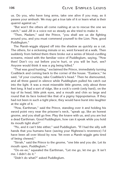us. Do you, who have long arms, take one alive if you may, as it passes your ambush. We may get a true tale of it or learn what is their quarrel against us."

"But won't the others all come rushing at us to rescue the one we catch," said Jill in a voice not so steady as she tried to make it.

"Then, Madam," said the Prince, "you shall see us die fighting around you, and you must commend yourself to the Lion. Now, good Puddleglum."

The Marsh-wiggle slipped off into the shadow as quickly as a cat. The others, for a sickening minute or so, went forward at a walk. Then suddenly from behind them there broke out a series of blood-curdling screams, mixed with the familiar voice of Puddleglum, saying, "Now then! Don't cry out before you're hurt, or you will be hurt, see? Anyone would think it was a pig being killed."

"That was good hunting," exclaimed the Prince, immediately turning Coalblack and coming back to the corner of the house. "Eustace," he said, "of your courtesy, take Coalblack's head." Then he dismounted, and all three gazed in silence while Puddleglum pulled his catch out into the light. It was a most miserable little gnome, only about three feet long. It had a sort of ridge, like a cock's comb (only hard), on the top of its head, little pink eyes, and a mouth and chin so large and round that its face looked like that of a pigmy hippopotamus. If they had not been in such a tight place, they would have burst into laughter at the sight of it.

"Now, Earthman," said the Prince, standing over it and holding his sword point very near the prisoner's neck, "speak up, like an honest gnome, and you shall go free. Play the knave with us, and you are but a dead Earthman. Good Puddleglum, how can it speak while you hold its mouth tight shut?"

"No, and it can't bite either," said Puddleglum. "If I had the silly soft hands that you humans have (saving your Highness's reverence) I'd have been all over blood by now. Yet even a Marsh-wiggle gets tired of being chewed."

"Sirrah," said the Prince to the gnome, "one bite and you die. Let its mouth open, Puddleglum."

"Oo-ee-ee," squealed the Earthman, "Let me go, let me go. It isn't me. I didn't do it."

"Didn't do what?" asked Puddleglum.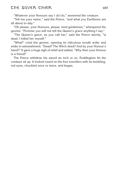### The SILVER Chair company of the SILVER Chair company of the state of the state of the state of the state of the state of the state of the state of the state of the state of the state of the state of the state of the state

"Whatever your Honours say I *did* do," answered the creature.

"Tell me your name," said the Prince, "and what you Earthmen are all about to-day."

"Oh please, your Honours, please, kind gentlemen," whimpered the gnome. "Promise you will not tell the Queen's grace anything I say."

"The Queen's grace, as you call her," said the Prince sternly, "is dead. I killed her myself."

"What!" cried the gnome, opening its ridiculous mouth wider and wider in astonishment. "Dead? The Witch dead? And by your Honour's hand?" It gave a huge sigh of relief and added, "Why then your Honour is a friend!"

The Prince withdrew his sword an inch or so. Puddleglum let the creature sit up. It looked round on the four travellers with its twinkling, red eyes, chuckled once or twice, and began.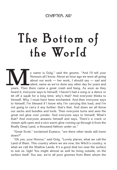## Chapter XIV

# The Bottom of the World

y name is Golg," said the gnome. "And I'll tell your<br>Honours all I know. About an hour ago we were all going<br>about our work — her work, I should say — sad and<br>silent, same as we've done any other day for years and<br>years. T Honours all I know. About an hour ago we were all going about our work — her work, I should say — sad and silent, same as we've done any other day for years and years. Then there came a great crash and bang. As soon as they heard it, everyone says to himself, I haven't had a song or a dance or let off a squib for a long time; why's that? And everyone thinks to himself, Why, I must have been enchanted. And then everyone says to himself, I'm blessed if I know why I'm carrying this load, and I'm not going to carry it any further: that's that. And down we all throw our sacks and bundles and tools. Then everyone turns and sees the great red glow over yonder. And everyone says to himself, What's that? And everyone answers himself and says, There's a crack or chasm split open and a nice warm glow coming up through it from the Really Deep Land, a thousand fathom under us."

"Great Scott," exclaimed Eustace, "are there other lands still lower down?"

"Oh yes, your Honour," said Golg. "Lovely places; what we call the Land of Bism. This country where we are now, the Witch's country, is what we call the Shallow Lands. It's a good deal too near the surface to suit us. Ugh! You might almost as well be living outside, on the surface itself. You see, we're all poor gnomes from Bism whom the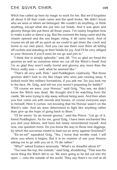### The SILVER Chair company of the SILVER Chair company of the state of the state of the state of the state of the state of the state of the state of the state of the state of the state of the state of the state of the state

Witch has called up here by magic to work for her. But we'd forgotten all about it till that crash came and the spell broke. We didn't know who we were or where we belonged. We couldn't do anything, or think anything, except what she put into our heads. And it was glum and gloomy things she put there all those years. I've nearly forgotten how to make a joke or dance a jig. But the moment the bang came and the chasm opened and the sea began rising, it all came back. And of course we all set off as quick as we could to get down the crack and home to our own place. And you can see them over there all letting off rockets and standing on their heads for joy. And I'll be very obliged to your Honours if you'll soon let me go and join in."

"I think this is simply splendid," said Jill. "I'm so glad we freed the gnomes as well as ourselves when we cut off the Witch's head! And I'm so glad they aren't really horrid and gloomy any more than the Prince really was — well, what he seemed like."

"That's all very well, Pole," said Puddleglum cautiously. "But those gnomes didn't look to me like chaps who were just running away. It looked more like military formations, if you ask me. Do you look me in the face, Mr. Golg, and tell me you weren't preparing for battle?"

"Of course we were, your Honour," said Golg. "You see, we didn't know the Witch was dead. We thought she'd be watching from the castle. We were trying to slip away without being seen. And then when you four came out with swords and horses, of course everyone says to himself, Here it comes: not knowing that his Honour wasn't on the Witch's side. And we were determined to fight like anything rather than give up the hope of going back to Bism."

"I'll be sworn 'tis an honest gnome," said the Prince. "Let go of it, friend Puddleglum. As for me, good Golg, I have been enchanted like you and your fellows, and have but newly remembered myself. And now, one question more. Do you know the way to those new diggings, by which the sorceress meant to lead out an army against Overland?"

"Ee-ee-ee!" squeaked Golg. "Yes, I know that terrible road. I will show you where it begins. But it is no manner of use your Honour asking me to go with you on it. I'll die rather."

"Why?" asked Eustace anxiously. "What's so dreadful about it?"

"Too near the top, the outside," said Golg, shuddering. "That was the worst thing the Witch did to us. We were going to be led out into the open — onto the outside of the world. They say there's no roof at all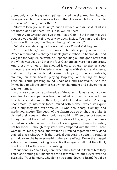there; only a horrible great emptiness called the sky. And the diggings have gone so far that a few strokes of the pick would bring you out to it. I wouldn't dare go near them."

"Hurrah! Now you're talking!" cried Eustace, and Jill said, "But it's not horrid at all up there. We like it. We live there."

"I know you Overlanders live there," said Golg. "But I thought it was because you couldn't find your way down inside. You can't really like it — -crawling about like flies on the top of the world!"

"What about showing us the road at once?" said Puddleglum.

"In a good hour," cried the Prince. The whole party set out. The Prince remounted his charger, Puddleglum climbed up behind Jill, and Golg led the way. As he went, he kept shouting out the good news that the Witch was dead and that the four Overlanders were not dangerous. And those who heard him shouted it on to others, so that in a few minutes the whole of Underland was ringing with shouts and cheers, and gnomes by hundreds and thousands, leaping, turning cart-wheels, standing on their heads, playing leap-frog, and letting off huge crackers, came pressing round Coalblack and Snowflake. And the Prince had to tell the story of his own enchantment and deliverance at least ten times.

In this way they came to the edge of the chasm. It was about a thousand feet long and perhaps two hundred wide. They dismounted from their horses and came to the edge, and looked down into it. A strong heat smote up into their faces, mixed with a smell which was quite unlike any they had ever smelled. It was rich, sharp, exciting, and made you sneeze. The depth of the chasm was so bright that at first it dazzled their eyes and they could see nothing. When they got used to it they thought they could make out a river of fire, and, on the banks of that river, what seemed to be fields and groves of an unbearable, hot brilliance — though they were dim compared with the river. There were blues, reds, greens, and whites all jumbled together: a very good stained-glass window with the tropical sun staring straight through it at midday might have something the same effect. Down the rugged sides of the chasm, looking black like flies against all that fiery light, hundreds of Earthmen were climbing.

"Your honours," said Golg (and when they turned to look at him they could see nothing but blackness for a few minutes, their eyes were so dazzled). "Your honours, why don't you come down to Bism? You'd be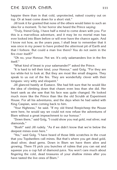### The SILVER Chair company of the SILVER Chair

happier there than in that cold, unprotected, naked country out on top. Or at least come down for a short visit."

Jill took it for granted that none of the others would listen to such an idea for a moment. To her horror she heard the Prince saying:

"Truly, friend Golg, I have half a mind to come down with you. For this is a marvellous adventure, and it may be no mortal man has ever looked into Bism before or will ever have the chance again. And I know not how, as the years pass, I shall bear to remember that it was once in my power to have probed the uttermost pit of Earth and that I forbore. But could a man live there? You do not swim in the fire-river itself?"

"Oh no, your Honour. Not we. It's only salamanders live in the fire itself."

"What kind of beast is your salamander?" asked the Prince.

"It is hard to tell their kind, your Honour," said Golg. "For they are too white-hot to look at. But they are most like small dragons. They speak to us out of the fire. They are wonderfully clever with their tongues: very witty and eloquent."

Jill glanced hastily at Eustace. She had felt sure that he would like the idea of climbing down that chasm even less than she did. Her heart sank as she saw that his face was quite changed. He looked much more like the Prince than like the old Scrubb at Experiment House. For all his adventures, and the days when he had sailed with King Caspian, were coming back to him.

"Your Highness," he said. "If my old friend Reepicheep the Mouse were here, he would say we could not now refuse the adventures of Bism without a great impeachment to our honour."

"Down there," said Golg, "I could show you real gold, real silver, real diamonds."

"Bosh!" said Jill rudely. "As if we didn't know that we're below the deepest mines even here."

"Yes," said Golg. "I have heard of those little scratches in the crust that you Topdwellers call mines. But that's where you get dead gold, dead silver, dead gems. Down in Bism we have them alive and growing. There I'll pick you bunches of rubies that you can eat and squeeze you a cup full of diamond-juice. You won't care much about fingering the cold, dead treasures of your shallow mines after you have tasted the live ones of Bism."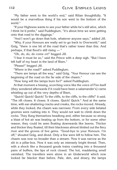"My father went to the world's end," said Rilian thoughtfully. "It would be a marvellous thing if his son went to the bottom of the world."

"If your Highness wants to see your father while he's still alive, which I think he'd prefer," said Puddleglum, "it's about time we were getting onto that road to the diggings."

"And I won't go down that hole, whatever anyone says," added Jill.

"Why, if your Honours are really set to go back to Overworld," said Golg, "there *is* one bit of the road that's rather lower than this. And perhaps, if that flood's still rising — "

"Oh, do, do, do come *on*!" begged Jill.

"I fear it must be so," said the Prince with a deep sigh. "But I have left half of my heart in the land of Bism."

"Please!" begged Jill.

"Where is the road?" asked Puddleglum.

"There are lamps all the way," said Golg. "Your Honour can see the beginning of the road on the far side of the chasm."

"How long will the lamps burn for?" asked Puddleglum.

At that moment a hissing, scorching voice like the voice of Fire itself (they wondered afterwards if it could have been a salamander's) came whistling up out of the very depths of Bism.

"Quick! Quick! Quick! To the cliffs, to the cliffs, to the cliffs!" it said. "The rift closes. It closes. It closes. Quick! Quick." And at the same time, with ear-shattering cracks and creaks, the rocks moved. Already, while they looked, the chasm was narrower. From every side belated gnomes were rushing into it. They would not wait to climb down the rocks. They flung themselves headlong and, either because so strong a blast of hot air was beating up from the bottom, or for some other reason, they could be seen floating downwards like leaves. Thicker and thicker they floated, till their blackness almost blotted out the fiery river and the groves of live gems. "Good-bye to your Honours. I'm off," shouted Golg, and dived. Only a few were left to follow him. The chasm was now no broader than a stream. Now it was narrow as the slit in a pillar-box. Now it was only an intensely bright thread. Then, with a shock like a thousand goods trains crashing into a thousand pairs of buffers, the lips of rock closed. The hot, maddening smell vanished. The travellers were alone in an Underworld which now looked far blacker than before. Pale, dim, and dreary, the lamps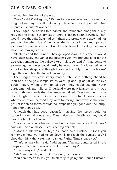### The SILVER Chair company of the SILVER Chairs and the state of the state of the state of the state of the state of the state of the state of the state of the state of the state of the state of the state of the state of the

marked the direction of the road.

"Now," said Puddleglum, "it's ten to one we've already stayed too long, but we may as well make a try. Those lamps will give out in five minutes, I shouldn't wonder."

They urged the horses to a canter and thundered along the dusky road in fine style. But almost at once it began going downhill. They would have thought Golg had sent them the wrong way if they had not seen, on the other side of the valley, the lamps going on and upwards as far as the eye could reach. But at the bottom of the valley the lamps shone on moving water.

"Haste," cried the Prince. They galloped down the slope. It would have been nasty enough at the bottom even five minutes later for the tide was running up the valley like a mill-race, and if it had come to swimming, the horses could hardly have won over. But it was still only a foot or two deep, and though it swished terribly round the horses' legs, they reached the far side in safety.

Then began the slow, weary march uphill with nothing ahead to look at but the pale lamps which went up and up as far as the eye could reach. When they looked back they could see the water spreading. All the hills of Underland were now islands, and it was only on those islands that the lamps remained. Every moment some distant light vanished. Soon there would be total darkness everywhere except on the road they were following; and even on the lower part of it behind them, though no lamps had yet gone out, the lamplight shone on water.

Although they had good reason for hurrying, the horses could not go on for ever without a rest. They halted: and in silence they could hear the lapping of water.

"I wonder is what's his name — Father Time — flooded out now," said Jill. "And all those queer sleeping animals."

"I don't think we're as high as that," said Eustace. "Don't you remember how we had to go downhill to reach the sunless sea? I shouldn't think the water has reached Father Time's cave yet."

"That's as may be," said Puddleglum. "I'm more interested in the lamps on this road. Look a bit sickly, don't they?"

"They always did," said Jill.

"Ah," said Puddleglum. "But they're greener now."

"You don't mean to say you think they're going out?" cried Eustace.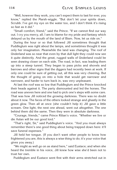"Well, however they work, you can't expect them to last for ever, you know," replied the Marsh-wiggle. "But don't let your spirits down, Scrubb. I've got my eye on the water too, and I don't think it's rising so fast as it did."

"Small comfort, friend," said the Prince. "If we cannot find our way out. I cry you mercy, all. I am to blame for my pride and fantasy which delayed us by the mouth of the land of Bism. Now, let us ride on."

During the hour or so that followed Jill sometimes thought that Puddleglum was right about the lamps, and sometimes thought it was only her imagination. Meanwhile the land was changing. The roof of Underland was so near that even by that dull light they could now see it quite distinctly. And the great, rugged walls of Underland could be seen drawing closer on each side. The road, in fact, was leading them up into a steep tunnel. They began to pass picks and shovels and barrows and other signs that the diggers had recently been at work. If only one could be sure of getting out, all this was very cheering. But the thought of going on into a hole that would get narrower and narrower, and harder to turn back in, was very unpleasant.

At last the roof was so low that Puddleglum and the Prince knocked their heads against it. The party dismounted and led the horses. The road was uneven here and one had to pick one's steps with some care. That was how Jill noticed the growing darkness. There was no doubt about it now. The faces of the others looked strange and ghastly in the green glow. Then all at once (she couldn't help it) Jill gave a little scream. One light, the next one ahead, went out altogether. The one behind them did the same. Then they were in absolute darkness.

"Courage, friends," came Prince Rilian's voice. "Whether we live or die Aslan will be our good lord."

"That's right, Sir," said Puddleglum's voice. "And you must always remember there's one good thing about being trapped down here: it'll save funeral expenses."

Jill held her tongue. (If you don't want other people to know how frightened you are, this is always a wise thing to do; it's your voice that gives you away.)

"We might as well go on as stand here," said Eustace; and when she heard the tremble in his voice, Jill knew how wise she'd been not to trust her own.

Puddleglum and Eustace went first with their arms stretched out in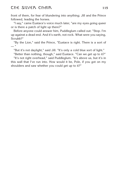### The SILVER Chair and the state of the state of the state of the state of the state of the state of the state o

front of them, for fear of blundering into anything; Jill and the Prince followed, leading the horses.

"I say," came Eustace's voice much later, "are my eyes going queer or is there a patch of light up there?"

Before anyone could answer him, Puddleglum called out: "Stop. I'm up against a dead end. And it's earth, not rock. What were you saying, Scrubb?"

"By the Lion," said the Prince, "Eustace is right. There is a sort of — "

"But it's not daylight," said Jill. "It's only a cold blue sort of light."

"Better than nothing, though," said Eustace. "Can we get up to it?"

"It's not right overhead," said Puddleglum. "It's above us, but it's in this wall that I've run into. How would it be, Pole, if you got on my shoulders and saw whether you could get up to it?"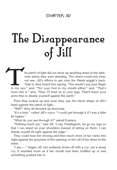## Chapter XI)

# The Disappearance of Jill

he patch of light did not show up anything down in the dark-<br>ness where they were standing. The others could only hear,<br>not see, Jill's efforts to get onto the Marsh-wiggle's back.<br>That is, they heard him saying, "You need ness where they were standing. The others could only hear, not see, Jill's efforts to get onto the Marsh-wiggle's back. That is, they heard him saying, "You needn't put your finger more like it," and, "Now, I'll hold on to your legs. That'll leave your arms free to steady yourself against the earth."

Then they looked up and soon they saw the black shape of Jill's head against the patch of light.

"Well?" they all shouted up anxiously.

"It's a hole," called Jill's voice. "I could get through it if I was a little bit higher."

"What do you see through it?" asked Eustace.

"Nothing much yet," said Jill. "I say, Puddleglum, let go my legs so that I can stand on your shoulders instead of sitting on them. I can steady myself all right against the edge."

They could hear her moving and then much more of her came into sight against the greyness of the opening; in fact all of her down to the waist.

"I say — " began Jill, but suddenly broke off with a cry: not a sharp cry. It sounded more as if her mouth had been muffled up or had something pushed into it.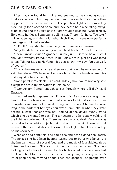### The SILVER Chair company of the SILVER Chair

After that she found her voice and seemed to be shouting out as loud as she could, but they couldn't hear the words. Two things then happened at the same moment. The patch of light was completely blocked up for a second or so; and they heard both a scuffling, struggling sound and the voice of the Marsh-wiggle gasping: "Quick! Help. Hold onto her legs. Someone's pulling her. There! No, here. Too late!"

The opening, and the cold light which filled it, were now perfectly clear again. Jill had vanished.

"Jill! Jill!" they shouted frantically, but there was no answer.

"Why the dickens couldn't you have held her feet?" said Eustace.

"I don't know, Scrubb," groaned Puddleglum. "Born to be a misfit, I shouldn't wonder. Fated. Fated to be Pole's death, just as I was fated to eat Talking Stag at Harfang. Not that it isn't my own fault as well, of course."

"This is the greatest shame and sorrow that could have fallen on us," said the Prince. "We have sent a brave lady into the hands of enemies and stayed behind in safety."

"Don't paint it *too* black, Sir," said Puddleglum. "We're not very safe except for death by starvation in this hole."

"I wonder am I small enough to get through where Jill did?" said Eustace.

What had really happened to Jill was this. As soon as she got her head out of the hole she found that she was looking down as if from an upstairs window, not up as if through a trap-door. She had been so long in the dark that her eyes couldn't at first take in what they were seeing: except that she was not looking at the daylit, sunny world which she so wanted to see. The air seemed to be deadly cold, and the light was pale and blue. There was also a good deal of noise going on and a lot of white objects flying about in the air. It was at that moment that she had shouted down to Puddleglum to let her stand up on his shoulders.

When she had done this, she could see and hear a good deal better. The noises she had been hearing turned out to be of two kinds: the rhythmical thump of several feet, and the music of four fiddles, three flutes, and a drum. She also got her own position clear. She was looking out of a hole in a steep bank which sloped down and reached the level about fourteen feet below her. Everything was very white. A lot of people were moving about. Then she gasped! The people were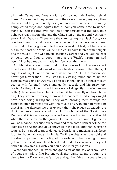trim little Fauns, and Dryads with leaf-crowned hair floating behind them. For a second they looked as if they were moving anyhow; then she saw that they were really doing a dance  $-$  a dance with so many complicated steps and figures that it took you some time to understand it. Then it came over her like a thunderclap that the pale, blue light was really moonlight, and the white stuff on the ground was really snow. And of course! There were the stars staring in a black frosty sky overhead. And the tall black things behind the dancers were trees. They had not only got out into the upper world at last, but had come out in the heart of Narnia. Jill felt she could have fainted with delight; and the music — the wild music, intensely sweet and yet just the least bit eerie too, and full of good magic as the Witch's thrumming had been full of bad magic — made her feel it all the more.

All this takes a long time to tell, but of course it took a very short time to see. Jill turned almost at once to shout down to the others, "I say! It's all right. We're out, and we're home." But the reason she never got further than "I say" was this. Circling round and round the dancers was a ring of Dwarfs, all dressed in their finest clothes; mostly scarlet with fur-lined hoods and golden tassels and big furry topboots. As they circled round they were all diligently throwing snowballs. (Those were the white things that Jill had seen flying through the air.) They weren't throwing them at the dancers as silly boys might have been doing in England. They were throwing them through the dance in such perfect time with the music and with such perfect aim that if all the dancers were in exactly the right places at exactly the right moments, no-one would be hit. This is called the Great Snow Dance and it is done every year in Narnia on the first moonlit night when there is snow on the ground. Of course it is a kind of game as well as a dance, because every now and then some dancer will be the least little bit wrong and get a snowball in the face, and then everyone laughs. But a good team of dancers, Dwarfs, and musicians will keep it up for hours without a single hit. On fine nights when the cold and the drum-taps, and the hooting of the owls, and the moonlight, have got into their wild, woodland blood and made it even wilder, they will dance till daybreak. I wish you could see it for yourselves.

What had stopped Jill when she got as far as the say of "I say" was of course simply a fine big snowball that came sailing through the dance from a Dwarf on the far side and got her fair and square in the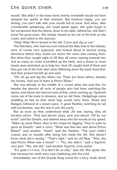### The SILVER Chair company of the SILVER Chairs and the state of the state of the state of the state of the state of the state of the state of the state of the state of the state of the state of the state of the state of the

mouth. She didn't in the least mind; twenty snowballs would not have damped her spirits at that moment. But however happy you are feeling, you can't talk with your mouth full of snow. And when, after considerable spluttering, she could speak again, she quite forgot in her excitement that the others, down in the dark, behind her, still didn't know the good news. She simply leaned as far out of the hole as she could, and yelled to the dancers.

"Help! Help! We're buried in the hill. Come and dig us out."

The Narnians, who had not even noticed the little hole in the hillside, were of course very surprised, and looked about in several wrong directions before they found out where the voice was coming from. But when they caught sight of Jill they all came running towards her, and as many as could scrambled up the bank, and a dozen or more hands were stretched up to help her. And Jill caught hold of them and thus got out of the hole and came slithering down the bank head first, and then picked herself up and said:

"Oh, do go and dig the others out. There are three others, besides the horses. And one of them is Prince Rilian."

She was already in the middle of a crowd when she said this, for besides the dancers all sorts of people who had been watching the dance, and whom she had not seen at first, came running up. Squirrels came out of the trees in showers, and so did Owls. Hedgehogs came waddling as fast as their short legs would carry them. Bears and Badgers followed at a slower pace. A great Panther, twitching its tail with excitement, was the last to join the party.

But as soon as they understood what Jill was saying, they all became active. "Pick and shovel, boys, pick and shovel. Off for our tools!" said the Dwarfs, and dashed away into the woods at top speed. "Wake up some Moles, they're the chaps for digging. They're quite as good as Dwarfs," said a voice. "What was that she said about Prince Rilian?" said another. "Hush!" said the Panther. "The poor child's crazed, and no wonder after being lost inside the hill. She doesn't know what she's saying." "That's right," said an old Bear. "Why, she said Prince Rilian was a horse!" — "No, she didn't," said a Squirrel, very pert. "Yes, she did," said another Squirrel, even perter.

"It's quite t-t-t-true. D-d-don't be so silly," said Jill. She spoke like that because her teeth were now chattering with the cold.

Immediately one of the Dryads flung round her a furry cloak which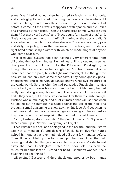some Dwarf had dropped when he rushed to fetch his mining tools, and an obliging Faun trotted off among the trees to a place where Jill could see firelight in the mouth of a cave, to get her a hot drink. But before it came, all the Dwarfs reappeared with spades and pick-axes and charged at the hillside. Then Jill heard cries of "Hi! What are you doing? Put that sword down," and "Now, young 'un: none of that," and, "He's a vicious one, now, isn't he?" Jill hurried to the spot and didn't know whether to laugh or cry when she saw Eustace's face, very pale and dirty, projecting from the blackness of the hole, and Eustace's right hand brandishing a sword with which he made lunges at anyone who came near him.

For of course Eustace had been having a very different time from Jill during the last few minutes. He had heard Jill cry out and seen her disappear into the unknown. Like the Prince and Puddleglum, he thought that some enemies had caught her. And from down below he didn't see that the pale, blueish light was moonlight. He thought the hole would lead only into some other cave, lit by some ghostly phosphorescence and filled with goodness-knows-what evil creatures of the Underworld. So that when he had persuaded Puddleglum to give him a back, and drawn his sword, and poked out his head, he had really been doing a very brave thing. The others would have done it first if they could, but the hole was too small for them to climb through. Eustace was a little bigger, and a lot clumsier, than Jill, so that when he looked out he bumped his head against the top of the hole and brought a small avalanche of snow down on his face. And so, when he could see again, and saw dozens of figures coming at him as hard as they could run, it is not surprising that he tried to ward them off.

"Stop, Eustace, stop," cried Jill. "They're all friends. Can't you see? We've come up in Narnia. Everything's all right."

Then Eustace did see, and apologised to the Dwarfs (and the Dwarfs said not to mention it), and dozens of thick, hairy, dwarfish hands helped him out just as they had helped Jill out a few minutes before. Then Jill scrambled up the bank and put her head in at the dark opening and shouted the good news in to the prisoners. As she turned away she heard Puddleglum mutter, "Ah, poor Pole. It's been too much for her, this last bit. Turned her head, I shouldn't wonder. She's beginning to see things."

Jill rejoined Eustace and they shook one another by both hands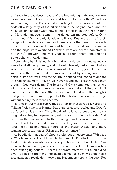### The SILVER Chair company of the SILVER Chair company of the state of the state of the state of the state of the state of the state of the state of the state of the state of the state of the state of the state of the state

and took in great deep breaths of the free midnight air. And a warm cloak was brought for Eustace and hot drinks for both. While they were sipping it, the Dwarfs had already got all the snow and all the sods off a large strip of the hillside round the original hole, and the pickaxes and spades were now going as merrily as the feet of Fauns and Dryads had been going in the dance ten minutes before. Only ten minutes! Yet already it felt to Jill and Eustace as if all their dangers in the dark and heat and general smotheriness of the earth must have been only a dream. Out here, in the cold, with the moon and the huge stars overhead (Narnian stars are nearer than stars in our world) and with kind, merry faces all round them, one couldn't quite believe in Underland.

Before they had finished their hot drinks, a dozen or so Moles, newly waked and still very sleepy, and not well pleased, had arrived. But as soon as they understood what it was all about, they joined in with a will. Even the Fauns made themselves useful by carting away the earth in little barrows, and the Squirrels danced and leaped to and fro in great excitement, though Jill never found out exactly what they thought they were doing. The Bears and Owls contented themselves with giving advice, and kept on asking the children if they wouldn't like to come into the cave (that was where Jill had seen the firelight) and get warm and have supper. But the children couldn't bear to go without seeing their friends set free.

No one in our world can work at a job of that sort as Dwarfs and Talking Moles work in Narnia; but then, of course, Moles and Dwarfs don't look on it as work. They like digging. It was therefore not really long before they had opened a great black chasm in the hillside. And out from the blackness into the moonlight — this would have been rather dreadful if one hadn't known who they were — came, first, the long, leggy, steeple-hatted figure of the Marsh-wiggle, and then, leading two great horses, Rilian the Prince himself.

As Puddleglum appeared shouts broke out on every side: "Why, it's a Wiggle — why, it's old Puddleglum — old Puddleglum from the Eastern Marshes — what ever have you been doing, Puddleglum? there've been search-parties out for you — the Lord Trumpkin has been putting up notices — there's a reward offered!" But all this died away, all in one moment, into dead silence, as quickly as the noise dies away in a rowdy dormitory if the Headmaster opens the door. For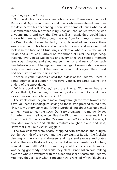now they saw the Prince.

No one doubted for a moment who he was. There were plenty of Beasts and Dryads and Dwarfs and Fauns who remembered him from the days before his enchanting. There were some old ones who could just remember how his father, King Caspian, had looked when he was a young man, and saw the likeness. But I think they would have known him anyway. Pale though he was from long imprisonment in the Deep Lands, dressed in black, dusty, dishevelled, and weary, there was something in his face and air which no one could mistake. That look is in the face of all true kings of Narnia, who rule by the will of Aslan and sit at Cair Paravel on the throne of Peter the High King. Instantly every head was bared and every knee was bent; a moment later such cheering and shouting, such jumps and reels of joy, such hand-shakings and kissings and embracings of everybody by everybody else broke out that the tears came into Jill's eyes. Their quest had been worth all the pains it cost.

"Please it your Highness," said the oldest of the Dwarfs, "there is some attempt at a supper in the cave yonder, prepared against the ending of the snow-dance — "

"With a good will, Father," said the Prince. "For never had any Prince, Knight, Gentleman, or Bear so good a stomach to his victuals as we four wanderers have to-night."

The whole crowd began to move away through the trees towards the cave. Jill heard Puddleglum saying to those who pressed round him. "No, no, my story can wait. Nothing worth talking about has happened to me. I want to hear the news. Don't try breaking it to me gently, for I'd rather have it all at once. Has the King been shipwrecked? Any forest fires? No wars on the Calormen border? Or a few dragons, I shouldn't wonder?" And all the creatures laughed aloud and said, "Isn't that just like a Marsh-wiggle?"

The two children were nearly dropping with tiredness and hunger, but the warmth of the cave, and the very sight of it, with the firelight dancing on the walls and dressers and cups and saucers and plates and on the smooth stone floor, just as it does in a farmhouse kitchen, revived them a little. All the same they went fast asleep while supper was being got ready. And while they slept Prince Rilian was talking over the whole adventure with the older and wiser Beasts and Dwarfs. And now they all saw what it meant; how a wicked Witch (doubtless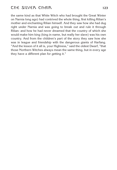### The SILVER Chair company of the SILVER Chair company of the state of the state of the state of the state of the state of the state of the state of the state of the state of the state of the state of the state of the state

the same kind as that White Witch who had brought the Great Winter on Narnia long ago) had contrived the whole thing, first killing Rilian's mother and enchanting Rilian himself. And they saw how she had dug right under Narnia and was going to break out and rule it through Rilian: and how he had never dreamed that the country of which she would make him king (king in name, but really her slave) was his own country. And from the children's part of the story they saw how she was in league and friendship with the dangerous giants of Harfang. "And the lesson of it all is, your Highness," said the oldest Dwarf, "that those Northern Witches always mean the same thing, but in every age they have a different plan for getting it."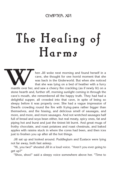# Chapter XI<sub>II</sub>

# The Healing of Harms



hen Jill woke next morning and found herself in a cave, she thought for one horrid moment that she was back in the Underworld. But when she noticed that she was lying on a bed of heather with a furry mantle over her, and s cave, she thought for one horrid moment that she was back in the Underworld. But when she noticed that she was lying on a bed of heather with a furry

stone hearth and, further off, morning sunlight coming in through the cave's mouth, she remembered all the happy truth. They had had a delightful supper, all crowded into that cave, in spite of being so sleepy before it was properly over. She had a vague impression of Dwarfs crowding round the fire with frying-pans rather bigger than themselves, and the hissing, and delicious smell of sausages, and more, and more, and more sausages. And not wretched sausages half full of bread and soya bean either, but real meaty, spicy ones, fat and piping hot and burst and just the tiniest bit burnt. And great mugs of frothy chocolate, and roast potatoes and roast chestnuts, and baked apples with raisins stuck in where the cores had been, and then ices just to freshen you up after all the hot things.

Jill sat up and looked around. Puddleglum and Eustace were lying not far away, both fast asleep.

"Hi, you two!" shouted Jill in a loud voice. "Aren't you ever going to get up?"

"Shoo, shoo!" said a sleepy voice somewhere above her. "Time to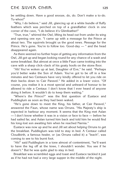### The SILVER Chair company of the SILVER Chairs and the state of the state of the state of the state of the state of the state of the state of the state of the state of the state of the state of the state of the state of the

be settling down. Have a good snooze, do, do. Don't make a to-do. Tu-whoo!"

"Why, I do believe," said Jill, glancing up at a white bundle of fluffy feathers which was perched on top of a grandfather clock in one corner of the cave, "I do believe it's Glimfeather!"

"True, true," whirred the Owl, lifting its head out from under its wing and opening one eye. "I came up with a message for the Prince at about two. The squirrels brought us the good news. Message for the Prince. He's gone. You're to follow too. Good-day — " and the head disappeared again.

As there seemed no further hope of getting any information from the Owl, Jill got up and began looking round for any chance of a wash and some breakfast. But almost at once a little Faun came trotting into the cave with a sharp click-clack of his goaty hoofs on the stone floor.

"Ah! You've woken up at last, Daughter of Eve," he said. "Perhaps you'd better wake the Son of Adam. You've got to be off in a few minutes and two Centaurs have very kindly offered to let you ride on their backs down to Cair Paravel." He added in a lower voice. "Of course, you realise it is a most special and unheard-of honour to be allowed to ride a Centaur. I don't know that I ever heard of anyone doing it before. It wouldn't do to keep them waiting."

"Where's the Prince?" was the first question of Eustace and Puddleglum as soon as they had been waked.

"He's gone down to meet the King, his father, at Cair Paravel," answered the Faun, whose name was Orruns. "His Majesty's ship is expected in harbour any moment. It seems that the King met Aslan — I don't know whether it was in a vision or face to face — before he had sailed far, and Aslan turned him back and told him he would find his long-lost son awaiting him when he reached Narnia."

Eustace was now up and he and Jill set about helping Orruns to get the breakfast. Puddleglum was told to stay in bed. A Centaur called Cloudbirth, a famous healer, or (as Orruns called it) a "leach", was coming to see to his burnt foot.

"Ah!" said Puddleglum in a tone almost of contentment, "he'll want to have the leg off at the knee, I shouldn't wonder. You see if he doesn't." But he was quite glad to stay in bed.

Breakfast was scrambled eggs and toast and Eustace tackled it just as if he had not had a very large supper in the middle of the night.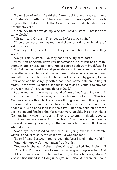"I say, Son of Adam," said the Faun, looking with a certain awe at Eustace's mouthfuls. "There's no need to hurry *quite* so dreadfully as that. I don't think the Centaurs have quite finished their breakfasts yet."

"Then they must have got up very late," said Eustace. "I bet it's after ten o'clock."

"Oh no," said Orruns. "They got up before it was light."

"Then they must have waited the dickens of a time for breakfast," said Eustace.

"No, they didn't," said Orruns. "They began eating the minute they woke."

"Golly!" said Eustace. "Do they eat a very big breakfast?"

"Why, Son of Adam, don't you understand? A Centaur has a manstomach and a horse-stomach. And of course both want breakfast. So first of all he has porridge and pavenders and kidneys and bacon and omelette and cold ham and toast and marmalade and coffee and beer. And after that he attends to the horse part of himself by grazing for an hour or so and finishing up with a hot mash, some oats and a bag of sugar. That's why it's such a serious thing to ask a Centaur to stay for the week-end. A very serious thing indeed."

At that moment there was a sound of horse-hoofs tapping on rock from the mouth of the cave, and the children looked up. The two Centaurs, one with a black and one with a golden beard flowing over their magnificent bare chests, stood waiting for them, bending their heads a little so as to look into the cave. Then the children became very polite and finished their breakfast very quickly. No one thinks a Centaur funny when he sees it. They are solemn, majestic people, full of ancient wisdom which they learn from the stars, not easily made either merry or angry; but their anger is terrible as a tidal wave when it comes.

"Good-bye, dear Puddleglum," said Jill, going over to the Marshwiggle's bed. "I'm sorry we called you a wet blanket."

"So'm I," said Eustace. "You've been the best friend in the world."

"And I do hope we'll meet again," added Jill.

"Not much chance of that, I should say," replied Puddleglum. "I don't reckon I'm very likely to see my old wigwam again either. And that Prince — he's a nice chap — but do you think he's very strong? Constitution ruined with living underground, I shouldn't wonder. Looks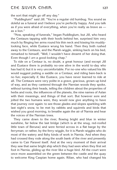### The SILVER Chair company of the SILVER Chair company of the state of the state of the state of the state of the state of the state of the state of the state of the state of the state of the state of the state of the state

the sort that might go off any day."

"Puddleglum!" said Jill. "You're a regular old humbug. You sound as doleful as a funeral and I believe you're perfectly happy. And you talk as if you were afraid of everything, when you're really as brave as as a lion."

"Now, speaking of funerals," began Puddleglum, but Jill, who heard the Centaurs tapping with their hoofs behind her, surprised him very much by flinging her arms round his thin neck and kissing his muddylooking face, while Eustace wrung his hand. Then they both rushed away to the Centaurs, and the Marsh-wiggle, sinking back on his bed, remarked to himself, "Well, I wouldn't have dreamt of her doing that. Even though I *am* a good-looking chap."

To ride on a Centaur is, no doubt, a great honour (and except Jill and Eustace there is probably no-one alive in the world to-day who has had it) but it is very uncomfortable. For no-one who valued his life would suggest putting a saddle on a Centaur, and riding bare-back is no fun; especially if, like Eustace, you have never learned to ride at all. The Centaurs were very polite in a grave, gracious, grown-up kind of way, and as they cantered through the Narnian woods they spoke, without turning their heads, telling the children about the properties of herbs and roots, the influences of the planets, the nine names of Aslan with their meanings, and things of that sort. But however sore and jolted the two humans were, they would now give anything to have that journey over again: to see those glades and slopes sparkling with last night's snow, to be met by rabbits and squirrels and birds that wished you good morning, to breathe again the air of Narnia and hear the voices of the Narnian trees.

They came down to the river, flowing bright and blue in winter sunshine, far below the last bridge (which is at the snug, red-roofed little town of Beruna) and were ferried across in a flat barge by the ferryman; or rather, by the ferry-wiggle, for it is Marsh-wiggles who do most of the watery and fishy kinds of work in Narnia. And when they had crossed they rode along the south bank of the river and presently came to Cair Paravel itself. And at the very moment of their arrival they saw that same bright ship which they had seen when they first set foot in Narnia, gliding up the river like a huge bird. All the court were once more assembled on the green between the castle and the quay to welcome King Caspian home again. Rilian, who had changed his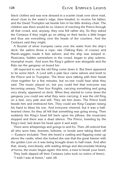black clothes and was now dressed in a scarlet cloak over silver mail, stood close to the water's edge, bare-headed, to receive his father; and the Dwarf Trumpkin sat beside him in his little donkey-chair. The children saw there would be no chance of reaching the Prince through all that crowd, and, anyway, they now felt rather shy. So they asked the Centaurs if they might go on sitting on their backs a little longer and thus see everything over the heads of the courtiers. And the Centaurs said they might.

A flourish of silver trumpets came over the water from the ship's deck: the sailors threw a rope; rats (Talking Rats, of course) and Marsh-wiggles made it fast ashore; and the ship was warped in. Musicians, hidden somewhere in the crowd, began to play solemn, triumphal music. And soon the King's galleon was alongside and the Rats ran the gangway on board her.

Jill expected to see the old King come down it. But there appeared to be some hitch. A Lord with a pale face came ashore and knelt to the Prince and to Trumpkin. The three were talking with their heads close together for a few minutes, but no-one could hear what they said. The music played on, but you could feel that everyone was becoming uneasy. Then four Knights, carrying something and going very slowly, appeared on deck. When they started to come down the gangway you could see what they were carrying: it was the old King on a bed, very pale and still. They set him down. The Prince knelt beside him and embraced him. They could see King Caspian raising his hand to bless his son. And everyone cheered, but it was a halfhearted cheer, for they all felt that something was going wrong. Then suddenly the King's head fell back upon his pillows, the musicians stopped and there was a dead silence. The Prince, kneeling by the King's bed, laid down his head upon it and wept.

There were whisperings and goings to and fro. Then Jill noticed that all who wore hats, bonnets, helmets, or hoods were taking them off — Eustace included. Then she heard a rustling and flapping noise up above the castle; when she looked she saw that the great banner with the golden Lion on it was being brought down to half-mast. And after that, slowly, mercilessly, with wailing strings and disconsolate blowing of horns, the music began again: this time, a tune to break your heart.

They both slipped off their Centaurs (who took no notice of them). "I wish I was at home," said Jill.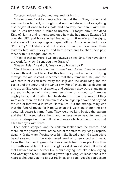Eustace nodded, saying nothing, and bit his lip.

"I have come," said a deep voice behind them. They turned and saw the Lion himself, so bright and real and strong that everything else began at once to look pale and shadowy compared with him. And in less time than it takes to breathe Jill forgot about the dead King of Narnia and remembered only how she had made Eustace fall over the cliff, and how she had helped to muff nearly all the signs, and about all the snappings and quarrellings. And she wanted to say "I'm sorry" but she could not speak. Then the Lion drew them towards him with his eyes, and bent down and touched their pale faces with his tongue, and said:

"Think of that no more. I will not always be scolding. You have done the work for which I sent you into Narnia."

"Please, Aslan," said Jill, "may we go home now?"

"Yes. I have come to bring you Home," said Aslan. Then he opened his mouth wide and blew. But this time they had no sense of flying through the air: instead, it seemed that they remained still, and the wild breath of Aslan blew away the ship and the dead King and the castle and the snow and the winter sky. For all these things floated off into the air like wreaths of smoke, and suddenly they were standing in a great brightness of mid-summer sunshine, on smooth turf, among mighty trees, and beside a fair, fresh stream. Then they saw that they were once more on the Mountain of Aslan, high up above and beyond the end of that world in which Narnia lies. But the strange thing was that the funeral music for King Caspian still went on, though no one could tell where it came from. They were walking beside the stream and the Lion went before them: and he became so beautiful, and the music so despairing, that Jill did not know which of them it was that filled her eyes with tears.

Then Aslan stopped, and the children looked into the stream. And there, on the golden gravel of the bed of the stream, lay King Caspian, dead, with the water flowing over him like liquid glass. His long white beard swayed in it like water-weed. And all three stood and wept. Even the Lion wept: great Lion-tears, each tear more precious than the Earth would be if it was a single solid diamond. And Jill noticed that Eustace looked neither like a child crying, nor like a boy crying and wanting to hide it, but like a grown-up crying. At least, that is the nearest she could get to it; but really, as she said, people don't seem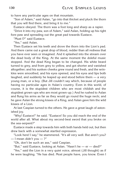to have any particular ages on that mountain.

"Son of Adam," said Aslan, "go into that thicket and pluck the thorn that you will find there, and bring it to me."

Eustace obeyed. The thorn was a foot long and sharp as a rapier.

"Drive it into my paw, son of Adam," said Aslan, holding up his right fore-paw and spreading out the great pad towards Eustace.

"Must I?" said Eustace.

"Yes," said Aslan.

Then Eustace set his teeth and drove the thorn into the Lion's pad. And there came out a great drop of blood, redder than all redness that you have ever seen or imagined. And it splashed into the stream over the dead body of the King. At the same moment the doleful music stopped. And the dead King began to be changed. His white beard turned to grey, and from grey to yellow, and got shorter and vanished altogether; and his sunken cheeks grew round and fresh, and the wrinkles were smoothed, and his eyes opened, and his eyes and lips both laughed, and suddenly he leaped up and stood before them — a very young man, or a boy. (But Jill couldn't say which, because of people having no particular ages in Aslan's country. Even in this world, of course, it is the stupidest children who are most childish and the stupidest grown-ups who are most grown-up.) And he rushed to Aslan and flung his arms as far as they would go round the huge neck; and he gave Aslan the strong kisses of a King, and Aslan gave him the wild kisses of a Lion.

At last Caspian turned to the others. He gave a great laugh of astonished joy.

"Why! Eustace!" he said. "Eustace! So you did reach the end of the world after all. What about my second-best sword that you broke on the sea-serpent?"

Eustace made a step towards him with both hands held out, but then drew back with a somewhat startled expression.

"Look here! I say," he stammered. "It's all very well. But aren't you? — I mean didn't you — ?"

"Oh, don't be such an ass," said Caspian.

"But," said Eustace, looking at Aslan. "Hasn't he — er — died?"

"Yes," said the Lion in a very quiet voice, almost (Jill thought) as if he were laughing. "He has died. Most people have, you know. Even I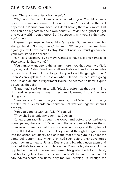### The SILVER Chair company of the SILVER Chair company of the state of the state of the state of the state of the state of the state of the state of the state of the state of the state of the state of the state of the state

have. There are very few who haven't."

"Oh," said Caspian. "I see what's bothering you. You think I'm a ghost, or some nonsense. But don't you see? I would be that if I appeared in Narnia now: because I don't belong there any more. But one can't be a ghost in one's own country. I might be a ghost if I got into your world. I don't know. But I suppose it isn't yours either, now you're here."

A great hope rose in the children's hearts. But Aslan shook his shaggy head. "No, my dears," he said. "When you meet me here again, you will have come to stay. But not now. You must go back to your own world for a while."

"Sir," said Caspian, "I've always wanted to have just one glimpse of *their* world. Is that wrong?"

"You cannot want wrong things any more, now that you have died, my son," said Aslan. "And you shall see their world — for five minutes of their time. It will take no longer for you to set things right there." Then Aslan explained to Caspian what Jill and Eustace were going back to and all about Experiment House: he seemed to know it quite as well as they did.

"Daughter," said Aslan to Jill, "pluck a switch off that bush." She did; and as soon as it was in her hand it turned into a fine new riding crop.

"Now, sons of Adam, draw your swords," said Aslan. "But use only the flat, for it is cowards and children, not warriors, against whom I send you."

"Are you coming with us, Aslan?" said Jill.

"They shall see only my back," said Aslan.

He led them rapidly through the wood, and before they had gone many paces, the wall of Experiment House appeared before them. Then Aslan roared so that the sun shook in the sky and thirty feet of the wall fell down before them. They looked through the gap, down into the school shrubbery and onto the roof of the gym, all under the same dull autumn sky which they had seen before their adventures began. Aslan turned to Jill and Eustace and breathed upon them and touched their foreheads with his tongue. Then he lay down amid the gap he had made in the wall and turned his golden back to England, and his lordly face towards his own lands. At the same moment Jill saw figures whom she knew only too well running up through the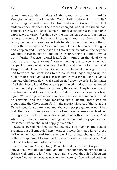laurels towards them. Most of the gang were there — Adela Pennyfather and Cholmondely Major, Edith Winterblott, "Spotty" Sorner, big Bannister, and the two loathsome Garrett twins. But suddenly they stopped. Their faces changed, and all the meanness, conceit, cruelty, and sneakishness almost disappeared in one single expression of terror. For they saw the wall fallen down, and a lion as large as a young elephant lying in the gap, and three figures in glittering clothes with weapons in their hands rushing down upon them. For, with the strength of Aslan in them, Jill plied her crop on the girls and Caspian and Eustace plied the flats of their swords on the boys so well that in two minutes all the bullies were running like mad, crying out, "Murder! Fascists! Lions! It isn't *fair*." And then the Head (who was, by the way, a woman) came running out to see what was happening. And when she saw the lion and the broken wall and Caspian and Jill and Eustace (whom she quite failed to recognise) she had hysterics and went back to the house and began ringing up the police with stories about a lion escaped from a circus, and escaped convicts who broke down walls and carried drawn swords. In the midst of all this fuss Jill and Eustace slipped quietly indoors and changed out of their bright clothes into ordinary things, and Caspian went back into his own world. And the wall, at Aslan's word, was made whole again. When the police arrived and found no lion, no broken wall, and no convicts, and the Head behaving like a lunatic, there was an inquiry into the whole thing. And in the inquiry all sorts of things about Experiment House came out, and about ten people got expelled. After that, the Head's friends saw that the Head was no use as a Head, so they got her made an Inspector to interfere with other Heads. And when they found she wasn't much good even at that, they got her into Parliament where she lived happily ever after.

Eustace buried his fine clothes secretly one night in the school grounds, but Jill smuggled hers home and wore them at a fancy-dress ball next holidays. And from that day forth things changed for the better at Experiment House, and it became quite a good school. And Jill and Eustace were always friends.

But far off in Narnia, King Rilian buried his father, Caspian the Navigator, Tenth of that name, and mourned for him. He himself ruled Narnia well and the land was happy in his days, though Puddleglum (whose foot was as good as new in three weeks) often pointed out that